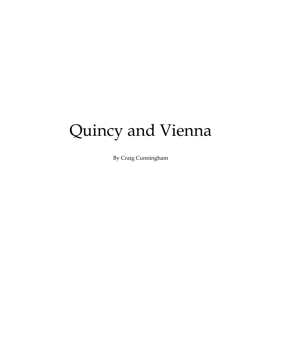# Quincy and Vienna

By Craig Cunningham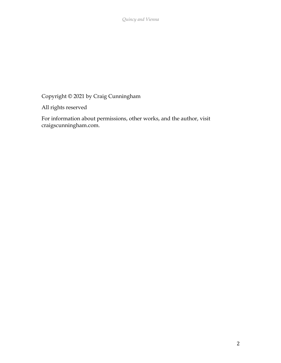*Quincy and Vienna*

Copyright © 2021 by Craig Cunningham

All rights reserved

For information about permissions, other works, and the author, visit craigscunningham.com.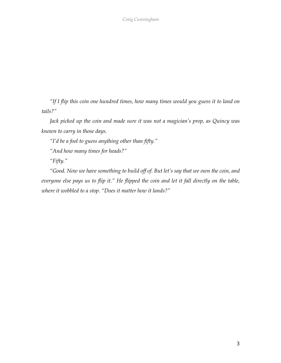*"If I flip this coin one hundred times, how many times would you guess it to land on tails?"*

*Jack picked up the coin and made sure it was not a magician's prop, as Quincy was known to carry in those days.*

*"I'd be a fool to guess anything other than fifty."*

*"And how many times for heads?"*

*"Fifty."*

*"Good. Now we have something to build off of. But let's say that we own the coin, and everyone else pays us to flip it." He flipped the coin and let it fall directly on the table, where it wobbled to a stop. "Does it matter how it lands?"*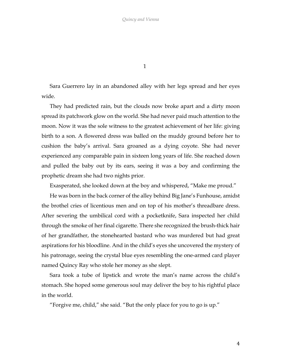1

Sara Guerrero lay in an abandoned alley with her legs spread and her eyes wide.

They had predicted rain, but the clouds now broke apart and a dirty moon spread its patchwork glow on the world. She had never paid much attention to the moon. Now it was the sole witness to the greatest achievement of her life: giving birth to a son. A flowered dress was balled on the muddy ground before her to cushion the baby's arrival. Sara groaned as a dying coyote. She had never experienced any comparable pain in sixteen long years of life. She reached down and pulled the baby out by its ears, seeing it was a boy and confirming the prophetic dream she had two nights prior.

Exasperated, she looked down at the boy and whispered, "Make me proud."

He was born in the back corner of the alley behind Big Jane's Funhouse, amidst the brothel cries of licentious men and on top of his mother's threadbare dress. After severing the umbilical cord with a pocketknife, Sara inspected her child through the smoke of her final cigarette. There she recognized the brush-thick hair of her grandfather, the stonehearted bastard who was murdered but had great aspirations for his bloodline. And in the child's eyes she uncovered the mystery of his patronage, seeing the crystal blue eyes resembling the one-armed card player named Quincy Ray who stole her money as she slept.

Sara took a tube of lipstick and wrote the man's name across the child's stomach. She hoped some generous soul may deliver the boy to his rightful place in the world.

"Forgive me, child," she said. "But the only place for you to go is up."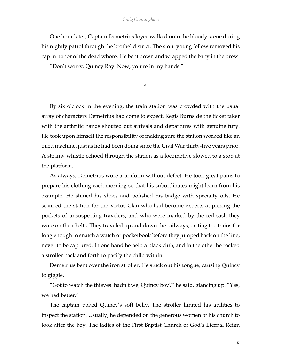#### *Craig Cunningham*

One hour later, Captain Demetrius Joyce walked onto the bloody scene during his nightly patrol through the brothel district. The stout young fellow removed his cap in honor of the dead whore. He bent down and wrapped the baby in the dress.

"Don't worry, Quincy Ray. Now, you're in my hands."

\*

By six o'clock in the evening, the train station was crowded with the usual array of characters Demetrius had come to expect. Regis Burnside the ticket taker with the arthritic hands shouted out arrivals and departures with genuine fury. He took upon himself the responsibility of making sure the station worked like an oiled machine, just as he had been doing since the Civil War thirty-five years prior. A steamy whistle echoed through the station as a locomotive slowed to a stop at the platform.

As always, Demetrius wore a uniform without defect. He took great pains to prepare his clothing each morning so that his subordinates might learn from his example. He shined his shoes and polished his badge with specialty oils. He scanned the station for the Victus Clan who had become experts at picking the pockets of unsuspecting travelers, and who were marked by the red sash they wore on their belts. They traveled up and down the railways, exiting the trains for long enough to snatch a watch or pocketbook before they jumped back on the line, never to be captured. In one hand he held a black club, and in the other he rocked a stroller back and forth to pacify the child within.

Demetrius bent over the iron stroller. He stuck out his tongue, causing Quincy to giggle.

"Got to watch the thieves, hadn't we, Quincy boy?" he said, glancing up. "Yes, we had better."

The captain poked Quincy's soft belly. The stroller limited his abilities to inspect the station. Usually, he depended on the generous women of his church to look after the boy. The ladies of the First Baptist Church of God's Eternal Reign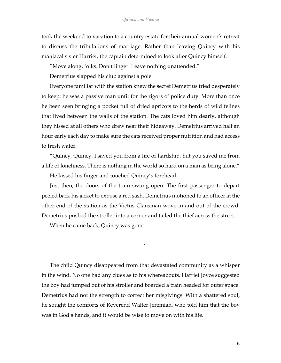took the weekend to vacation to a country estate for their annual women's retreat to discuss the tribulations of marriage. Rather than leaving Quincy with his maniacal sister Harriet, the captain determined to look after Quincy himself.

"Move along, folks. Don't linger. Leave nothing unattended."

Demetrius slapped his club against a pole.

Everyone familiar with the station knew the secret Demetrius tried desperately to keep: he was a passive man unfit for the rigors of police duty. More than once he been seen bringing a pocket full of dried apricots to the herds of wild felines that lived between the walls of the station. The cats loved him dearly, although they hissed at all others who drew near their hideaway. Demetrius arrived half an hour early each day to make sure the cats received proper nutrition and had access to fresh water.

"Quincy, Quincy. I saved you from a life of hardship, but you saved me from a life of loneliness. There is nothing in the world so hard on a man as being alone."

He kissed his finger and touched Quincy's forehead.

Just then, the doors of the train swung open. The first passenger to depart peeled back his jacket to expose a red sash. Demetrius motioned to an officer at the other end of the station as the Victus Clansman wove in and out of the crowd. Demetrius pushed the stroller into a corner and tailed the thief across the street.

When he came back, Quincy was gone.

\*

The child Quincy disappeared from that devastated community as a whisper in the wind. No one had any clues as to his whereabouts. Harriet Joyce suggested the boy had jumped out of his stroller and boarded a train headed for outer space. Demetrius had not the strength to correct her misgivings. With a shattered soul, he sought the comforts of Reverend Walter Jeremiah, who told him that the boy was in God's hands, and it would be wise to move on with his life.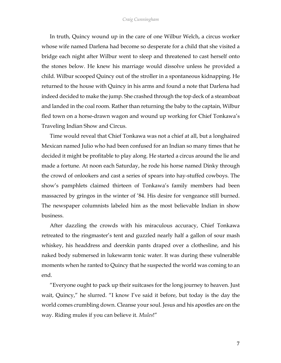## *Craig Cunningham*

In truth, Quincy wound up in the care of one Wilbur Welch, a circus worker whose wife named Darlena had become so desperate for a child that she visited a bridge each night after Wilbur went to sleep and threatened to cast herself onto the stones below. He knew his marriage would dissolve unless he provided a child. Wilbur scooped Quincy out of the stroller in a spontaneous kidnapping. He returned to the house with Quincy in his arms and found a note that Darlena had indeed decided to make the jump. She crashed through the top deck of a steamboat and landed in the coal room. Rather than returning the baby to the captain, Wilbur fled town on a horse-drawn wagon and wound up working for Chief Tonkawa's Traveling Indian Show and Circus.

Time would reveal that Chief Tonkawa was not a chief at all, but a longhaired Mexican named Julio who had been confused for an Indian so many times that he decided it might be profitable to play along. He started a circus around the lie and made a fortune. At noon each Saturday, he rode his horse named Dinky through the crowd of onlookers and cast a series of spears into hay-stuffed cowboys. The show's pamphlets claimed thirteen of Tonkawa's family members had been massacred by gringos in the winter of '84. His desire for vengeance still burned. The newspaper columnists labeled him as the most believable Indian in show business.

After dazzling the crowds with his miraculous accuracy, Chief Tonkawa retreated to the ringmaster's tent and guzzled nearly half a gallon of sour mash whiskey, his headdress and deerskin pants draped over a clothesline, and his naked body submersed in lukewarm tonic water. It was during these vulnerable moments when he ranted to Quincy that he suspected the world was coming to an end.

"Everyone ought to pack up their suitcases for the long journey to heaven. Just wait, Quincy," he slurred. "I know I've said it before, but today is the day the world comes crumbling down. Cleanse your soul. Jesus and his apostles are on the way. Riding mules if you can believe it. *Mules*!"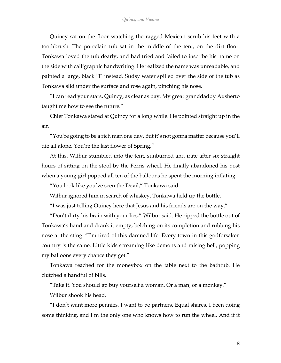Quincy sat on the floor watching the ragged Mexican scrub his feet with a toothbrush. The porcelain tub sat in the middle of the tent, on the dirt floor. Tonkawa loved the tub dearly, and had tried and failed to inscribe his name on the side with calligraphic handwriting. He realized the name was unreadable, and painted a large, black 'T' instead. Sudsy water spilled over the side of the tub as Tonkawa slid under the surface and rose again, pinching his nose.

"I can read your stars, Quincy, as clear as day. My great granddaddy Ausberto taught me how to see the future."

Chief Tonkawa stared at Quincy for a long while. He pointed straight up in the air.

"You're going to be a rich man one day. But it's not gonna matter because you'll die all alone. You're the last flower of Spring."

At this, Wilbur stumbled into the tent, sunburned and irate after six straight hours of sitting on the stool by the Ferris wheel. He finally abandoned his post when a young girl popped all ten of the balloons he spent the morning inflating.

"You look like you've seen the Devil," Tonkawa said.

Wilbur ignored him in search of whiskey. Tonkawa held up the bottle.

"I was just telling Quincy here that Jesus and his friends are on the way."

"Don't dirty his brain with your lies," Wilbur said. He ripped the bottle out of Tonkawa's hand and drank it empty, belching on its completion and rubbing his nose at the sting. "I'm tired of this damned life. Every town in this godforsaken country is the same. Little kids screaming like demons and raising hell, popping my balloons every chance they get."

Tonkawa reached for the moneybox on the table next to the bathtub. He clutched a handful of bills.

"Take it. You should go buy yourself a woman. Or a man, or a monkey."

Wilbur shook his head.

"I don't want more pennies. I want to be partners. Equal shares. I been doing some thinking, and I'm the only one who knows how to run the wheel. And if it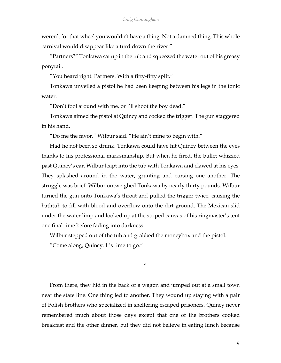weren't for that wheel you wouldn't have a thing. Not a damned thing. This whole carnival would disappear like a turd down the river."

"Partners?" Tonkawa sat up in the tub and squeezed the water out of his greasy ponytail.

"You heard right. Partners. With a fifty-fifty split."

Tonkawa unveiled a pistol he had been keeping between his legs in the tonic water.

"Don't fool around with me, or I'll shoot the boy dead."

Tonkawa aimed the pistol at Quincy and cocked the trigger. The gun staggered in his hand.

"Do me the favor," Wilbur said. "He ain't mine to begin with."

Had he not been so drunk, Tonkawa could have hit Quincy between the eyes thanks to his professional marksmanship. But when he fired, the bullet whizzed past Quincy's ear. Wilbur leapt into the tub with Tonkawa and clawed at his eyes. They splashed around in the water, grunting and cursing one another. The struggle was brief. Wilbur outweighed Tonkawa by nearly thirty pounds. Wilbur turned the gun onto Tonkawa's throat and pulled the trigger twice, causing the bathtub to fill with blood and overflow onto the dirt ground. The Mexican slid under the water limp and looked up at the striped canvas of his ringmaster's tent one final time before fading into darkness.

Wilbur stepped out of the tub and grabbed the moneybox and the pistol.

"Come along, Quincy. It's time to go."

From there, they hid in the back of a wagon and jumped out at a small town near the state line. One thing led to another. They wound up staying with a pair of Polish brothers who specialized in sheltering escaped prisoners. Quincy never remembered much about those days except that one of the brothers cooked breakfast and the other dinner, but they did not believe in eating lunch because

\*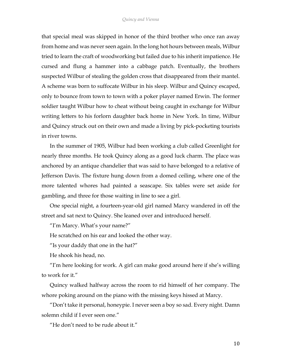that special meal was skipped in honor of the third brother who once ran away from home and was never seen again. In the long hot hours between meals, Wilbur tried to learn the craft of woodworking but failed due to his inherit impatience. He cursed and flung a hammer into a cabbage patch. Eventually, the brothers suspected Wilbur of stealing the golden cross that disappeared from their mantel. A scheme was born to suffocate Wilbur in his sleep. Wilbur and Quincy escaped, only to bounce from town to town with a poker player named Erwin. The former soldier taught Wilbur how to cheat without being caught in exchange for Wilbur writing letters to his forlorn daughter back home in New York. In time, Wilbur and Quincy struck out on their own and made a living by pick-pocketing tourists in river towns.

In the summer of 1905, Wilbur had been working a club called Greenlight for nearly three months. He took Quincy along as a good luck charm. The place was anchored by an antique chandelier that was said to have belonged to a relative of Jefferson Davis. The fixture hung down from a domed ceiling, where one of the more talented whores had painted a seascape. Six tables were set aside for gambling, and three for those waiting in line to see a girl.

One special night, a fourteen-year-old girl named Marcy wandered in off the street and sat next to Quincy. She leaned over and introduced herself.

"I'm Marcy. What's your name?"

He scratched on his ear and looked the other way.

"Is your daddy that one in the hat?"

He shook his head, no.

"I'm here looking for work. A girl can make good around here if she's willing to work for it."

Quincy walked halfway across the room to rid himself of her company. The whore poking around on the piano with the missing keys hissed at Marcy.

"Don't take it personal, honeypie. I never seen a boy so sad. Every night. Damn solemn child if I ever seen one."

"He don't need to be rude about it."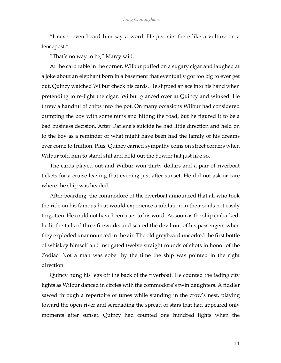"I never even heard him say a word. He just sits there like a vulture on a fencepost."

"That's no way to be," Marcy said.

At the card table in the corner, Wilbur puffed on a sugary cigar and laughed at a joke about an elephant born in a basement that eventually got too big to ever get out. Quincy watched Wilbur check his cards. He slipped an ace into his hand when pretending to re-light the cigar. Wilbur glanced over at Quincy and winked. He threw a handful of chips into the pot. On many occasions Wilbur had considered dumping the boy with some nuns and hitting the road, but he figured it to be a bad business decision. After Darlena's suicide he had little direction and held on to the boy as a reminder of what might have been had the family of his dreams ever come to fruition. Plus, Quincy earned sympathy coins on street corners when Wilbur told him to stand still and hold out the bowler hat just like so.

The cards played out and Wilbur won thirty dollars and a pair of riverboat tickets for a cruise leaving that evening just after sunset. He did not ask or care where the ship was headed.

After boarding, the commodore of the riverboat announced that all who took the ride on his famous boat would experience a jubilation in their souls not easily forgotten. He could not have been truer to his word. As soon as the ship embarked, he lit the tails of three fireworks and scared the devil out of his passengers when they exploded unannounced in the air. The old greybeard uncorked the first bottle of whiskey himself and instigated twelve straight rounds of shots in honor of the Zodiac. Not a man was sober by the time the ship was pointed in the right direction.

Quincy hung his legs off the back of the riverboat. He counted the fading city lights as Wilbur danced in circles with the commodore's twin daughters. A fiddler sawed through a repertoire of tunes while standing in the crow's nest, playing toward the open river and serenading the spread of stars that had appeared only moments after sunset. Quincy had counted one hundred lights when the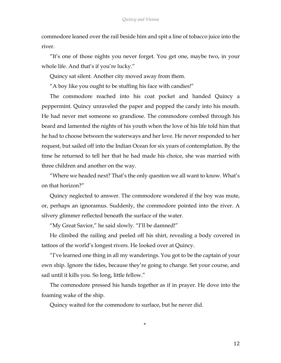commodore leaned over the rail beside him and spit a line of tobacco juice into the river.

"It's one of those nights you never forget. You get one, maybe two, in your whole life. And that's if you're lucky."

Quincy sat silent. Another city moved away from them.

"A boy like you ought to be stuffing his face with candies!"

The commodore reached into his coat pocket and handed Quincy a peppermint. Quincy unraveled the paper and popped the candy into his mouth. He had never met someone so grandiose. The commodore combed through his beard and lamented the nights of his youth when the love of his life told him that he had to choose between the waterways and her love. He never responded to her request, but sailed off into the Indian Ocean for six years of contemplation. By the time he returned to tell her that he had made his choice, she was married with three children and another on the way.

"Where we headed next? That's the only question we all want to know. What's on that horizon?"

Quincy neglected to answer. The commodore wondered if the boy was mute, or, perhaps an ignoramus. Suddenly, the commodore pointed into the river. A silvery glimmer reflected beneath the surface of the water.

"My Great Savior," he said slowly. "I'll be damned!"

He climbed the railing and peeled off his shirt, revealing a body covered in tattoos of the world's longest rivers. He looked over at Quincy.

"I've learned one thing in all my wanderings. You got to be the captain of your own ship. Ignore the tides, because they're going to change. Set your course, and sail until it kills you. So long, little fellow."

The commodore pressed his hands together as if in prayer. He dove into the foaming wake of the ship.

\*

Quincy waited for the commodore to surface, but he never did.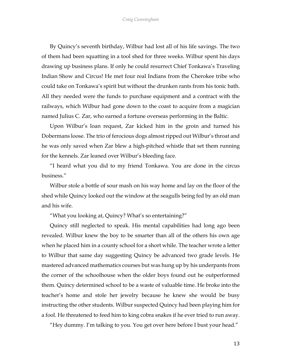By Quincy's seventh birthday, Wilbur had lost all of his life savings. The two of them had been squatting in a tool shed for three weeks. Wilbur spent his days drawing up business plans. If only he could resurrect Chief Tonkawa's Traveling Indian Show and Circus! He met four real Indians from the Cherokee tribe who could take on Tonkawa's spirit but without the drunken rants from his tonic bath. All they needed were the funds to purchase equipment and a contract with the railways, which Wilbur had gone down to the coast to acquire from a magician named Julius C. Zar, who earned a fortune overseas performing in the Baltic.

Upon Wilbur's loan request, Zar kicked him in the groin and turned his Dobermans loose. The trio of ferocious dogs almost ripped out Wilbur's throat and he was only saved when Zar blew a high-pitched whistle that set them running for the kennels. Zar leaned over Wilbur's bleeding face.

"I heard what you did to my friend Tonkawa. You are done in the circus business."

Wilbur stole a bottle of sour mash on his way home and lay on the floor of the shed while Quincy looked out the window at the seagulls being fed by an old man and his wife.

"What you looking at, Quincy? What's so entertaining?"

Quincy still neglected to speak. His mental capabilities had long ago been revealed. Wilbur knew the boy to be smarter than all of the others his own age when he placed him in a county school for a short while. The teacher wrote a letter to Wilbur that same day suggesting Quincy be advanced two grade levels. He mastered advanced mathematics courses but was hung up by his underpants from the corner of the schoolhouse when the older boys found out he outperformed them. Quincy determined school to be a waste of valuable time. He broke into the teacher's home and stole her jewelry because he knew she would be busy instructing the other students. Wilbur suspected Quincy had been playing him for a fool. He threatened to feed him to king cobra snakes if he ever tried to run away.

"Hey dummy. I'm talking to you. You get over here before I bust your head."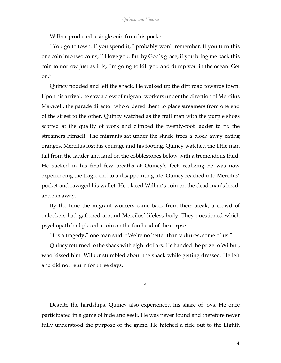Wilbur produced a single coin from his pocket.

"You go to town. If you spend it, I probably won't remember. If you turn this one coin into two coins, I'll love you. But by God's grace, if you bring me back this coin tomorrow just as it is, I'm going to kill you and dump you in the ocean. Get on."

Quincy nodded and left the shack. He walked up the dirt road towards town. Upon his arrival, he saw a crew of migrant workers under the direction of Mercilus Maxwell, the parade director who ordered them to place streamers from one end of the street to the other. Quincy watched as the frail man with the purple shoes scoffed at the quality of work and climbed the twenty-foot ladder to fix the streamers himself. The migrants sat under the shade trees a block away eating oranges. Mercilus lost his courage and his footing. Quincy watched the little man fall from the ladder and land on the cobblestones below with a tremendous thud. He sucked in his final few breaths at Quincy's feet, realizing he was now experiencing the tragic end to a disappointing life. Quincy reached into Mercilus' pocket and ravaged his wallet. He placed Wilbur's coin on the dead man's head, and ran away.

By the time the migrant workers came back from their break, a crowd of onlookers had gathered around Mercilus' lifeless body. They questioned which psychopath had placed a coin on the forehead of the corpse.

"It's a tragedy," one man said. "We're no better than vultures, some of us."

Quincy returned to the shack with eight dollars. He handed the prize to Wilbur, who kissed him. Wilbur stumbled about the shack while getting dressed. He left and did not return for three days.

\*

Despite the hardships, Quincy also experienced his share of joys. He once participated in a game of hide and seek. He was never found and therefore never fully understood the purpose of the game. He hitched a ride out to the Eighth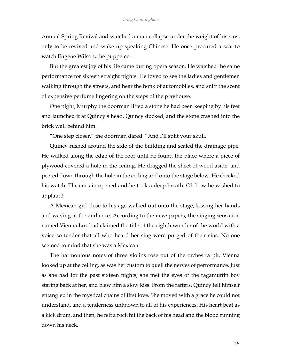Annual Spring Revival and watched a man collapse under the weight of his sins, only to be revived and wake up speaking Chinese. He once procured a seat to watch Eugene Wilson, the puppeteer.

But the greatest joy of his life came during opera season. He watched the same performance for sixteen straight nights. He loved to see the ladies and gentlemen walking through the streets, and hear the honk of automobiles, and sniff the scent of expensive perfume lingering on the steps of the playhouse.

One night, Murphy the doorman lifted a stone he had been keeping by his feet and launched it at Quincy's head. Quincy ducked, and the stone crashed into the brick wall behind him.

"One step closer," the doorman dared. "And I'll split your skull."

Quincy rushed around the side of the building and scaled the drainage pipe. He walked along the edge of the roof until he found the place where a piece of plywood covered a hole in the ceiling. He dragged the sheet of wood aside, and peered down through the hole in the ceiling and onto the stage below. He checked his watch. The curtain opened and he took a deep breath. Oh how he wished to applaud!

A Mexican girl close to his age walked out onto the stage, kissing her hands and waving at the audience. According to the newspapers, the singing sensation named Vienna Luz had claimed the title of the eighth wonder of the world with a voice so tender that all who heard her sing were purged of their sins. No one seemed to mind that she was a Mexican.

The harmonious notes of three violins rose out of the orchestra pit. Vienna looked up at the ceiling, as was her custom to quell the nerves of performance. Just as she had for the past sixteen nights, she met the eyes of the ragamuffin boy staring back at her, and blew him a slow kiss. From the rafters, Quincy felt himself entangled in the mystical chains of first love. She moved with a grace he could not understand, and a tenderness unknown to all of his experiences. His heart beat as a kick drum, and then, he felt a rock hit the back of his head and the blood running down his neck.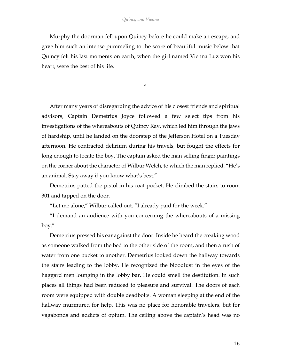Murphy the doorman fell upon Quincy before he could make an escape, and gave him such an intense pummeling to the score of beautiful music below that Quincy felt his last moments on earth, when the girl named Vienna Luz won his heart, were the best of his life.

\*

After many years of disregarding the advice of his closest friends and spiritual advisors, Captain Demetrius Joyce followed a few select tips from his investigations of the whereabouts of Quincy Ray, which led him through the jaws of hardship, until he landed on the doorstep of the Jefferson Hotel on a Tuesday afternoon. He contracted delirium during his travels, but fought the effects for long enough to locate the boy. The captain asked the man selling finger paintings on the corner about the character of Wilbur Welch, to which the man replied, "He's an animal. Stay away if you know what's best."

Demetrius patted the pistol in his coat pocket. He climbed the stairs to room 301 and tapped on the door.

"Let me alone," Wilbur called out. "I already paid for the week."

"I demand an audience with you concerning the whereabouts of a missing boy."

Demetrius pressed his ear against the door. Inside he heard the creaking wood as someone walked from the bed to the other side of the room, and then a rush of water from one bucket to another. Demetrius looked down the hallway towards the stairs leading to the lobby. He recognized the bloodlust in the eyes of the haggard men lounging in the lobby bar. He could smell the destitution. In such places all things had been reduced to pleasure and survival. The doors of each room were equipped with double deadbolts. A woman sleeping at the end of the hallway murmured for help. This was no place for honorable travelers, but for vagabonds and addicts of opium. The ceiling above the captain's head was no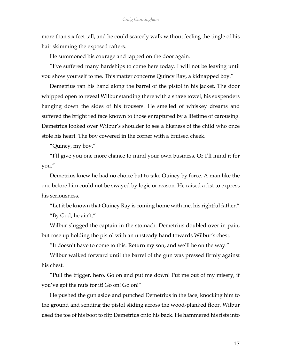more than six feet tall, and he could scarcely walk without feeling the tingle of his hair skimming the exposed rafters.

He summoned his courage and tapped on the door again.

"I've suffered many hardships to come here today. I will not be leaving until you show yourself to me. This matter concerns Quincy Ray, a kidnapped boy."

Demetrius ran his hand along the barrel of the pistol in his jacket. The door whipped open to reveal Wilbur standing there with a shave towel, his suspenders hanging down the sides of his trousers. He smelled of whiskey dreams and suffered the bright red face known to those enraptured by a lifetime of carousing. Demetrius looked over Wilbur's shoulder to see a likeness of the child who once stole his heart. The boy cowered in the corner with a bruised cheek.

"Quincy, my boy."

"I'll give you one more chance to mind your own business. Or I'll mind it for you."

Demetrius knew he had no choice but to take Quincy by force. A man like the one before him could not be swayed by logic or reason. He raised a fist to express his seriousness.

"Let it be known that Quincy Ray is coming home with me, his rightful father." "By God, he ain't."

Wilbur slugged the captain in the stomach. Demetrius doubled over in pain, but rose up holding the pistol with an unsteady hand towards Wilbur's chest.

"It doesn't have to come to this. Return my son, and we'll be on the way."

Wilbur walked forward until the barrel of the gun was pressed firmly against his chest.

"Pull the trigger, hero. Go on and put me down! Put me out of my misery, if you've got the nuts for it! Go on! Go on!"

He pushed the gun aside and punched Demetrius in the face, knocking him to the ground and sending the pistol sliding across the wood-planked floor. Wilbur used the toe of his boot to flip Demetrius onto his back. He hammered his fists into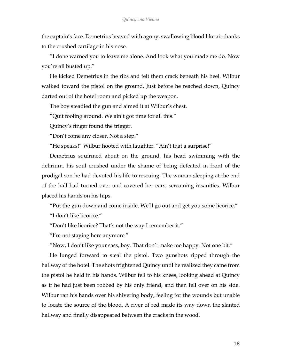the captain's face. Demetrius heaved with agony, swallowing blood like air thanks to the crushed cartilage in his nose.

"I done warned you to leave me alone. And look what you made me do. Now you're all busted up."

He kicked Demetrius in the ribs and felt them crack beneath his heel. Wilbur walked toward the pistol on the ground. Just before he reached down, Quincy darted out of the hotel room and picked up the weapon.

The boy steadied the gun and aimed it at Wilbur's chest.

"Quit fooling around. We ain't got time for all this."

Quincy's finger found the trigger.

"Don't come any closer. Not a step."

"He speaks!" Wilbur hooted with laughter. "Ain't that a surprise!"

Demetrius squirmed about on the ground, his head swimming with the delirium, his soul crushed under the shame of being defeated in front of the prodigal son he had devoted his life to rescuing. The woman sleeping at the end of the hall had turned over and covered her ears, screaming insanities. Wilbur placed his hands on his hips.

"Put the gun down and come inside. We'll go out and get you some licorice."

"I don't like licorice."

"Don't like licorice? That's not the way I remember it."

"I'm not staying here anymore."

"Now, I don't like your sass, boy. That don't make me happy. Not one bit."

He lunged forward to steal the pistol. Two gunshots ripped through the hallway of the hotel. The shots frightened Quincy until he realized they came from the pistol he held in his hands. Wilbur fell to his knees, looking ahead at Quincy as if he had just been robbed by his only friend, and then fell over on his side. Wilbur ran his hands over his shivering body, feeling for the wounds but unable to locate the source of the blood. A river of red made its way down the slanted hallway and finally disappeared between the cracks in the wood.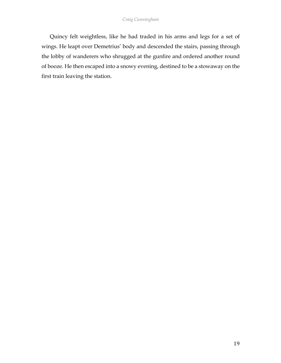Quincy felt weightless, like he had traded in his arms and legs for a set of wings. He leapt over Demetrius' body and descended the stairs, passing through the lobby of wanderers who shrugged at the gunfire and ordered another round of booze. He then escaped into a snowy evening, destined to be a stowaway on the first train leaving the station.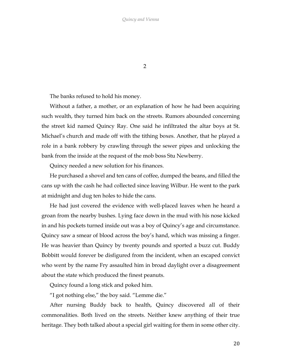2

The banks refused to hold his money.

Without a father, a mother, or an explanation of how he had been acquiring such wealth, they turned him back on the streets. Rumors abounded concerning the street kid named Quincy Ray. One said he infiltrated the altar boys at St. Michael's church and made off with the tithing boxes. Another, that he played a role in a bank robbery by crawling through the sewer pipes and unlocking the bank from the inside at the request of the mob boss Stu Newberry.

Quincy needed a new solution for his finances.

He purchased a shovel and ten cans of coffee, dumped the beans, and filled the cans up with the cash he had collected since leaving Wilbur. He went to the park at midnight and dug ten holes to hide the cans.

He had just covered the evidence with well-placed leaves when he heard a groan from the nearby bushes. Lying face down in the mud with his nose kicked in and his pockets turned inside out was a boy of Quincy's age and circumstance. Quincy saw a smear of blood across the boy's hand, which was missing a finger. He was heavier than Quincy by twenty pounds and sported a buzz cut. Buddy Bobbitt would forever be disfigured from the incident, when an escaped convict who went by the name Fry assaulted him in broad daylight over a disagreement about the state which produced the finest peanuts.

Quincy found a long stick and poked him.

"I got nothing else," the boy said. "Lemme die."

After nursing Buddy back to health, Quincy discovered all of their commonalities. Both lived on the streets. Neither knew anything of their true heritage. They both talked about a special girl waiting for them in some other city.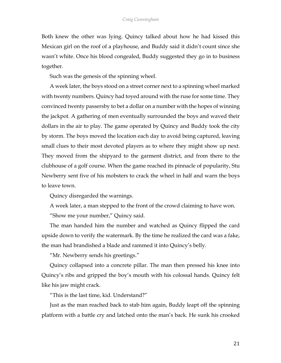Both knew the other was lying. Quincy talked about how he had kissed this Mexican girl on the roof of a playhouse, and Buddy said it didn't count since she wasn't white. Once his blood congealed, Buddy suggested they go in to business together.

Such was the genesis of the spinning wheel.

A week later, the boys stood on a street corner next to a spinning wheel marked with twenty numbers. Quincy had toyed around with the ruse for some time. They convinced twenty passersby to bet a dollar on a number with the hopes of winning the jackpot. A gathering of men eventually surrounded the boys and waved their dollars in the air to play. The game operated by Quincy and Buddy took the city by storm. The boys moved the location each day to avoid being captured, leaving small clues to their most devoted players as to where they might show up next. They moved from the shipyard to the garment district, and from there to the clubhouse of a golf course. When the game reached its pinnacle of popularity, Stu Newberry sent five of his mobsters to crack the wheel in half and warn the boys to leave town.

Quincy disregarded the warnings.

A week later, a man stepped to the front of the crowd claiming to have won.

"Show me your number," Quincy said.

The man handed him the number and watched as Quincy flipped the card upside down to verify the watermark. By the time he realized the card was a fake, the man had brandished a blade and rammed it into Quincy's belly.

"Mr. Newberry sends his greetings."

Quincy collapsed into a concrete pillar. The man then pressed his knee into Quincy's ribs and gripped the boy's mouth with his colossal hands. Quincy felt like his jaw might crack.

"This is the last time, kid. Understand?"

Just as the man reached back to stab him again, Buddy leapt off the spinning platform with a battle cry and latched onto the man's back. He sunk his crooked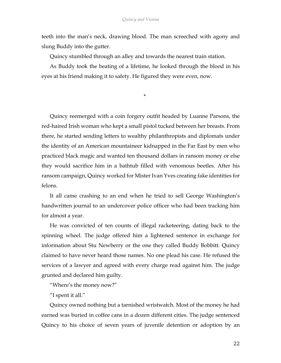teeth into the man's neck, drawing blood. The man screeched with agony and slung Buddy into the gutter.

Quincy stumbled through an alley and towards the nearest train station.

As Buddy took the beating of a lifetime, he looked through the blood in his eyes at his friend making it to safety. He figured they were even, now.

\*

Quincy reemerged with a coin forgery outfit headed by Luanne Parsons, the red-haired Irish woman who kept a small pistol tucked between her breasts. From there, he started sending letters to wealthy philanthropists and diplomats under the identity of an American mountaineer kidnapped in the Far East by men who practiced black magic and wanted ten thousand dollars in ransom money or else they would sacrifice him in a bathtub filled with venomous beetles. After his ransom campaign, Quincy worked for Mister Ivan Yves creating fake identities for felons.

It all came crashing to an end when he tried to sell George Washington's handwritten journal to an undercover police officer who had been tracking him for almost a year.

He was convicted of ten counts of illegal racketeering, dating back to the spinning wheel. The judge offered him a lightened sentence in exchange for information about Stu Newberry or the one they called Buddy Bobbitt. Quincy claimed to have never heard those names. No one plead his case. He refused the services of a lawyer and agreed with every charge read against him. The judge grunted and declared him guilty.

"Where's the money now?"

"I spent it all."

Quincy owned nothing but a tarnished wristwatch. Most of the money he had earned was buried in coffee cans in a dozen different cities. The judge sentenced Quincy to his choice of seven years of juvenile detention or adoption by an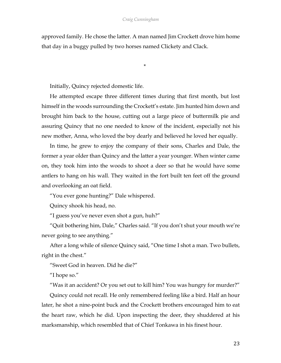## *Craig Cunningham*

approved family. He chose the latter. A man named Jim Crockett drove him home that day in a buggy pulled by two horses named Clickety and Clack.

\*

Initially, Quincy rejected domestic life.

He attempted escape three different times during that first month, but lost himself in the woods surrounding the Crockett's estate. Jim hunted him down and brought him back to the house, cutting out a large piece of buttermilk pie and assuring Quincy that no one needed to know of the incident, especially not his new mother, Anna, who loved the boy dearly and believed he loved her equally.

In time, he grew to enjoy the company of their sons, Charles and Dale, the former a year older than Quincy and the latter a year younger. When winter came on, they took him into the woods to shoot a deer so that he would have some antlers to hang on his wall. They waited in the fort built ten feet off the ground and overlooking an oat field.

"You ever gone hunting?" Dale whispered.

Quincy shook his head, no.

"I guess you've never even shot a gun, huh?"

"Quit bothering him, Dale," Charles said. "If you don't shut your mouth we're never going to see anything."

After a long while of silence Quincy said, "One time I shot a man. Two bullets, right in the chest."

"Sweet God in heaven. Did he die?"

"I hope so."

"Was it an accident? Or you set out to kill him? You was hungry for murder?"

Quincy could not recall. He only remembered feeling like a bird. Half an hour later, he shot a nine-point buck and the Crockett brothers encouraged him to eat the heart raw, which he did. Upon inspecting the deer, they shuddered at his marksmanship, which resembled that of Chief Tonkawa in his finest hour.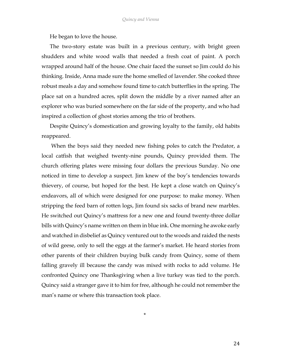He began to love the house.

The two-story estate was built in a previous century, with bright green shudders and white wood walls that needed a fresh coat of paint. A porch wrapped around half of the house. One chair faced the sunset so Jim could do his thinking. Inside, Anna made sure the home smelled of lavender. She cooked three robust meals a day and somehow found time to catch butterflies in the spring. The place sat on a hundred acres, split down the middle by a river named after an explorer who was buried somewhere on the far side of the property, and who had inspired a collection of ghost stories among the trio of brothers.

Despite Quincy's domestication and growing loyalty to the family, old habits reappeared.

When the boys said they needed new fishing poles to catch the Predator, a local catfish that weighed twenty-nine pounds, Quincy provided them. The church offering plates were missing four dollars the previous Sunday. No one noticed in time to develop a suspect. Jim knew of the boy's tendencies towards thievery, of course, but hoped for the best. He kept a close watch on Quincy's endeavors, all of which were designed for one purpose: to make money. When stripping the feed barn of rotten logs, Jim found six sacks of brand new marbles. He switched out Quincy's mattress for a new one and found twenty-three dollar bills with Quincy's name written on them in blue ink. One morning he awoke early and watched in disbelief as Quincy ventured out to the woods and raided the nests of wild geese, only to sell the eggs at the farmer's market. He heard stories from other parents of their children buying bulk candy from Quincy, some of them falling gravely ill because the candy was mixed with rocks to add volume. He confronted Quincy one Thanksgiving when a live turkey was tied to the porch. Quincy said a stranger gave it to him for free, although he could not remember the man's name or where this transaction took place.

\*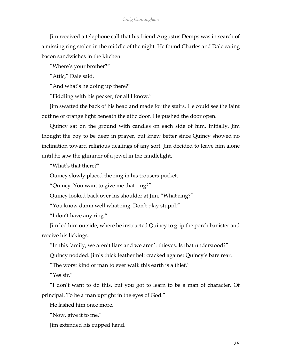Jim received a telephone call that his friend Augustus Demps was in search of a missing ring stolen in the middle of the night. He found Charles and Dale eating bacon sandwiches in the kitchen.

"Where's your brother?"

"Attic," Dale said.

"And what's he doing up there?"

"Fiddling with his pecker, for all I know."

Jim swatted the back of his head and made for the stairs. He could see the faint outline of orange light beneath the attic door. He pushed the door open.

Quincy sat on the ground with candles on each side of him. Initially, Jim thought the boy to be deep in prayer, but knew better since Quincy showed no inclination toward religious dealings of any sort. Jim decided to leave him alone until he saw the glimmer of a jewel in the candlelight.

"What's that there?"

Quincy slowly placed the ring in his trousers pocket.

"Quincy. You want to give me that ring?"

Quincy looked back over his shoulder at Jim. "What ring?"

"You know damn well what ring. Don't play stupid."

"I don't have any ring."

Jim led him outside, where he instructed Quincy to grip the porch banister and receive his lickings.

"In this family, we aren't liars and we aren't thieves. Is that understood?"

Quincy nodded. Jim's thick leather belt cracked against Quincy's bare rear.

"The worst kind of man to ever walk this earth is a thief."

"Yes sir."

"I don't want to do this, but you got to learn to be a man of character. Of principal. To be a man upright in the eyes of God."

He lashed him once more.

"Now, give it to me."

Jim extended his cupped hand.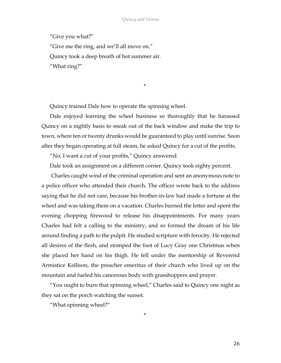"Give you what?"

"Give me the ring, and we'll all move on." Quincy took a deep breath of hot summer air. "What ring?"

\*

Quincy trained Dale how to operate the spinning wheel.

Dale enjoyed learning the wheel business so thoroughly that he harassed Quincy on a nightly basis to sneak out of the back window and make the trip to town, where ten or twenty drunks would be guaranteed to play until sunrise. Soon after they began operating at full steam, he asked Quincy for a cut of the profits.

"No, I want a cut of your profits," Quincy answered.

Dale took an assignment on a different corner. Quincy took eighty percent.

Charles caught wind of the criminal operation and sent an anonymous note to a police officer who attended their church. The officer wrote back to the address saying that he did not care, because his brother-in-law had made a fortune at the wheel and was taking them on a vacation. Charles burned the letter and spent the evening chopping firewood to release his disappointments. For many years Charles had felt a calling to the ministry, and so formed the dream of his life around finding a path to the pulpit. He studied scripture with ferocity. He rejected all desires of the flesh, and stomped the foot of Lucy Gray one Christmas when she placed her hand on his thigh. He fell under the mentorship of Reverend Armistice Kellison, the preacher emeritus of their church who lived up on the mountain and fueled his cancerous body with grasshoppers and prayer.

"You ought to burn that spinning wheel," Charles said to Quincy one night as they sat on the porch watching the sunset.

\*

"What spinning wheel?"

26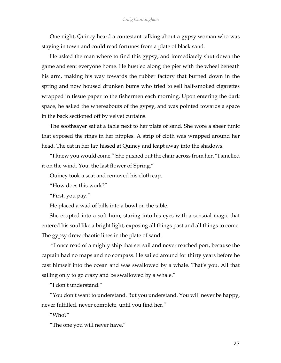One night, Quincy heard a contestant talking about a gypsy woman who was staying in town and could read fortunes from a plate of black sand.

He asked the man where to find this gypsy, and immediately shut down the game and sent everyone home. He hustled along the pier with the wheel beneath his arm, making his way towards the rubber factory that burned down in the spring and now housed drunken bums who tried to sell half-smoked cigarettes wrapped in tissue paper to the fishermen each morning. Upon entering the dark space, he asked the whereabouts of the gypsy, and was pointed towards a space in the back sectioned off by velvet curtains.

The soothsayer sat at a table next to her plate of sand. She wore a sheer tunic that exposed the rings in her nipples. A strip of cloth was wrapped around her head. The cat in her lap hissed at Quincy and leapt away into the shadows.

"I knew you would come." She pushed out the chair across from her. "I smelled it on the wind. You, the last flower of Spring."

Quincy took a seat and removed his cloth cap.

"How does this work?"

"First, you pay."

He placed a wad of bills into a bowl on the table.

She erupted into a soft hum, staring into his eyes with a sensual magic that entered his soul like a bright light, exposing all things past and all things to come. The gypsy drew chaotic lines in the plate of sand.

"I once read of a mighty ship that set sail and never reached port, because the captain had no maps and no compass. He sailed around for thirty years before he cast himself into the ocean and was swallowed by a whale. That's you. All that sailing only to go crazy and be swallowed by a whale."

"I don't understand."

"You don't want to understand. But you understand. You will never be happy, never fulfilled, never complete, until you find her."

"Who?"

"The one you will never have."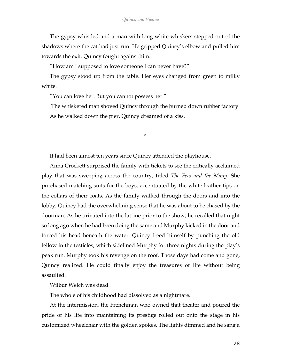The gypsy whistled and a man with long white whiskers stepped out of the shadows where the cat had just run. He gripped Quincy's elbow and pulled him towards the exit. Quincy fought against him.

"How am I supposed to love someone I can never have?"

The gypsy stood up from the table. Her eyes changed from green to milky white.

"You can love her. But you cannot possess her."

The whiskered man shoved Quincy through the burned down rubber factory. As he walked down the pier, Quincy dreamed of a kiss.

\*

It had been almost ten years since Quincy attended the playhouse.

Anna Crockett surprised the family with tickets to see the critically acclaimed play that was sweeping across the country, titled *The Few and the Many*. She purchased matching suits for the boys, accentuated by the white leather tips on the collars of their coats. As the family walked through the doors and into the lobby, Quincy had the overwhelming sense that he was about to be chased by the doorman. As he urinated into the latrine prior to the show, he recalled that night so long ago when he had been doing the same and Murphy kicked in the door and forced his head beneath the water. Quincy freed himself by punching the old fellow in the testicles, which sidelined Murphy for three nights during the play's peak run. Murphy took his revenge on the roof. Those days had come and gone, Quincy realized. He could finally enjoy the treasures of life without being assaulted.

Wilbur Welch was dead.

The whole of his childhood had dissolved as a nightmare.

At the intermission, the Frenchman who owned that theater and poured the pride of his life into maintaining its prestige rolled out onto the stage in his customized wheelchair with the golden spokes. The lights dimmed and he sang a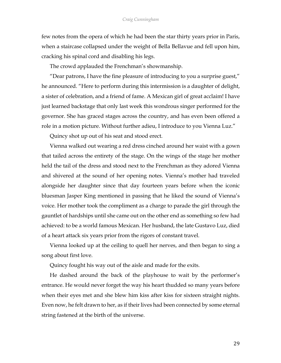few notes from the opera of which he had been the star thirty years prior in Paris, when a staircase collapsed under the weight of Bella Bellavue and fell upon him, cracking his spinal cord and disabling his legs.

The crowd applauded the Frenchman's showmanship.

"Dear patrons, I have the fine pleasure of introducing to you a surprise guest," he announced. "Here to perform during this intermission is a daughter of delight, a sister of celebration, and a friend of fame. A Mexican girl of great acclaim! I have just learned backstage that only last week this wondrous singer performed for the governor. She has graced stages across the country, and has even been offered a role in a motion picture. Without further adieu, I introduce to you Vienna Luz."

Quincy shot up out of his seat and stood erect.

Vienna walked out wearing a red dress cinched around her waist with a gown that tailed across the entirety of the stage. On the wings of the stage her mother held the tail of the dress and stood next to the Frenchman as they adored Vienna and shivered at the sound of her opening notes. Vienna's mother had traveled alongside her daughter since that day fourteen years before when the iconic bluesman Jasper King mentioned in passing that he liked the sound of Vienna's voice. Her mother took the compliment as a charge to parade the girl through the gauntlet of hardships until she came out on the other end as something so few had achieved: to be a world famous Mexican. Her husband, the late Gustavo Luz, died of a heart attack six years prior from the rigors of constant travel.

Vienna looked up at the ceiling to quell her nerves, and then began to sing a song about first love.

Quincy fought his way out of the aisle and made for the exits.

He dashed around the back of the playhouse to wait by the performer's entrance. He would never forget the way his heart thudded so many years before when their eyes met and she blew him kiss after kiss for sixteen straight nights. Even now, he felt drawn to her, as if their lives had been connected by some eternal string fastened at the birth of the universe.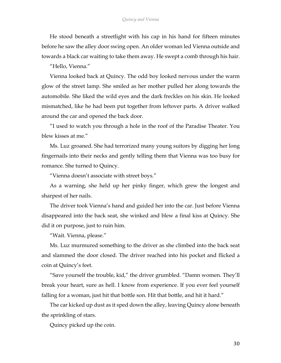He stood beneath a streetlight with his cap in his hand for fifteen minutes before he saw the alley door swing open. An older woman led Vienna outside and towards a black car waiting to take them away. He swept a comb through his hair.

"Hello, Vienna."

Vienna looked back at Quincy. The odd boy looked nervous under the warm glow of the street lamp. She smiled as her mother pulled her along towards the automobile. She liked the wild eyes and the dark freckles on his skin. He looked mismatched, like he had been put together from leftover parts. A driver walked around the car and opened the back door.

"I used to watch you through a hole in the roof of the Paradise Theater. You blew kisses at me."

Ms. Luz groaned. She had terrorized many young suitors by digging her long fingernails into their necks and gently telling them that Vienna was too busy for romance. She turned to Quincy.

"Vienna doesn't associate with street boys."

As a warning, she held up her pinky finger, which grew the longest and sharpest of her nails.

The driver took Vienna's hand and guided her into the car. Just before Vienna disappeared into the back seat, she winked and blew a final kiss at Quincy. She did it on purpose, just to ruin him.

"Wait. Vienna, please."

Ms. Luz murmured something to the driver as she climbed into the back seat and slammed the door closed. The driver reached into his pocket and flicked a coin at Quincy's feet.

"Save yourself the trouble, kid," the driver grumbled. "Damn women. They'll break your heart, sure as hell. I know from experience. If you ever feel yourself falling for a woman, just hit that bottle son. Hit that bottle, and hit it hard."

The car kicked up dust as it sped down the alley, leaving Quincy alone beneath the sprinkling of stars.

Quincy picked up the coin.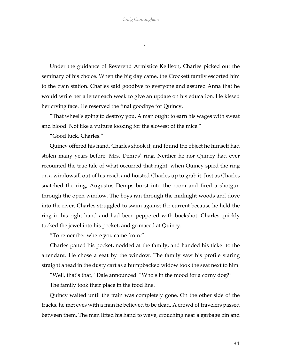\*

Under the guidance of Reverend Armistice Kellison, Charles picked out the seminary of his choice. When the big day came, the Crockett family escorted him to the train station. Charles said goodbye to everyone and assured Anna that he would write her a letter each week to give an update on his education. He kissed her crying face. He reserved the final goodbye for Quincy.

"That wheel's going to destroy you. A man ought to earn his wages with sweat and blood. Not like a vulture looking for the slowest of the mice."

"Good luck, Charles."

Quincy offered his hand. Charles shook it, and found the object he himself had stolen many years before: Mrs. Demps' ring. Neither he nor Quincy had ever recounted the true tale of what occurred that night, when Quincy spied the ring on a windowsill out of his reach and hoisted Charles up to grab it. Just as Charles snatched the ring, Augustus Demps burst into the room and fired a shotgun through the open window. The boys ran through the midnight woods and dove into the river. Charles struggled to swim against the current because he held the ring in his right hand and had been peppered with buckshot. Charles quickly tucked the jewel into his pocket, and grimaced at Quincy.

"To remember where you came from."

Charles patted his pocket, nodded at the family, and handed his ticket to the attendant. He chose a seat by the window. The family saw his profile staring straight ahead in the dusty cart as a humpbacked widow took the seat next to him.

"Well, that's that," Dale announced. "Who's in the mood for a corny dog?"

The family took their place in the food line.

Quincy waited until the train was completely gone. On the other side of the tracks, he met eyes with a man he believed to be dead. A crowd of travelers passed between them. The man lifted his hand to wave, crouching near a garbage bin and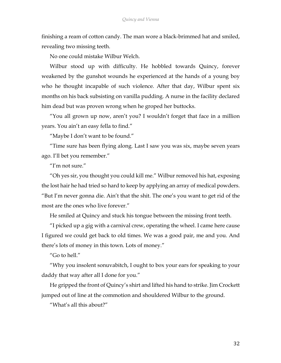finishing a ream of cotton candy. The man wore a black-brimmed hat and smiled, revealing two missing teeth.

No one could mistake Wilbur Welch.

Wilbur stood up with difficulty. He hobbled towards Quincy, forever weakened by the gunshot wounds he experienced at the hands of a young boy who he thought incapable of such violence. After that day, Wilbur spent six months on his back subsisting on vanilla pudding. A nurse in the facility declared him dead but was proven wrong when he groped her buttocks.

"You all grown up now, aren't you? I wouldn't forget that face in a million years. You ain't an easy fella to find."

"Maybe I don't want to be found."

"Time sure has been flying along. Last I saw you was six, maybe seven years ago. I'll bet you remember."

"I'm not sure."

"Oh yes sir, you thought you could kill me." Wilbur removed his hat, exposing the lost hair he had tried so hard to keep by applying an array of medical powders. "But I'm never gonna die. Ain't that the shit. The one's you want to get rid of the most are the ones who live forever."

He smiled at Quincy and stuck his tongue between the missing front teeth.

"I picked up a gig with a carnival crew, operating the wheel. I came here cause I figured we could get back to old times. We was a good pair, me and you. And there's lots of money in this town. Lots of money."

"Go to hell."

"Why you insolent sonuvabitch, I ought to box your ears for speaking to your daddy that way after all I done for you."

He gripped the front of Quincy's shirt and lifted his hand to strike. Jim Crockett jumped out of line at the commotion and shouldered Wilbur to the ground.

"What's all this about?"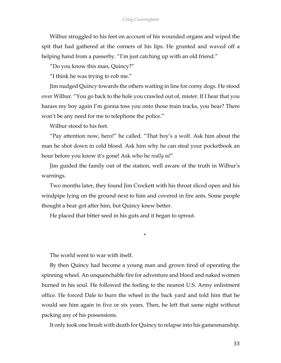Wilbur struggled to his feet on account of his wounded organs and wiped the spit that had gathered at the corners of his lips. He grunted and waved off a helping hand from a passerby. "I'm just catching up with an old friend."

"Do you know this man, Quincy?"

"I think he was trying to rob me."

Jim nudged Quincy towards the others waiting in line for corny dogs. He stood over Wilbur. "You go back to the hole you crawled out of, mister. If I hear that you harass my boy again I'm gonna toss you onto those train tracks, you hear? There won't be any need for me to telephone the police."

Wilbur stood to his feet.

"Pay attention now, hero!" he called. "That boy's a wolf. Ask him about the man he shot down in cold blood. Ask him why he can steal your pocketbook an hour before you know it's gone! Ask who he *really* is!"

Jim guided the family out of the station, well aware of the truth in Wilbur's warnings.

Two months later, they found Jim Crockett with his throat sliced open and his windpipe lying on the ground next to him and covered in fire ants. Some people thought a bear got after him, but Quincy knew better.

He placed that bitter seed in his guts and it began to sprout.

\*

The world went to war with itself.

By then Quincy had become a young man and grown tired of operating the spinning wheel. An unquenchable fire for adventure and blood and naked women burned in his soul. He followed the feeling to the nearest U.S. Army enlistment office. He forced Dale to burn the wheel in the back yard and told him that he would see him again in five or six years. Then, he left that same night without packing any of his possessions.

It only took one brush with death for Quincy to relapse into his gamesmanship.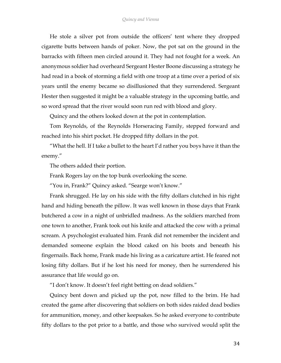## *Quincy and Vienna*

He stole a silver pot from outside the officers' tent where they dropped cigarette butts between hands of poker. Now, the pot sat on the ground in the barracks with fifteen men circled around it. They had not fought for a week. An anonymous soldier had overheard Sergeant Hester Boone discussing a strategy he had read in a book of storming a field with one troop at a time over a period of six years until the enemy became so disillusioned that they surrendered. Sergeant Hester then suggested it might be a valuable strategy in the upcoming battle, and so word spread that the river would soon run red with blood and glory.

Quincy and the others looked down at the pot in contemplation.

Tom Reynolds, of the Reynolds Horseracing Family, stepped forward and reached into his shirt pocket. He dropped fifty dollars in the pot.

"What the hell. If I take a bullet to the heart I'd rather you boys have it than the enemy."

The others added their portion.

Frank Rogers lay on the top bunk overlooking the scene.

"You in, Frank?" Quincy asked. "Searge won't know."

Frank shrugged. He lay on his side with the fifty dollars clutched in his right hand and hiding beneath the pillow. It was well known in those days that Frank butchered a cow in a night of unbridled madness. As the soldiers marched from one town to another, Frank took out his knife and attacked the cow with a primal scream. A psychologist evaluated him. Frank did not remember the incident and demanded someone explain the blood caked on his boots and beneath his fingernails. Back home, Frank made his living as a caricature artist. He feared not losing fifty dollars. But if he lost his need for money, then he surrendered his assurance that life would go on.

"I don't know. It doesn't feel right betting on dead soldiers."

Quincy bent down and picked up the pot, now filled to the brim. He had created the game after discovering that soldiers on both sides raided dead bodies for ammunition, money, and other keepsakes. So he asked everyone to contribute fifty dollars to the pot prior to a battle, and those who survived would split the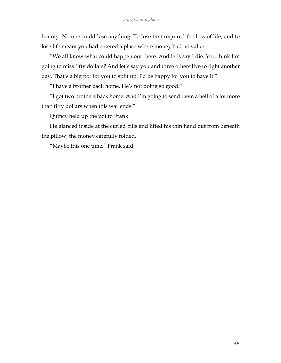bounty. No one could lose anything. To lose first required the loss of life, and to lose life meant you had entered a place where money had no value.

"We all know what could happen out there. And let's say I die. You think I'm going to miss fifty dollars? And let's say you and three others live to fight another day. That's a big pot for you to split up. I'd be happy for you to have it."

"I have a brother back home. He's not doing so good."

"I got two brothers back home. And I'm going to send them a hell of a lot more than fifty dollars when this war ends."

Quincy held up the pot to Frank.

He glanced inside at the curled bills and lifted his thin hand out from beneath the pillow, the money carefully folded.

"Maybe this one time," Frank said.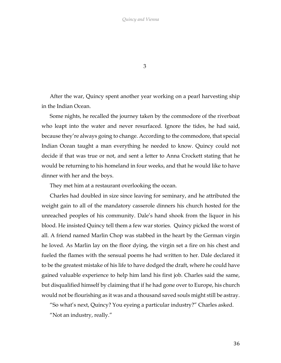3

After the war, Quincy spent another year working on a pearl harvesting ship in the Indian Ocean.

Some nights, he recalled the journey taken by the commodore of the riverboat who leapt into the water and never resurfaced. Ignore the tides, he had said, because they're always going to change. According to the commodore, that special Indian Ocean taught a man everything he needed to know. Quincy could not decide if that was true or not, and sent a letter to Anna Crockett stating that he would be returning to his homeland in four weeks, and that he would like to have dinner with her and the boys.

They met him at a restaurant overlooking the ocean.

Charles had doubled in size since leaving for seminary, and he attributed the weight gain to all of the mandatory casserole dinners his church hosted for the unreached peoples of his community. Dale's hand shook from the liquor in his blood. He insisted Quincy tell them a few war stories. Quincy picked the worst of all. A friend named Marlin Chop was stabbed in the heart by the German virgin he loved. As Marlin lay on the floor dying, the virgin set a fire on his chest and fueled the flames with the sensual poems he had written to her. Dale declared it to be the greatest mistake of his life to have dodged the draft, where he could have gained valuable experience to help him land his first job. Charles said the same, but disqualified himself by claiming that if he had gone over to Europe, his church would not be flourishing as it was and a thousand saved souls might still be astray.

"So what's next, Quincy? You eyeing a particular industry?" Charles asked.

"Not an industry, really."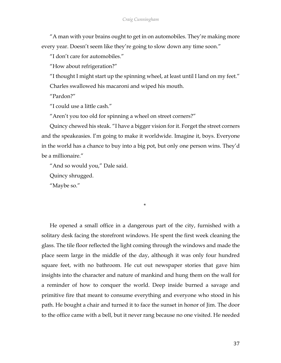"A man with your brains ought to get in on automobiles. They're making more every year. Doesn't seem like they're going to slow down any time soon."

"I don't care for automobiles."

"How about refrigeration?"

"I thought I might start up the spinning wheel, at least until I land on my feet."

Charles swallowed his macaroni and wiped his mouth.

"Pardon?"

"I could use a little cash."

"Aren't you too old for spinning a wheel on street corners?"

Quincy chewed his steak. "I have a bigger vision for it. Forget the street corners and the speakeasies. I'm going to make it worldwide. Imagine it, boys. Everyone in the world has a chance to buy into a big pot, but only one person wins. They'd be a millionaire."

\*

"And so would you," Dale said.

Quincy shrugged.

"Maybe so."

He opened a small office in a dangerous part of the city, furnished with a solitary desk facing the storefront windows. He spent the first week cleaning the glass. The tile floor reflected the light coming through the windows and made the place seem large in the middle of the day, although it was only four hundred square feet, with no bathroom. He cut out newspaper stories that gave him insights into the character and nature of mankind and hung them on the wall for a reminder of how to conquer the world. Deep inside burned a savage and primitive fire that meant to consume everything and everyone who stood in his path. He bought a chair and turned it to face the sunset in honor of Jim. The door to the office came with a bell, but it never rang because no one visited. He needed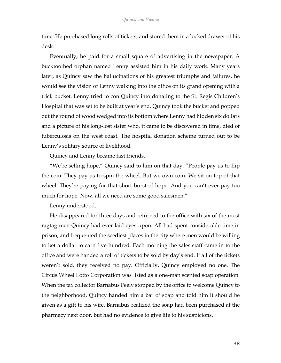time. He purchased long rolls of tickets, and stored them in a locked drawer of his desk.

Eventually, he paid for a small square of advertising in the newspaper. A bucktoothed orphan named Lenny assisted him in his daily work. Many years later, as Quincy saw the hallucinations of his greatest triumphs and failures, he would see the vision of Lenny walking into the office on its grand opening with a trick bucket. Lenny tried to con Quincy into donating to the St. Regis Children's Hospital that was set to be built at year's end. Quincy took the bucket and popped out the round of wood wedged into its bottom where Lenny had hidden six dollars and a picture of his long-lost sister who, it came to be discovered in time, died of tuberculosis on the west coast. The hospital donation scheme turned out to be Lenny's solitary source of livelihood.

Quincy and Lenny became fast friends.

"We're selling hope," Quincy said to him on that day. "People pay us to flip the coin. They pay us to spin the wheel. But we own coin. We sit on top of that wheel. They're paying for that short burst of hope. And you can't ever pay too much for hope. Now, all we need are some good salesmen."

Lenny understood.

He disappeared for three days and returned to the office with six of the most ragtag men Quincy had ever laid eyes upon. All had spent considerable time in prison, and frequented the seediest places in the city where men would be willing to bet a dollar to earn five hundred. Each morning the sales staff came in to the office and were handed a roll of tickets to be sold by day's end. If all of the tickets weren't sold, they received no pay. Officially, Quincy employed no one. The Circus Wheel Lotto Corporation was listed as a one-man scented soap operation. When the tax collector Barnabus Feely stopped by the office to welcome Quincy to the neighborhood, Quincy handed him a bar of soap and told him it should be given as a gift to his wife. Barnabus realized the soap had been purchased at the pharmacy next door, but had no evidence to give life to his suspicions.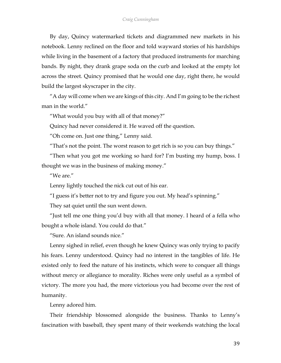By day, Quincy watermarked tickets and diagrammed new markets in his notebook. Lenny reclined on the floor and told wayward stories of his hardships while living in the basement of a factory that produced instruments for marching bands. By night, they drank grape soda on the curb and looked at the empty lot across the street. Quincy promised that he would one day, right there, he would build the largest skyscraper in the city.

"A day will come when we are kings of this city. And I'm going to be the richest man in the world."

"What would you buy with all of that money?"

Quincy had never considered it. He waved off the question.

"Oh come on. Just one thing," Lenny said.

"That's not the point. The worst reason to get rich is so you can buy things."

"Then what you got me working so hard for? I'm busting my hump, boss. I thought we was in the business of making money."

"We are."

Lenny lightly touched the nick cut out of his ear.

"I guess it's better not to try and figure you out. My head's spinning."

They sat quiet until the sun went down.

"Just tell me one thing you'd buy with all that money. I heard of a fella who bought a whole island. You could do that."

"Sure. An island sounds nice."

Lenny sighed in relief, even though he knew Quincy was only trying to pacify his fears. Lenny understood. Quincy had no interest in the tangibles of life. He existed only to feed the nature of his instincts, which were to conquer all things without mercy or allegiance to morality. Riches were only useful as a symbol of victory. The more you had, the more victorious you had become over the rest of humanity.

Lenny adored him.

Their friendship blossomed alongside the business. Thanks to Lenny's fascination with baseball, they spent many of their weekends watching the local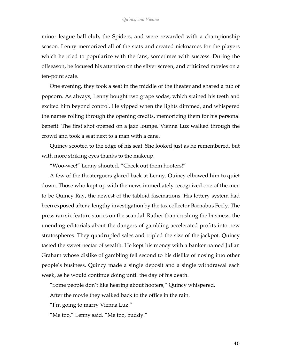minor league ball club, the Spiders, and were rewarded with a championship season. Lenny memorized all of the stats and created nicknames for the players which he tried to popularize with the fans, sometimes with success. During the offseason, he focused his attention on the silver screen, and criticized movies on a ten-point scale.

One evening, they took a seat in the middle of the theater and shared a tub of popcorn. As always, Lenny bought two grape sodas, which stained his teeth and excited him beyond control. He yipped when the lights dimmed, and whispered the names rolling through the opening credits, memorizing them for his personal benefit. The first shot opened on a jazz lounge. Vienna Luz walked through the crowd and took a seat next to a man with a cane.

Quincy scooted to the edge of his seat. She looked just as he remembered, but with more striking eyes thanks to the makeup.

"Woo-wee!" Lenny shouted. "Check out them hooters!"

A few of the theatergoers glared back at Lenny. Quincy elbowed him to quiet down. Those who kept up with the news immediately recognized one of the men to be Quincy Ray, the newest of the tabloid fascinations. His lottery system had been exposed after a lengthy investigation by the tax collector Barnabus Feely. The press ran six feature stories on the scandal. Rather than crushing the business, the unending editorials about the dangers of gambling accelerated profits into new stratospheres. They quadrupled sales and tripled the size of the jackpot. Quincy tasted the sweet nectar of wealth. He kept his money with a banker named Julian Graham whose dislike of gambling fell second to his dislike of nosing into other people's business. Quincy made a single deposit and a single withdrawal each week, as he would continue doing until the day of his death.

"Some people don't like hearing about hooters," Quincy whispered.

After the movie they walked back to the office in the rain.

"I'm going to marry Vienna Luz."

"Me too," Lenny said. "Me too, buddy."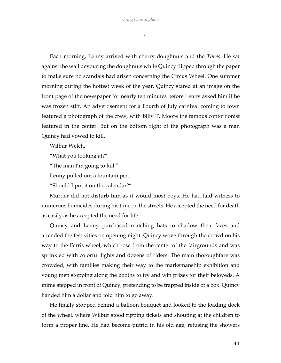\*

Each morning, Lenny arrived with cherry doughnuts and the *Times*. He sat against the wall devouring the doughnuts while Quincy flipped through the paper to make sure no scandals had arisen concerning the Circus Wheel. One summer morning during the hottest week of the year, Quincy stared at an image on the front page of the newspaper for nearly ten minutes before Lenny asked him if he was frozen stiff. An advertisement for a Fourth of July carnival coming to town featured a photograph of the crew, with Billy T. Moore the famous contortionist featured in the center. But on the bottom right of the photograph was a man Quincy had vowed to kill.

Wilbur Welch.

"What you looking at?"

"The man I'm going to kill."

Lenny pulled out a fountain pen.

"Should I put it on the calendar?"

Murder did not disturb him as it would most boys. He had laid witness to numerous homicides during his time on the streets. He accepted the need for death as easily as he accepted the need for life.

Quincy and Lenny purchased matching hats to shadow their faces and attended the festivities on opening night. Quincy wove through the crowd on his way to the Ferris wheel, which rose from the center of the fairgrounds and was sprinkled with colorful lights and dozens of riders. The main thoroughfare was crowded, with families making their way to the marksmanship exhibition and young men stopping along the booths to try and win prizes for their beloveds. A mime stepped in front of Quincy, pretending to be trapped inside of a box. Quincy handed him a dollar and told him to go away.

He finally stopped behind a balloon bouquet and looked to the loading dock of the wheel. where Wilbur stood ripping tickets and shouting at the children to form a proper line. He had become putrid in his old age, refusing the showers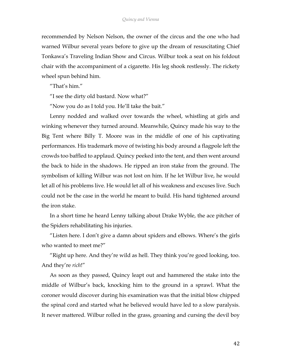recommended by Nelson Nelson, the owner of the circus and the one who had warned Wilbur several years before to give up the dream of resuscitating Chief Tonkawa's Traveling Indian Show and Circus. Wilbur took a seat on his foldout chair with the accompaniment of a cigarette. His leg shook restlessly. The rickety wheel spun behind him.

"That's him."

"I see the dirty old bastard. Now what?"

"Now you do as I told you. He'll take the bait."

Lenny nodded and walked over towards the wheel, whistling at girls and winking whenever they turned around. Meanwhile, Quincy made his way to the Big Tent where Billy T. Moore was in the middle of one of his captivating performances. His trademark move of twisting his body around a flagpole left the crowds too baffled to applaud. Quincy peeked into the tent, and then went around the back to hide in the shadows. He ripped an iron stake from the ground. The symbolism of killing Wilbur was not lost on him. If he let Wilbur live, he would let all of his problems live. He would let all of his weakness and excuses live. Such could not be the case in the world he meant to build. His hand tightened around the iron stake.

In a short time he heard Lenny talking about Drake Wyble, the ace pitcher of the Spiders rehabilitating his injuries.

"Listen here. I don't give a damn about spiders and elbows. Where's the girls who wanted to meet me?"

"Right up here. And they're wild as hell. They think you're good looking, too. And they're *rich*!"

As soon as they passed, Quincy leapt out and hammered the stake into the middle of Wilbur's back, knocking him to the ground in a sprawl. What the coroner would discover during his examination was that the initial blow chipped the spinal cord and started what he believed would have led to a slow paralysis. It never mattered. Wilbur rolled in the grass, groaning and cursing the devil boy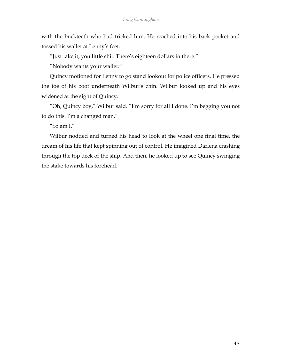with the buckteeth who had tricked him. He reached into his back pocket and tossed his wallet at Lenny's feet.

"Just take it, you little shit. There's eighteen dollars in there."

"Nobody wants your wallet."

Quincy motioned for Lenny to go stand lookout for police officers. He pressed the toe of his boot underneath Wilbur's chin. Wilbur looked up and his eyes widened at the sight of Quincy.

"Oh, Quincy boy," Wilbur said. "I'm sorry for all I done. I'm begging you not to do this. I'm a changed man."

"So am I."

Wilbur nodded and turned his head to look at the wheel one final time, the dream of his life that kept spinning out of control. He imagined Darlena crashing through the top deck of the ship. And then, he looked up to see Quincy swinging the stake towards his forehead.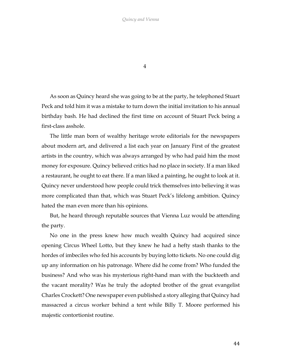4

As soon as Quincy heard she was going to be at the party, he telephoned Stuart Peck and told him it was a mistake to turn down the initial invitation to his annual birthday bash. He had declined the first time on account of Stuart Peck being a first-class asshole.

The little man born of wealthy heritage wrote editorials for the newspapers about modern art, and delivered a list each year on January First of the greatest artists in the country, which was always arranged by who had paid him the most money for exposure. Quincy believed critics had no place in society. If a man liked a restaurant, he ought to eat there. If a man liked a painting, he ought to look at it. Quincy never understood how people could trick themselves into believing it was more complicated than that, which was Stuart Peck's lifelong ambition. Quincy hated the man even more than his opinions.

But, he heard through reputable sources that Vienna Luz would be attending the party.

No one in the press knew how much wealth Quincy had acquired since opening Circus Wheel Lotto, but they knew he had a hefty stash thanks to the hordes of imbeciles who fed his accounts by buying lotto tickets. No one could dig up any information on his patronage. Where did he come from? Who funded the business? And who was his mysterious right-hand man with the buckteeth and the vacant morality? Was he truly the adopted brother of the great evangelist Charles Crockett? One newspaper even published a story alleging that Quincy had massacred a circus worker behind a tent while Billy T. Moore performed his majestic contortionist routine.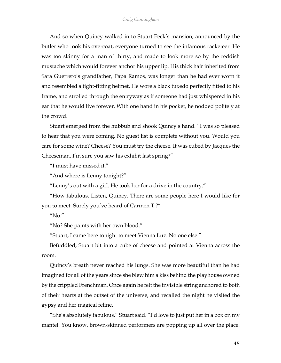And so when Quincy walked in to Stuart Peck's mansion, announced by the butler who took his overcoat, everyone turned to see the infamous racketeer. He was too skinny for a man of thirty, and made to look more so by the reddish mustache which would forever anchor his upper lip. His thick hair inherited from Sara Guerrero's grandfather, Papa Ramos, was longer than he had ever worn it and resembled a tight-fitting helmet. He wore a black tuxedo perfectly fitted to his frame, and strolled through the entryway as if someone had just whispered in his ear that he would live forever. With one hand in his pocket, he nodded politely at the crowd.

Stuart emerged from the hubbub and shook Quincy's hand. "I was so pleased to hear that you were coming. No guest list is complete without you. Would you care for some wine? Cheese? You must try the cheese. It was cubed by Jacques the Cheeseman. I'm sure you saw his exhibit last spring?"

"I must have missed it."

"And where is Lenny tonight?"

"Lenny's out with a girl. He took her for a drive in the country."

"How fabulous. Listen, Quincy. There are some people here I would like for you to meet. Surely you've heard of Carmen T.?"

" $N_0$ "

"No? She paints with her own blood."

"Stuart, I came here tonight to meet Vienna Luz. No one else."

Befuddled, Stuart bit into a cube of cheese and pointed at Vienna across the room.

Quincy's breath never reached his lungs. She was more beautiful than he had imagined for all of the years since she blew him a kiss behind the playhouse owned by the crippled Frenchman. Once again he felt the invisible string anchored to both of their hearts at the outset of the universe, and recalled the night he visited the gypsy and her magical feline.

"She's absolutely fabulous," Stuart said. "I'd love to just put her in a box on my mantel. You know, brown-skinned performers are popping up all over the place.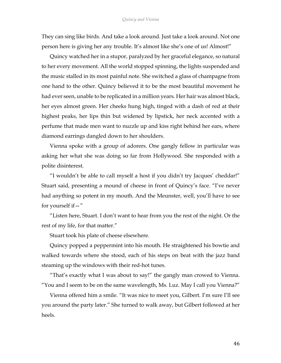They can sing like birds. And take a look around. Just take a look around. Not one person here is giving her any trouble. It's almost like she's one of us! Almost!"

Quincy watched her in a stupor, paralyzed by her graceful elegance, so natural to her every movement. All the world stopped spinning, the lights suspended and the music stalled in its most painful note. She switched a glass of champagne from one hand to the other. Quincy believed it to be the most beautiful movement he had ever seen, unable to be replicated in a million years. Her hair was almost black, her eyes almost green. Her cheeks hung high, tinged with a dash of red at their highest peaks, her lips thin but widened by lipstick, her neck accented with a perfume that made men want to nuzzle up and kiss right behind her ears, where diamond earrings dangled down to her shoulders.

Vienna spoke with a group of adorers. One gangly fellow in particular was asking her what she was doing so far from Hollywood. She responded with a polite disinterest.

"I wouldn't be able to call myself a host if you didn't try Jacques' cheddar!" Stuart said, presenting a mound of cheese in front of Quincy's face. "I've never had anything so potent in my mouth. And the Meunster, well, you'll have to see for yourself if—"

"Listen here, Stuart. I don't want to hear from you the rest of the night. Or the rest of my life, for that matter."

Stuart took his plate of cheese elsewhere.

Quincy popped a peppermint into his mouth. He straightened his bowtie and walked towards where she stood, each of his steps on beat with the jazz band steaming up the windows with their red-hot tunes.

"That's exactly what I was about to say!" the gangly man crowed to Vienna. "You and I seem to be on the same wavelength, Ms. Luz. May I call you Vienna?"

Vienna offered him a smile. "It was nice to meet you, Gilbert. I'm sure I'll see you around the party later." She turned to walk away, but Gilbert followed at her heels.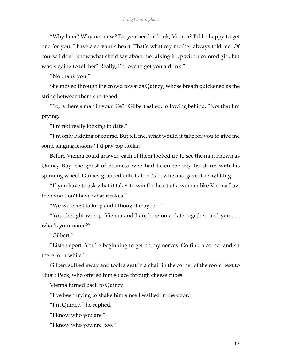"Why later? Why not now? Do you need a drink, Vienna? I'd be happy to get one for you. I have a servant's heart. That's what my mother always told me. Of course I don't know what she'd say about me talking it up with a colored girl, but who's going to tell her? Really, I'd love to get you a drink."

"No thank you."

She moved through the crowd towards Quincy, whose breath quickened as the string between them shortened.

"So, is there a man in your life?" Gilbert asked, following behind. "Not that I'm prying."

"I'm not really looking to date."

"I'm only kidding of course. But tell me, what would it take for you to give me some singing lessons? I'd pay top dollar."

Before Vienna could answer, each of them looked up to see the man known as Quincy Ray, the ghost of business who had taken the city by storm with his spinning wheel. Quincy grabbed onto Gilbert's bowtie and gave it a slight tug.

"If you have to ask what it takes to win the heart of a woman like Vienna Luz, then you don't have what it takes."

"We were just talking and I thought maybe  $-$ "

"You thought wrong. Vienna and I are here on a date together, and you  $\dots$ what's your name?"

"Gilbert."

"Listen sport. You're beginning to get on my nerves. Go find a corner and sit there for a while."

Gilbert sulked away and took a seat in a chair in the corner of the room next to Stuart Peck, who offered him solace through cheese cubes.

Vienna turned back to Quincy.

"I've been trying to shake him since I walked in the door."

"I'm Quincy," he replied.

"I know who you are."

"I know who you are, too."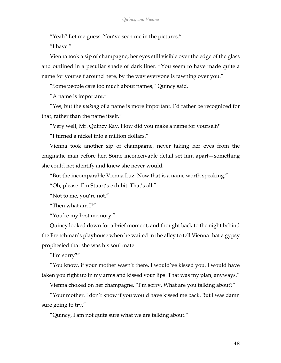"Yeah? Let me guess. You've seen me in the pictures."

"I have"

Vienna took a sip of champagne, her eyes still visible over the edge of the glass and outlined in a peculiar shade of dark liner. "You seem to have made quite a name for yourself around here, by the way everyone is fawning over you."

"Some people care too much about names," Quincy said.

"A name is important."

"Yes, but the *making* of a name is more important. I'd rather be recognized for that, rather than the name itself."

"Very well, Mr. Quincy Ray. How did you make a name for yourself?"

"I turned a nickel into a million dollars."

Vienna took another sip of champagne, never taking her eyes from the enigmatic man before her. Some inconceivable detail set him apart—something she could not identify and knew she never would.

"But the incomparable Vienna Luz. Now that is a name worth speaking."

"Oh, please. I'm Stuart's exhibit. That's all."

"Not to me, you're not."

"Then what am I?"

"You're my best memory."

Quincy looked down for a brief moment, and thought back to the night behind the Frenchman's playhouse when he waited in the alley to tell Vienna that a gypsy prophesied that she was his soul mate.

"I'm sorry?"

"You know, if your mother wasn't there, I would've kissed you. I would have taken you right up in my arms and kissed your lips. That was my plan, anyways."

Vienna choked on her champagne. "I'm sorry. What are you talking about?"

"Your mother. I don't know if you would have kissed me back. But I was damn sure going to try."

"Quincy, I am not quite sure what we are talking about."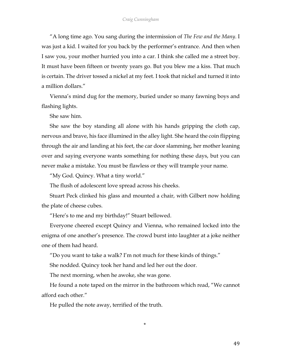"A long time ago. You sang during the intermission of *The Few and the Many*. I was just a kid. I waited for you back by the performer's entrance. And then when I saw you, your mother hurried you into a car. I think she called me a street boy. It must have been fifteen or twenty years go. But you blew me a kiss. That much is certain. The driver tossed a nickel at my feet. I took that nickel and turned it into a million dollars."

Vienna's mind dug for the memory, buried under so many fawning boys and flashing lights.

She saw him.

She saw the boy standing all alone with his hands gripping the cloth cap, nervous and brave, his face illumined in the alley light. She heard the coin flipping through the air and landing at his feet, the car door slamming, her mother leaning over and saying everyone wants something for nothing these days, but you can never make a mistake. You must be flawless or they will trample your name.

"My God. Quincy. What a tiny world."

The flush of adolescent love spread across his cheeks.

Stuart Peck clinked his glass and mounted a chair, with Gilbert now holding the plate of cheese cubes.

"Here's to me and my birthday!" Stuart bellowed.

Everyone cheered except Quincy and Vienna, who remained locked into the enigma of one another's presence. The crowd burst into laughter at a joke neither one of them had heard.

"Do you want to take a walk? I'm not much for these kinds of things."

She nodded. Quincy took her hand and led her out the door.

The next morning, when he awoke, she was gone.

He found a note taped on the mirror in the bathroom which read, "We cannot afford each other."

\*

He pulled the note away, terrified of the truth.

49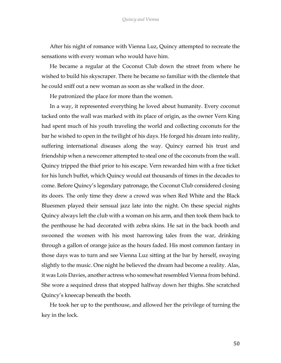After his night of romance with Vienna Luz, Quincy attempted to recreate the sensations with every woman who would have him.

He became a regular at the Coconut Club down the street from where he wished to build his skyscraper. There he became so familiar with the clientele that he could sniff out a new woman as soon as she walked in the door.

He patronized the place for more than the women.

In a way, it represented everything he loved about humanity. Every coconut tacked onto the wall was marked with its place of origin, as the owner Vern King had spent much of his youth traveling the world and collecting coconuts for the bar he wished to open in the twilight of his days. He forged his dream into reality, suffering international diseases along the way. Quincy earned his trust and friendship when a newcomer attempted to steal one of the coconuts from the wall. Quincy tripped the thief prior to his escape. Vern rewarded him with a free ticket for his lunch buffet, which Quincy would eat thousands of times in the decades to come. Before Quincy's legendary patronage, the Coconut Club considered closing its doors. The only time they drew a crowd was when Red White and the Black Bluesmen played their sensual jazz late into the night. On these special nights Quincy always left the club with a woman on his arm, and then took them back to the penthouse he had decorated with zebra skins. He sat in the back booth and swooned the women with his most harrowing tales from the war, drinking through a gallon of orange juice as the hours faded. His most common fantasy in those days was to turn and see Vienna Luz sitting at the bar by herself, swaying slightly to the music. One night he believed the dream had become a reality. Alas, it was Lois Davies, another actress who somewhat resembled Vienna from behind. She wore a sequined dress that stopped halfway down her thighs. She scratched Quincy's kneecap beneath the booth.

He took her up to the penthouse, and allowed her the privilege of turning the key in the lock.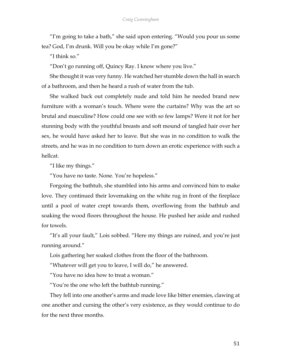"I'm going to take a bath," she said upon entering. "Would you pour us some tea? God, I'm drunk. Will you be okay while I'm gone?"

"I think so."

"Don't go running off, Quincy Ray. I know where you live."

She thought it was very funny. He watched her stumble down the hall in search of a bathroom, and then he heard a rush of water from the tub.

She walked back out completely nude and told him he needed brand new furniture with a woman's touch. Where were the curtains? Why was the art so brutal and masculine? How could one see with so few lamps? Were it not for her stunning body with the youthful breasts and soft mound of tangled hair over her sex, he would have asked her to leave. But she was in no condition to walk the streets, and he was in no condition to turn down an erotic experience with such a hellcat.

"I like my things."

"You have no taste. None. You're hopeless."

Forgoing the bathtub, she stumbled into his arms and convinced him to make love. They continued their lovemaking on the white rug in front of the fireplace until a pool of water crept towards them, overflowing from the bathtub and soaking the wood floors throughout the house. He pushed her aside and rushed for towels.

"It's all your fault," Lois sobbed. "Here my things are ruined, and you're just running around."

Lois gathering her soaked clothes from the floor of the bathroom.

"Whatever will get you to leave, I will do," he answered.

"You have no idea how to treat a woman."

"You're the one who left the bathtub running."

They fell into one another's arms and made love like bitter enemies, clawing at one another and cursing the other's very existence, as they would continue to do for the next three months.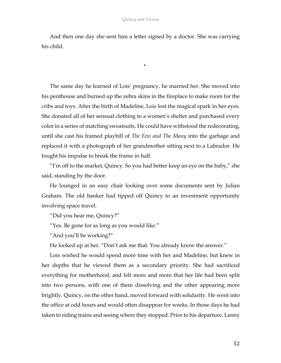And then one day she sent him a letter signed by a doctor. She was carrying his child.

\*

The same day he learned of Lois' pregnancy, he married her. She moved into his penthouse and burned up the zebra skins in the fireplace to make room for the cribs and toys. After the birth of Madeline, Lois lost the magical spark in her eyes. She donated all of her sensual clothing to a women's shelter and purchased every color in a series of matching sweatsuits. He could have withstood the redecorating, until she cast his framed playbill of *The Few and The Many* into the garbage and replaced it with a photograph of her grandmother sitting next to a Labrador. He fought his impulse to break the frame in half.

"I'm off to the market, Quincy. So you had better keep an eye on the baby," she said, standing by the door.

He lounged in an easy chair looking over some documents sent by Julian Graham. The old banker had tipped off Quincy to an investment opportunity involving space travel.

"Did you hear me, Quincy?"

"Yes. Be gone for as long as you would like."

"And you'll be working?"

He looked up at her. "Don't ask me that. You already know the answer."

Lois wished he would spend more time with her and Madeline, but knew in her depths that he viewed them as a secondary priority. She had sacrificed everything for motherhood, and felt more and more that her life had been split into two persons, with one of them dissolving and the other appearing more brightly. Quincy, on the other hand, moved forward with solidarity. He went into the office at odd hours and would often disappear for weeks. In those days he had taken to riding trains and seeing where they stopped. Prior to his departure, Lenny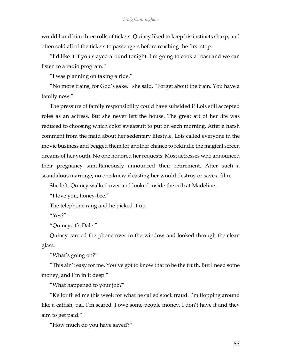would hand him three rolls of tickets. Quincy liked to keep his instincts sharp, and often sold all of the tickets to passengers before reaching the first stop.

"I'd like it if you stayed around tonight. I'm going to cook a roast and we can listen to a radio program."

"I was planning on taking a ride."

"No more trains, for God's sake," she said. "Forget about the train. You have a family now."

The pressure of family responsibility could have subsided if Lois still accepted roles as an actress. But she never left the house. The great art of her life was reduced to choosing which color sweatsuit to put on each morning. After a harsh comment from the maid about her sedentary lifestyle, Lois called everyone in the movie business and begged them for another chance to rekindle the magical screen dreams of her youth. No one honored her requests. Most actresses who announced their pregnancy simultaneously announced their retirement. After such a scandalous marriage, no one knew if casting her would destroy or save a film.

She left. Quincy walked over and looked inside the crib at Madeline.

"I love you, honey-bee."

The telephone rang and he picked it up.

 $^{\prime\prime}Y$ es?"

"Quincy, it's Dale."

Quincy carried the phone over to the window and looked through the clean glass.

"What's going on?"

"This ain't easy for me. You've got to know that to be the truth. But I need some money, and I'm in it deep."

"What happened to your job?"

"Kellor fired me this week for what he called stock fraud. I'm flopping around like a catfish, pal. I'm scared. I owe some people money. I don't have it and they aim to get paid."

"How much do you have saved?"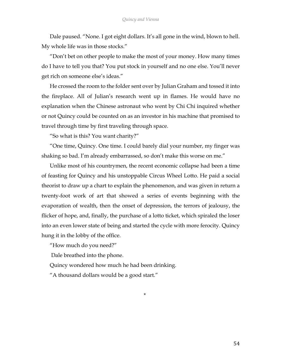Dale paused. "None. I got eight dollars. It's all gone in the wind, blown to hell. My whole life was in those stocks."

"Don't bet on other people to make the most of your money. How many times do I have to tell you that? You put stock in yourself and no one else. You'll never get rich on someone else's ideas."

He crossed the room to the folder sent over by Julian Graham and tossed it into the fireplace. All of Julian's research went up in flames. He would have no explanation when the Chinese astronaut who went by Chi Chi inquired whether or not Quincy could be counted on as an investor in his machine that promised to travel through time by first traveling through space.

"So what is this? You want charity?"

"One time, Quincy. One time. I could barely dial your number, my finger was shaking so bad. I'm already embarrassed, so don't make this worse on me."

Unlike most of his countrymen, the recent economic collapse had been a time of feasting for Quincy and his unstoppable Circus Wheel Lotto. He paid a social theorist to draw up a chart to explain the phenomenon, and was given in return a twenty-foot work of art that showed a series of events beginning with the evaporation of wealth, then the onset of depression, the terrors of jealousy, the flicker of hope, and, finally, the purchase of a lotto ticket, which spiraled the loser into an even lower state of being and started the cycle with more ferocity. Quincy hung it in the lobby of the office.

\*

"How much do you need?"

Dale breathed into the phone.

Quincy wondered how much he had been drinking.

"A thousand dollars would be a good start."

54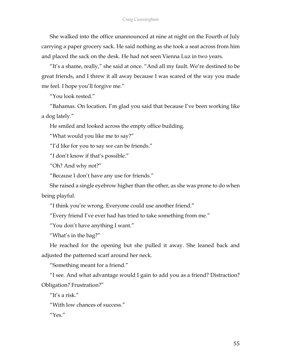She walked into the office unannounced at nine at night on the Fourth of July carrying a paper grocery sack. He said nothing as she took a seat across from him and placed the sack on the desk. He had not seen Vienna Luz in two years.

"It's a shame, really," she said at once. "And all my fault. We're destined to be great friends, and I threw it all away because I was scared of the way you made me feel. I hope you'll forgive me."

"You look rested."

"Bahamas. On location. I'm glad you said that because I've been working like a dog lately."

He smiled and looked across the empty office building.

"What would you like me to say?"

"I'd like for you to say we can be friends."

"I don't know if that's possible."

"Oh? And why not?"

"Because I don't have any use for friends."

She raised a single eyebrow higher than the other, as she was prone to do when being playful.

"I think you're wrong. Everyone could use another friend."

"Every friend I've ever had has tried to take something from me."

"You don't have anything I want."

"What's in the bag?"

He reached for the opening but she pulled it away. She leaned back and adjusted the patterned scarf around her neck.

"Something meant for a friend."

"I see. And what advantage would I gain to add you as a friend? Distraction? Obligation? Frustration?"

"It's a risk."

"With low chances of success."

"Yes."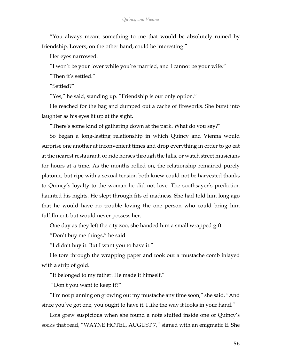"You always meant something to me that would be absolutely ruined by friendship. Lovers, on the other hand, could be interesting."

Her eyes narrowed.

"I won't be your lover while you're married, and I cannot be your wife."

"Then it's settled."

"Settled?"

"Yes," he said, standing up. "Friendship is our only option."

He reached for the bag and dumped out a cache of fireworks. She burst into laughter as his eyes lit up at the sight.

"There's some kind of gathering down at the park. What do you say?"

So began a long-lasting relationship in which Quincy and Vienna would surprise one another at inconvenient times and drop everything in order to go eat at the nearest restaurant, or ride horses through the hills, or watch street musicians for hours at a time. As the months rolled on, the relationship remained purely platonic, but ripe with a sexual tension both knew could not be harvested thanks to Quincy's loyalty to the woman he did not love. The soothsayer's prediction haunted his nights. He slept through fits of madness. She had told him long ago that he would have no trouble loving the one person who could bring him fulfillment, but would never possess her.

One day as they left the city zoo, she handed him a small wrapped gift.

"Don't buy me things," he said.

"I didn't buy it. But I want you to have it."

He tore through the wrapping paper and took out a mustache comb inlayed with a strip of gold.

"It belonged to my father. He made it himself."

"Don't you want to keep it?"

"I'm not planning on growing out my mustache any time soon," she said. "And since you've got one, you ought to have it. I like the way it looks in your hand."

Lois grew suspicious when she found a note stuffed inside one of Quincy's socks that read, "WAYNE HOTEL, AUGUST 7," signed with an enigmatic E. She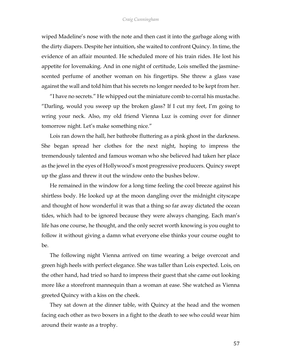## *Craig Cunningham*

wiped Madeline's nose with the note and then cast it into the garbage along with the dirty diapers. Despite her intuition, she waited to confront Quincy. In time, the evidence of an affair mounted. He scheduled more of his train rides. He lost his appetite for lovemaking. And in one night of certitude, Lois smelled the jasminescented perfume of another woman on his fingertips. She threw a glass vase against the wall and told him that his secrets no longer needed to be kept from her.

"I have no secrets." He whipped out the miniature comb to corral his mustache. "Darling, would you sweep up the broken glass? If I cut my feet, I'm going to wring your neck. Also, my old friend Vienna Luz is coming over for dinner tomorrow night. Let's make something nice."

Lois ran down the hall, her bathrobe fluttering as a pink ghost in the darkness. She began spread her clothes for the next night, hoping to impress the tremendously talented and famous woman who she believed had taken her place as the jewel in the eyes of Hollywood's most progressive producers. Quincy swept up the glass and threw it out the window onto the bushes below.

He remained in the window for a long time feeling the cool breeze against his shirtless body. He looked up at the moon dangling over the midnight cityscape and thought of how wonderful it was that a thing so far away dictated the ocean tides, which had to be ignored because they were always changing. Each man's life has one course, he thought, and the only secret worth knowing is you ought to follow it without giving a damn what everyone else thinks your course ought to be.

The following night Vienna arrived on time wearing a beige overcoat and green high heels with perfect elegance. She was taller than Lois expected. Lois, on the other hand, had tried so hard to impress their guest that she came out looking more like a storefront mannequin than a woman at ease. She watched as Vienna greeted Quincy with a kiss on the cheek.

They sat down at the dinner table, with Quincy at the head and the women facing each other as two boxers in a fight to the death to see who could wear him around their waste as a trophy.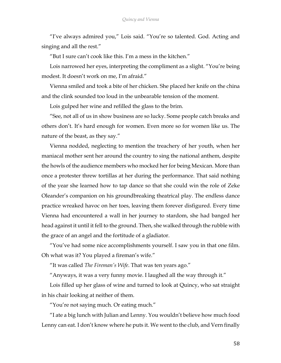"I've always admired you," Lois said. "You're so talented. God. Acting and singing and all the rest."

"But I sure can't cook like this. I'm a mess in the kitchen."

Lois narrowed her eyes, interpreting the compliment as a slight. "You're being modest. It doesn't work on me, I'm afraid."

Vienna smiled and took a bite of her chicken. She placed her knife on the china and the clink sounded too loud in the unbearable tension of the moment.

Lois gulped her wine and refilled the glass to the brim.

"See, not all of us in show business are so lucky. Some people catch breaks and others don't. It's hard enough for women. Even more so for women like us. The nature of the beast, as they say."

Vienna nodded, neglecting to mention the treachery of her youth, when her maniacal mother sent her around the country to sing the national anthem, despite the howls of the audience members who mocked her for being Mexican. More than once a protester threw tortillas at her during the performance. That said nothing of the year she learned how to tap dance so that she could win the role of Zeke Oleander's companion on his groundbreaking theatrical play. The endless dance practice wreaked havoc on her toes, leaving them forever disfigured. Every time Vienna had encountered a wall in her journey to stardom, she had banged her head against it until it fell to the ground. Then, she walked through the rubble with the grace of an angel and the fortitude of a gladiator.

"You've had some nice accomplishments yourself. I saw you in that one film. Oh what was it? You played a fireman's wife."

"It was called *The Fireman's Wife*. That was ten years ago."

"Anyways, it was a very funny movie. I laughed all the way through it."

Lois filled up her glass of wine and turned to look at Quincy, who sat straight in his chair looking at neither of them.

"You're not saying much. Or eating much."

"I ate a big lunch with Julian and Lenny. You wouldn't believe how much food Lenny can eat. I don't know where he puts it. We went to the club, and Vern finally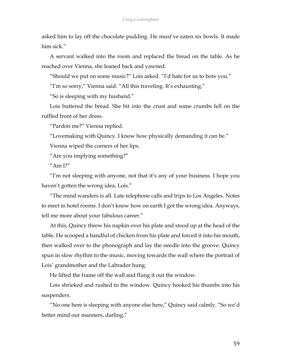asked him to lay off the chocolate pudding. He must've eaten six bowls. It made him sick."

A servant walked into the room and replaced the bread on the table. As he reached over Vienna, she leaned back and yawned.

"Should we put on some music?" Lois asked. "I'd hate for us to bore you."

"I'm so sorry," Vienna said. "All this traveling. It's exhausting."

"So is sleeping with my husband."

Lois buttered the bread. She bit into the crust and some crumbs fell on the ruffled front of her dress.

"Pardon me?" Vienna replied.

"Lovemaking with Quincy. I know how physically demanding it can be."

Vienna wiped the corners of her lips.

"Are you implying something?"

"Am I?"

"I'm not sleeping with anyone, not that it's any of your business. I hope you haven't gotten the wrong idea, Lois."

"The mind wanders is all. Late telephone calls and trips to Los Angeles. Notes to meet in hotel rooms. I don't know how on earth I got the wrong idea. Anyways, tell me more about your fabulous career."

At this, Quincy threw his napkin over his plate and stood up at the head of the table. He scooped a handful of chicken from his plate and forced it into his mouth, then walked over to the phonograph and lay the needle into the groove. Quincy spun in slow rhythm to the music, moving towards the wall where the portrait of Lois' grandmother and the Labrador hung.

He lifted the frame off the wall and flung it out the window.

Lois shrieked and rushed to the window. Quincy hooked his thumbs into his suspenders.

"No one here is sleeping with anyone else here," Quincy said calmly. "So we'd better mind our manners, darling."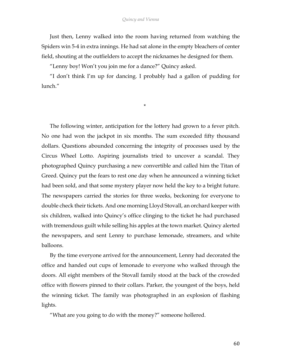Just then, Lenny walked into the room having returned from watching the Spiders win 5-4 in extra innings. He had sat alone in the empty bleachers of center field, shouting at the outfielders to accept the nicknames he designed for them.

"Lenny boy! Won't you join me for a dance?" Quincy asked.

"I don't think I'm up for dancing. I probably had a gallon of pudding for lunch."

\*

The following winter, anticipation for the lottery had grown to a fever pitch. No one had won the jackpot in six months. The sum exceeded fifty thousand dollars. Questions abounded concerning the integrity of processes used by the Circus Wheel Lotto. Aspiring journalists tried to uncover a scandal. They photographed Quincy purchasing a new convertible and called him the Titan of Greed. Quincy put the fears to rest one day when he announced a winning ticket had been sold, and that some mystery player now held the key to a bright future. The newspapers carried the stories for three weeks, beckoning for everyone to double check their tickets. And one morning Lloyd Stovall, an orchard keeper with six children, walked into Quincy's office clinging to the ticket he had purchased with tremendous guilt while selling his apples at the town market. Quincy alerted the newspapers, and sent Lenny to purchase lemonade, streamers, and white balloons.

By the time everyone arrived for the announcement, Lenny had decorated the office and handed out cups of lemonade to everyone who walked through the doors. All eight members of the Stovall family stood at the back of the crowded office with flowers pinned to their collars. Parker, the youngest of the boys, held the winning ticket. The family was photographed in an explosion of flashing lights.

"What are you going to do with the money?" someone hollered.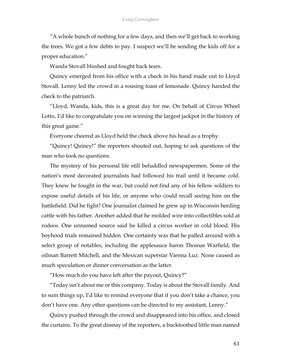"A whole bunch of nothing for a few days, and then we'll get back to working the trees. We got a few debts to pay. I suspect we'll be sending the kids off for a proper education."

Wanda Stovall blushed and fought back tears.

Quincy emerged from his office with a check in his hand made out to Lloyd Stovall. Lenny led the crowd in a rousing toast of lemonade. Quincy handed the check to the patriarch.

"Lloyd, Wanda, kids, this is a great day for me. On behalf of Circus Wheel Lotto, I'd like to congratulate you on winning the largest jackpot in the history of this great game."

Everyone cheered as Lloyd held the check above his head as a trophy.

"Quincy! Quincy!" the reporters shouted out, hoping to ask questions of the man who took no questions.

The mystery of his personal life still befuddled newspapermen. Some of the nation's most decorated journalists had followed his trail until it became cold. They knew he fought in the war, but could not find any of his fellow soldiers to expose useful details of his life, or anyone who could recall seeing him on the battlefield. Did he fight? One journalist claimed he grew up in Wisconsin herding cattle with his father. Another added that he molded wire into collectibles sold at rodeos. One unnamed source said he killed a circus worker in cold blood. His boyhood trials remained hidden. One certainty was that he palled around with a select group of notables, including the applesauce baron Thomas Warfield, the oilman Barrett Mitchell, and the Mexican superstar Vienna Luz. None caused as much speculation or dinner conversation as the latter.

"How much do you have left after the payout, Quincy?"

"Today isn't about me or this company. Today is about the Stovall family. And to sum things up, I'd like to remind everyone that if you don't take a chance, you don't have one. Any other questions can be directed to my assistant, Lenny."

Quincy pushed through the crowd and disappeared into his office, and closed the curtains. To the great dismay of the reporters, a bucktoothed little man named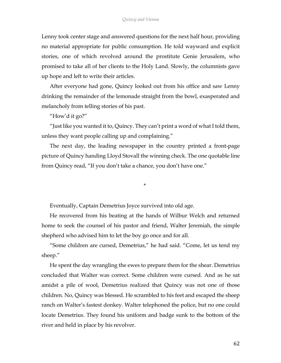Lenny took center stage and answered questions for the next half hour, providing no material appropriate for public consumption. He told wayward and explicit stories, one of which revolved around the prostitute Genie Jerusalem, who promised to take all of her clients to the Holy Land. Slowly, the columnists gave up hope and left to write their articles.

After everyone had gone, Quincy looked out from his office and saw Lenny drinking the remainder of the lemonade straight from the bowl, exasperated and melancholy from telling stories of his past.

"How'd it go?"

"Just like you wanted it to, Quincy. They can't print a word of what I told them, unless they want people calling up and complaining."

The next day, the leading newspaper in the country printed a front-page picture of Quincy handing Lloyd Stovall the winning check. The one quotable line from Quincy read, "If you don't take a chance, you don't have one."

\*

Eventually, Captain Demetrius Joyce survived into old age.

He recovered from his beating at the hands of Wilbur Welch and returned home to seek the counsel of his pastor and friend, Walter Jeremiah, the simple shepherd who advised him to let the boy go once and for all.

"Some children are cursed, Demetrius," he had said. "Come, let us tend my sheep."

He spent the day wrangling the ewes to prepare them for the shear. Demetrius concluded that Walter was correct. Some children were cursed. And as he sat amidst a pile of wool, Demetrius realized that Quincy was not one of those children. No, Quincy was blessed. He scrambled to his feet and escaped the sheep ranch on Walter's fastest donkey. Walter telephoned the police, but no one could locate Demetrius. They found his uniform and badge sunk to the bottom of the river and held in place by his revolver.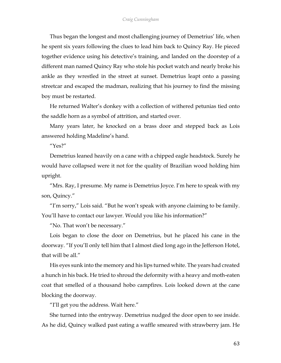Thus began the longest and most challenging journey of Demetrius' life, when he spent six years following the clues to lead him back to Quincy Ray. He pieced together evidence using his detective's training, and landed on the doorstep of a different man named Quincy Ray who stole his pocket watch and nearly broke his ankle as they wrestled in the street at sunset. Demetrius leapt onto a passing streetcar and escaped the madman, realizing that his journey to find the missing boy must be restarted.

He returned Walter's donkey with a collection of withered petunias tied onto the saddle horn as a symbol of attrition, and started over.

Many years later, he knocked on a brass door and stepped back as Lois answered holding Madeline's hand.

"Yes?"

Demetrius leaned heavily on a cane with a chipped eagle headstock. Surely he would have collapsed were it not for the quality of Brazilian wood holding him upright.

"Mrs. Ray, I presume. My name is Demetrius Joyce. I'm here to speak with my son, Quincy."

"I'm sorry," Lois said. "But he won't speak with anyone claiming to be family. You'll have to contact our lawyer. Would you like his information?"

"No. That won't be necessary."

Lois began to close the door on Demetrius, but he placed his cane in the doorway. "If you'll only tell him that I almost died long ago in the Jefferson Hotel, that will be all."

His eyes sunk into the memory and his lips turned white. The years had created a hunch in his back. He tried to shroud the deformity with a heavy and moth-eaten coat that smelled of a thousand hobo campfires. Lois looked down at the cane blocking the doorway.

"I'll get you the address. Wait here."

She turned into the entryway. Demetrius nudged the door open to see inside. As he did, Quincy walked past eating a waffle smeared with strawberry jam. He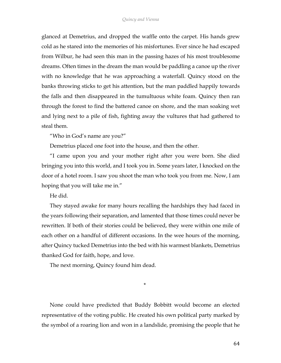glanced at Demetrius, and dropped the waffle onto the carpet. His hands grew cold as he stared into the memories of his misfortunes. Ever since he had escaped from Wilbur, he had seen this man in the passing hazes of his most troublesome dreams. Often times in the dream the man would be paddling a canoe up the river with no knowledge that he was approaching a waterfall. Quincy stood on the banks throwing sticks to get his attention, but the man paddled happily towards the falls and then disappeared in the tumultuous white foam. Quincy then ran through the forest to find the battered canoe on shore, and the man soaking wet and lying next to a pile of fish, fighting away the vultures that had gathered to steal them.

"Who in God's name are you?"

Demetrius placed one foot into the house, and then the other.

"I came upon you and your mother right after you were born. She died bringing you into this world, and I took you in. Some years later, I knocked on the door of a hotel room. I saw you shoot the man who took you from me. Now, I am hoping that you will take me in."

He did.

They stayed awake for many hours recalling the hardships they had faced in the years following their separation, and lamented that those times could never be rewritten. If both of their stories could be believed, they were within one mile of each other on a handful of different occasions. In the wee hours of the morning, after Quincy tucked Demetrius into the bed with his warmest blankets, Demetrius thanked God for faith, hope, and love.

The next morning, Quincy found him dead.

None could have predicted that Buddy Bobbitt would become an elected representative of the voting public. He created his own political party marked by the symbol of a roaring lion and won in a landslide, promising the people that he

\*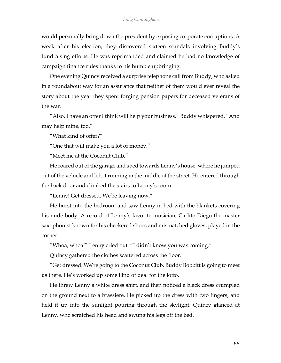would personally bring down the president by exposing corporate corruptions. A week after his election, they discovered sixteen scandals involving Buddy's fundraising efforts. He was reprimanded and claimed he had no knowledge of campaign finance rules thanks to his humble upbringing.

One evening Quincy received a surprise telephone call from Buddy, who asked in a roundabout way for an assurance that neither of them would ever reveal the story about the year they spent forging pension papers for deceased veterans of the war.

"Also, I have an offer I think will help your business," Buddy whispered. "And may help mine, too."

"What kind of offer?"

"One that will make you a lot of money."

"Meet me at the Coconut Club."

He roared out of the garage and sped towards Lenny's house, where he jumped out of the vehicle and left it running in the middle of the street. He entered through the back door and climbed the stairs to Lenny's room.

"Lenny! Get dressed. We're leaving now."

He burst into the bedroom and saw Lenny in bed with the blankets covering his nude body. A record of Lenny's favorite musician, Carlito Diego the master saxophonist known for his checkered shoes and mismatched gloves, played in the corner.

"Whoa, whoa!" Lenny cried out. "I didn't know you was coming."

Quincy gathered the clothes scattered across the floor.

"Get dressed. We're going to the Coconut Club. Buddy Bobbitt is going to meet us there. He's worked up some kind of deal for the lotto."

He threw Lenny a white dress shirt, and then noticed a black dress crumpled on the ground next to a brassiere. He picked up the dress with two fingers, and held it up into the sunlight pouring through the skylight. Quincy glanced at Lenny, who scratched his head and swung his legs off the bed.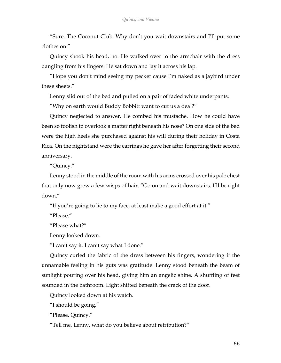"Sure. The Coconut Club. Why don't you wait downstairs and I'll put some clothes on."

Quincy shook his head, no. He walked over to the armchair with the dress dangling from his fingers. He sat down and lay it across his lap.

"Hope you don't mind seeing my pecker cause I'm naked as a jaybird under these sheets."

Lenny slid out of the bed and pulled on a pair of faded white underpants.

"Why on earth would Buddy Bobbitt want to cut us a deal?"

Quincy neglected to answer. He combed his mustache. How he could have been so foolish to overlook a matter right beneath his nose? On one side of the bed were the high heels she purchased against his will during their holiday in Costa Rica. On the nightstand were the earrings he gave her after forgetting their second anniversary.

"Quincy."

Lenny stood in the middle of the room with his arms crossed over his pale chest that only now grew a few wisps of hair. "Go on and wait downstairs. I'll be right down."

"If you're going to lie to my face, at least make a good effort at it."

"Please."

"Please what?"

Lenny looked down.

"I can't say it. I can't say what I done."

Quincy curled the fabric of the dress between his fingers, wondering if the unnamable feeling in his guts was gratitude. Lenny stood beneath the beam of sunlight pouring over his head, giving him an angelic shine. A shuffling of feet sounded in the bathroom. Light shifted beneath the crack of the door.

Quincy looked down at his watch.

"I should be going."

"Please. Quincy."

"Tell me, Lenny, what do you believe about retribution?"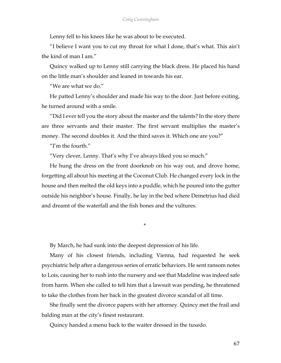Lenny fell to his knees like he was about to be executed.

"I believe I want you to cut my throat for what I done, that's what. This ain't the kind of man I am."

Quincy walked up to Lenny still carrying the black dress. He placed his hand on the little man's shoulder and leaned in towards his ear.

"We are what we do."

He patted Lenny's shoulder and made his way to the door. Just before exiting, he turned around with a smile.

"Did I ever tell you the story about the master and the talents? In the story there are three servants and their master. The first servant multiplies the master's money. The second doubles it. And the third saves it. Which one are you?"

"I'm the fourth."

"Very clever, Lenny. That's why I've always liked you so much."

He hung the dress on the front doorknob on his way out, and drove home, forgetting all about his meeting at the Coconut Club. He changed every lock in the house and then melted the old keys into a puddle, which he poured into the gutter outside his neighbor's house. Finally, he lay in the bed where Demetrius had died and dreamt of the waterfall and the fish bones and the vultures.

\*

By March, he had sunk into the deepest depression of his life.

Many of his closest friends, including Vienna, had requested he seek psychiatric help after a dangerous series of erratic behaviors. He sent ransom notes to Lois, causing her to rush into the nursery and see that Madeline was indeed safe from harm. When she called to tell him that a lawsuit was pending, he threatened to take the clothes from her back in the greatest divorce scandal of all time.

She finally sent the divorce papers with her attorney. Quincy met the frail and balding man at the city's finest restaurant.

Quincy handed a menu back to the waiter dressed in the tuxedo.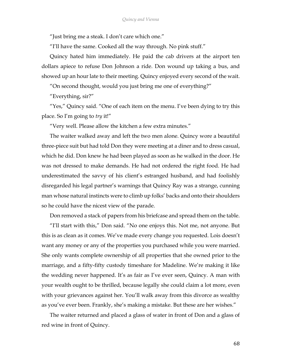"Just bring me a steak. I don't care which one."

"I'll have the same. Cooked all the way through. No pink stuff."

Quincy hated him immediately. He paid the cab drivers at the airport ten dollars apiece to refuse Don Johnson a ride. Don wound up taking a bus, and showed up an hour late to their meeting. Quincy enjoyed every second of the wait.

"On second thought, would you just bring me one of everything?"

"Everything, sir?"

"Yes," Quincy said. "One of each item on the menu. I've been dying to try this place. So I'm going to *try* it!"

"Very well. Please allow the kitchen a few extra minutes."

The waiter walked away and left the two men alone. Quincy wore a beautiful three-piece suit but had told Don they were meeting at a diner and to dress casual, which he did. Don knew he had been played as soon as he walked in the door. He was not dressed to make demands. He had not ordered the right food. He had underestimated the savvy of his client's estranged husband, and had foolishly disregarded his legal partner's warnings that Quincy Ray was a strange, cunning man whose natural instincts were to climb up folks' backs and onto their shoulders so he could have the nicest view of the parade.

Don removed a stack of papers from his briefcase and spread them on the table. "I'll start with this," Don said. "No one enjoys this. Not me, not anyone. But this is as clean as it comes. We've made every change you requested. Lois doesn't want any money or any of the properties you purchased while you were married. She only wants complete ownership of all properties that she owned prior to the marriage, and a fifty-fifty custody timeshare for Madeline. We're making it like the wedding never happened. It's as fair as I've ever seen, Quincy. A man with your wealth ought to be thrilled, because legally she could claim a lot more, even with your grievances against her. You'll walk away from this divorce as wealthy as you've ever been. Frankly, she's making a mistake. But these are her wishes."

The waiter returned and placed a glass of water in front of Don and a glass of red wine in front of Quincy.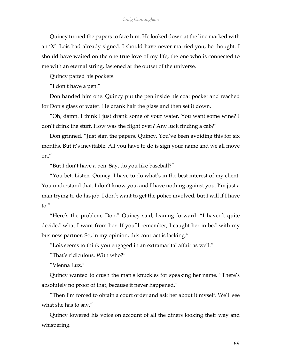## *Craig Cunningham*

Quincy turned the papers to face him. He looked down at the line marked with an 'X'. Lois had already signed. I should have never married you, he thought. I should have waited on the one true love of my life, the one who is connected to me with an eternal string, fastened at the outset of the universe.

Quincy patted his pockets.

"I don't have a pen."

Don handed him one. Quincy put the pen inside his coat pocket and reached for Don's glass of water. He drank half the glass and then set it down.

"Oh, damn. I think I just drank some of your water. You want some wine? I don't drink the stuff. How was the flight over? Any luck finding a cab?"

Don grinned. "Just sign the papers, Quincy. You've been avoiding this for six months. But it's inevitable. All you have to do is sign your name and we all move on."

"But I don't have a pen. Say, do you like baseball?"

"You bet. Listen, Quincy, I have to do what's in the best interest of my client. You understand that. I don't know you, and I have nothing against you. I'm just a man trying to do his job. I don't want to get the police involved, but I will if I have to."

"Here's the problem, Don," Quincy said, leaning forward. "I haven't quite decided what I want from her. If you'll remember, I caught her in bed with my business partner. So, in my opinion, this contract is lacking."

"Lois seems to think you engaged in an extramarital affair as well."

"That's ridiculous. With who?"

"Vienna Luz."

Quincy wanted to crush the man's knuckles for speaking her name. "There's absolutely no proof of that, because it never happened."

"Then I'm forced to obtain a court order and ask her about it myself. We'll see what she has to say."

Quincy lowered his voice on account of all the diners looking their way and whispering.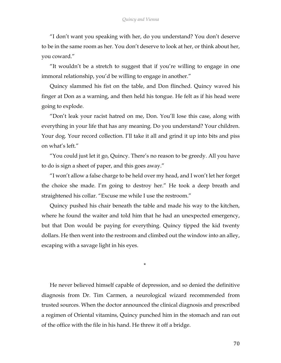"I don't want you speaking with her, do you understand? You don't deserve to be in the same room as her. You don't deserve to look at her, or think about her, you coward."

"It wouldn't be a stretch to suggest that if you're willing to engage in one immoral relationship, you'd be willing to engage in another."

Quincy slammed his fist on the table, and Don flinched. Quincy waved his finger at Don as a warning, and then held his tongue. He felt as if his head were going to explode.

"Don't leak your racist hatred on me, Don. You'll lose this case, along with everything in your life that has any meaning. Do you understand? Your children. Your dog. Your record collection. I'll take it all and grind it up into bits and piss on what's left."

"You could just let it go, Quincy. There's no reason to be greedy. All you have to do is sign a sheet of paper, and this goes away."

"I won't allow a false charge to be held over my head, and I won't let her forget the choice she made. I'm going to destroy her." He took a deep breath and straightened his collar. "Excuse me while I use the restroom."

Quincy pushed his chair beneath the table and made his way to the kitchen, where he found the waiter and told him that he had an unexpected emergency, but that Don would be paying for everything. Quincy tipped the kid twenty dollars. He then went into the restroom and climbed out the window into an alley, escaping with a savage light in his eyes.

\*

He never believed himself capable of depression, and so denied the definitive diagnosis from Dr. Tim Carmen, a neurological wizard recommended from trusted sources. When the doctor announced the clinical diagnosis and prescribed a regimen of Oriental vitamins, Quincy punched him in the stomach and ran out of the office with the file in his hand. He threw it off a bridge.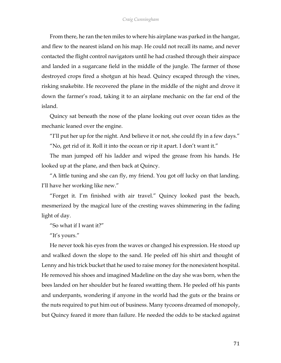From there, he ran the ten miles to where his airplane was parked in the hangar, and flew to the nearest island on his map. He could not recall its name, and never contacted the flight control navigators until he had crashed through their airspace and landed in a sugarcane field in the middle of the jungle. The farmer of those destroyed crops fired a shotgun at his head. Quincy escaped through the vines, risking snakebite. He recovered the plane in the middle of the night and drove it down the farmer's road, taking it to an airplane mechanic on the far end of the island.

Quincy sat beneath the nose of the plane looking out over ocean tides as the mechanic leaned over the engine.

"I'll put her up for the night. And believe it or not, she could fly in a few days."

"No, get rid of it. Roll it into the ocean or rip it apart. I don't want it."

The man jumped off his ladder and wiped the grease from his hands. He looked up at the plane, and then back at Quincy.

"A little tuning and she can fly, my friend. You got off lucky on that landing. I'll have her working like new."

"Forget it. I'm finished with air travel." Quincy looked past the beach, mesmerized by the magical lure of the cresting waves shimmering in the fading light of day.

"So what if I want it?"

"It's yours."

He never took his eyes from the waves or changed his expression. He stood up and walked down the slope to the sand. He peeled off his shirt and thought of Lenny and his trick bucket that he used to raise money for the nonexistent hospital. He removed his shoes and imagined Madeline on the day she was born, when the bees landed on her shoulder but he feared swatting them. He peeled off his pants and underpants, wondering if anyone in the world had the guts or the brains or the nuts required to put him out of business. Many tycoons dreamed of monopoly, but Quincy feared it more than failure. He needed the odds to be stacked against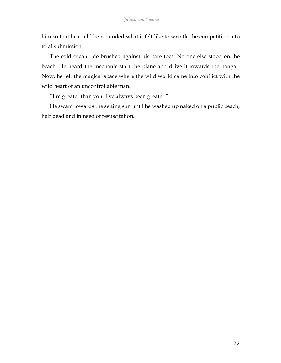him so that he could be reminded what it felt like to wrestle the competition into total submission.

The cold ocean tide brushed against his bare toes. No one else stood on the beach. He heard the mechanic start the plane and drive it towards the hangar. Now, he felt the magical space where the wild world came into conflict with the wild heart of an uncontrollable man.

"I'm greater than you. I've always been greater."

He swam towards the setting sun until he washed up naked on a public beach, half dead and in need of resuscitation.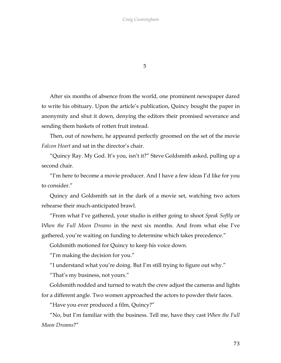5

After six months of absence from the world, one prominent newspaper dared to write his obituary. Upon the article's publication, Quincy bought the paper in anonymity and shut it down, denying the editors their promised severance and sending them baskets of rotten fruit instead.

Then, out of nowhere, he appeared perfectly groomed on the set of the movie *Falcon Heart* and sat in the director's chair.

"Quincy Ray. My God. It's you, isn't it?" Steve Goldsmith asked, pulling up a second chair.

"I'm here to become a movie producer. And I have a few ideas I'd like for you to consider"

Quincy and Goldsmith sat in the dark of a movie set, watching two actors rehearse their much-anticipated brawl.

"From what I've gathered, your studio is either going to shoot *Speak Softly* or *When the Full Moon Dreams* in the next six months. And from what else I've gathered, you're waiting on funding to determine which takes precedence."

Goldsmith motioned for Quincy to keep his voice down.

"I'm making the decision for you."

"I understand what you're doing. But I'm still trying to figure out why."

"That's my business, not yours."

Goldsmith nodded and turned to watch the crew adjust the cameras and lights for a different angle. Two women approached the actors to powder their faces.

"Have you ever produced a film, Quincy?"

"No, but I'm familiar with the business. Tell me, have they cast *When the Full Moon Dreams*?"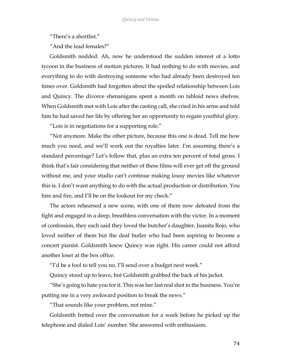"There's a shortlist."

"And the lead females?"

Goldsmith nodded. Ah, now he understood the sudden interest of a lotto tycoon in the business of motion pictures. It had nothing to do with movies, and everything to do with destroying someone who had already been destroyed ten times over. Goldsmith had forgotten about the spoiled relationship between Lois and Quincy. The divorce shenanigans spent a month on tabloid news shelves. When Goldsmith met with Lois after the casting call, she cried in his arms and told him he had saved her life by offering her an opportunity to regain youthful glory.

"Lois is in negotiations for a supporting role."

"Not anymore. Make the other picture, because this one is dead. Tell me how much you need, and we'll work out the royalties later. I'm assuming there's a standard percentage? Let's follow that, plus an extra ten percent of total gross. I think that's fair considering that neither of these films will ever get off the ground without me, and your studio can't continue making lousy movies like whatever this is. I don't want anything to do with the actual production or distribution. You hire and fire, and I'll be on the lookout for my check."

The actors rehearsed a new scene, with one of them now defeated from the fight and engaged in a deep, breathless conversation with the victor. In a moment of confession, they each said they loved the butcher's daughter, Juanita Rojo, who loved neither of them but the deaf butler who had been aspiring to become a concert pianist. Goldsmith knew Quincy was right. His career could not afford another loser at the box office.

"I'd be a fool to tell you no. I'll send over a budget next week."

Quincy stood up to leave, but Goldsmith grabbed the back of his jacket.

"She's going to hate you for it. This was her last real shot in the business. You're putting me in a very awkward position to break the news."

"That sounds like your problem, not mine."

Goldsmith fretted over the conversation for a week before he picked up the telephone and dialed Lois' number. She answered with enthusiasm.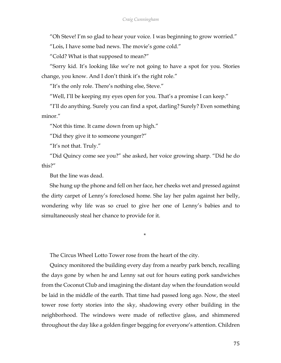"Oh Steve! I'm so glad to hear your voice. I was beginning to grow worried."

"Lois, I have some bad news. The movie's gone cold."

"Cold? What is that supposed to mean?"

"Sorry kid. It's looking like we're not going to have a spot for you. Stories change, you know. And I don't think it's the right role."

"It's the only role. There's nothing else, Steve."

"Well, I'll be keeping my eyes open for you. That's a promise I can keep."

"I'll do anything. Surely you can find a spot, darling? Surely? Even something minor."

"Not this time. It came down from up high."

"Did they give it to someone younger?"

"It's not that. Truly."

"Did Quincy come see you?" she asked, her voice growing sharp. "Did he do this?"

But the line was dead.

She hung up the phone and fell on her face, her cheeks wet and pressed against the dirty carpet of Lenny's foreclosed home. She lay her palm against her belly, wondering why life was so cruel to give her one of Lenny's babies and to simultaneously steal her chance to provide for it.

\*

The Circus Wheel Lotto Tower rose from the heart of the city.

Quincy monitored the building every day from a nearby park bench, recalling the days gone by when he and Lenny sat out for hours eating pork sandwiches from the Coconut Club and imagining the distant day when the foundation would be laid in the middle of the earth. That time had passed long ago. Now, the steel tower rose forty stories into the sky, shadowing every other building in the neighborhood. The windows were made of reflective glass, and shimmered throughout the day like a golden finger begging for everyone's attention. Children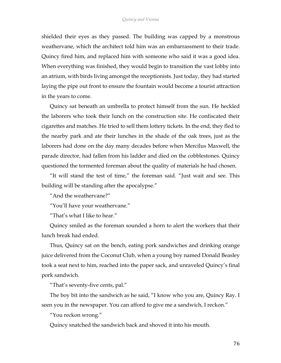## *Quincy and Vienna*

shielded their eyes as they passed. The building was capped by a monstrous weathervane, which the architect told him was an embarrassment to their trade. Quincy fired him, and replaced him with someone who said it was a good idea. When everything was finished, they would begin to transition the vast lobby into an atrium, with birds living amongst the receptionists. Just today, they had started laying the pipe out front to ensure the fountain would become a tourist attraction in the years to come.

Quincy sat beneath an umbrella to protect himself from the sun. He heckled the laborers who took their lunch on the construction site. He confiscated their cigarettes and matches. He tried to sell them lottery tickets. In the end, they fled to the nearby park and ate their lunches in the shade of the oak trees, just as the laborers had done on the day many decades before when Mercilus Maxwell, the parade director, had fallen from his ladder and died on the cobblestones. Quincy questioned the tormented foreman about the quality of materials he had chosen.

"It will stand the test of time," the foreman said. "Just wait and see. This building will be standing after the apocalypse."

"And the weathervane?"

"You'll have your weathervane."

"That's what I like to hear."

Quincy smiled as the foreman sounded a horn to alert the workers that their lunch break had ended.

Thus, Quincy sat on the bench, eating pork sandwiches and drinking orange juice delivered from the Coconut Club, when a young boy named Donald Beasley took a seat next to him, reached into the paper sack, and unraveled Quincy's final pork sandwich.

"That's seventy-five cents, pal."

The boy bit into the sandwich as he said, "I know who you are, Quincy Ray. I seen you in the newspaper. You can afford to give me a sandwich, I reckon."

"You reckon wrong."

Quincy snatched the sandwich back and shoved it into his mouth.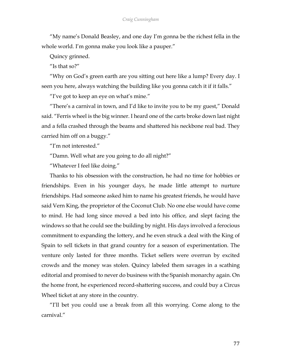"My name's Donald Beasley, and one day I'm gonna be the richest fella in the whole world. I'm gonna make you look like a pauper."

Quincy grinned.

"Is that so?"

"Why on God's green earth are you sitting out here like a lump? Every day. I seen you here, always watching the building like you gonna catch it if it falls."

"I've got to keep an eye on what's mine."

"There's a carnival in town, and I'd like to invite you to be my guest," Donald said. "Ferris wheel is the big winner. I heard one of the carts broke down last night and a fella crashed through the beams and shattered his neckbone real bad. They carried him off on a buggy."

"I'm not interested."

"Damn. Well what are you going to do all night?"

"Whatever I feel like doing."

Thanks to his obsession with the construction, he had no time for hobbies or friendships. Even in his younger days, he made little attempt to nurture friendships. Had someone asked him to name his greatest friends, he would have said Vern King, the proprietor of the Coconut Club. No one else would have come to mind. He had long since moved a bed into his office, and slept facing the windows so that he could see the building by night. His days involved a ferocious commitment to expanding the lottery, and he even struck a deal with the King of Spain to sell tickets in that grand country for a season of experimentation. The venture only lasted for three months. Ticket sellers were overrun by excited crowds and the money was stolen. Quincy labeled them savages in a scathing editorial and promised to never do business with the Spanish monarchy again. On the home front, he experienced record-shattering success, and could buy a Circus Wheel ticket at any store in the country.

"I'll bet you could use a break from all this worrying. Come along to the carnival."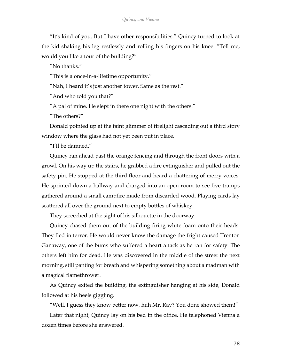"It's kind of you. But I have other responsibilities." Quincy turned to look at the kid shaking his leg restlessly and rolling his fingers on his knee. "Tell me, would you like a tour of the building?"

"No thanks."

"This is a once-in-a-lifetime opportunity."

"Nah, I heard it's just another tower. Same as the rest."

"And who told you that?"

"A pal of mine. He slept in there one night with the others."

"The others?"

Donald pointed up at the faint glimmer of firelight cascading out a third story window where the glass had not yet been put in place.

"I'll be damned."

Quincy ran ahead past the orange fencing and through the front doors with a growl. On his way up the stairs, he grabbed a fire extinguisher and pulled out the safety pin. He stopped at the third floor and heard a chattering of merry voices. He sprinted down a hallway and charged into an open room to see five tramps gathered around a small campfire made from discarded wood. Playing cards lay scattered all over the ground next to empty bottles of whiskey.

They screeched at the sight of his silhouette in the doorway.

Quincy chased them out of the building firing white foam onto their heads. They fled in terror. He would never know the damage the fright caused Trenton Ganaway, one of the bums who suffered a heart attack as he ran for safety. The others left him for dead. He was discovered in the middle of the street the next morning, still panting for breath and whispering something about a madman with a magical flamethrower.

As Quincy exited the building, the extinguisher hanging at his side, Donald followed at his heels giggling.

"Well, I guess they know better now, huh Mr. Ray? You done showed them!"

Later that night, Quincy lay on his bed in the office. He telephoned Vienna a dozen times before she answered.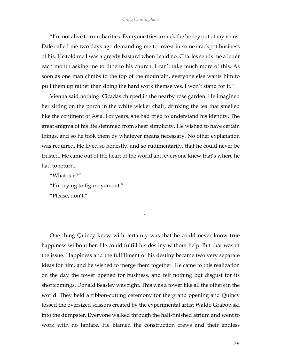"I'm not alive to run charities. Everyone tries to suck the honey out of my veins. Dale called me two days ago demanding me to invest in some crackpot business of his. He told me I was a greedy bastard when I said no. Charles sends me a letter each month asking me to tithe to his church. I can't take much more of this. As soon as one man climbs to the top of the mountain, everyone else wants him to pull them up rather than doing the hard work themselves. I won't stand for it."

Vienna said nothing. Cicadas chirped in the nearby rose garden. He imagined her sitting on the porch in the white wicker chair, drinking the tea that smelled like the continent of Asia. For years, she had tried to understand his identity. The great enigma of his life stemmed from sheer simplicity. He wished to have certain things, and so he took them by whatever means necessary. No other explanation was required. He lived so honestly, and so rudimentarily, that he could never be trusted. He came out of the heart of the world and everyone knew that's where he had to return.

"What is it?"

"I'm trying to figure you out."

"Please, don't."

\*

One thing Quincy knew with certainty was that he could never know true happiness without her. He could fulfill his destiny without help. But that wasn't the issue. Happiness and the fulfillment of his destiny became two very separate ideas for him, and he wished to merge them together. He came to this realization on the day the tower opened for business, and felt nothing but disgust for its shortcomings. Donald Beasley was right. This was a tower like all the others in the world. They held a ribbon-cutting ceremony for the grand opening and Quincy tossed the oversized scissors created by the experimental artist Waldo Grabowski into the dumpster. Everyone walked through the half-finished atrium and went to work with no fanfare. He blamed the construction crews and their endless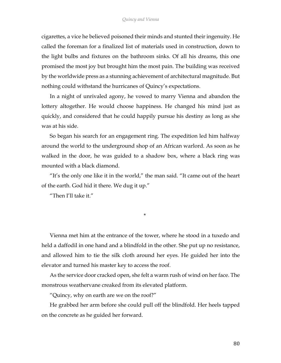cigarettes, a vice he believed poisoned their minds and stunted their ingenuity. He called the foreman for a finalized list of materials used in construction, down to the light bulbs and fixtures on the bathroom sinks. Of all his dreams, this one promised the most joy but brought him the most pain. The building was received by the worldwide press as a stunning achievement of architectural magnitude. But nothing could withstand the hurricanes of Quincy's expectations.

In a night of unrivaled agony, he vowed to marry Vienna and abandon the lottery altogether. He would choose happiness. He changed his mind just as quickly, and considered that he could happily pursue his destiny as long as she was at his side.

So began his search for an engagement ring. The expedition led him halfway around the world to the underground shop of an African warlord. As soon as he walked in the door, he was guided to a shadow box, where a black ring was mounted with a black diamond.

"It's the only one like it in the world," the man said. "It came out of the heart of the earth. God hid it there. We dug it up."

"Then I'll take it."

\*

Vienna met him at the entrance of the tower, where he stood in a tuxedo and held a daffodil in one hand and a blindfold in the other. She put up no resistance, and allowed him to tie the silk cloth around her eyes. He guided her into the elevator and turned his master key to access the roof.

As the service door cracked open, she felt a warm rush of wind on her face. The monstrous weathervane creaked from its elevated platform.

"Quincy, why on earth are we on the roof?"

He grabbed her arm before she could pull off the blindfold. Her heels tapped on the concrete as he guided her forward.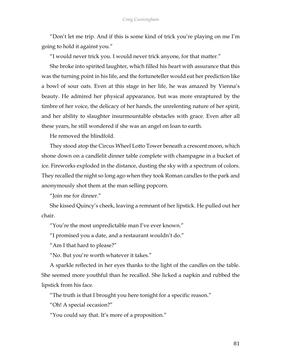"Don't let me trip. And if this is some kind of trick you're playing on me I'm going to hold it against you."

"I would never trick you. I would never trick anyone, for that matter."

She broke into spirited laughter, which filled his heart with assurance that this was the turning point in his life, and the fortuneteller would eat her prediction like a bowl of sour oats. Even at this stage in her life, he was amazed by Vienna's beauty. He admired her physical appearance, but was more enraptured by the timbre of her voice, the delicacy of her hands, the unrelenting nature of her spirit, and her ability to slaughter insurmountable obstacles with grace. Even after all these years, he still wondered if she was an angel on loan to earth.

He removed the blindfold.

They stood atop the Circus Wheel Lotto Tower beneath a crescent moon, which shone down on a candlelit dinner table complete with champagne in a bucket of ice. Fireworks exploded in the distance, dusting the sky with a spectrum of colors. They recalled the night so long ago when they took Roman candles to the park and anonymously shot them at the man selling popcorn.

"Join me for dinner."

She kissed Quincy's cheek, leaving a remnant of her lipstick. He pulled out her chair.

"You're the most unpredictable man I've ever known."

"I promised you a date, and a restaurant wouldn't do."

"Am I that hard to please?"

"No. But you're worth whatever it takes."

A sparkle reflected in her eyes thanks to the light of the candles on the table. She seemed more youthful than he recalled. She licked a napkin and rubbed the lipstick from his face.

"The truth is that I brought you here tonight for a specific reason."

"Oh! A special occasion?"

"You could say that. It's more of a proposition."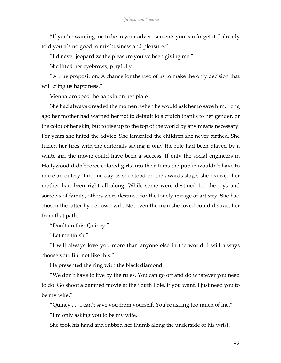"If you're wanting me to be in your advertisements you can forget it. I already told you it's no good to mix business and pleasure."

"I'd never jeopardize the pleasure you've been giving me."

She lifted her eyebrows, playfully.

"A true proposition. A chance for the two of us to make the only decision that will bring us happiness."

Vienna dropped the napkin on her plate.

She had always dreaded the moment when he would ask her to save him. Long ago her mother had warned her not to default to a crutch thanks to her gender, or the color of her skin, but to rise up to the top of the world by any means necessary. For years she hated the advice. She lamented the children she never birthed. She fueled her fires with the editorials saying if only the role had been played by a white girl the movie could have been a success. If only the social engineers in Hollywood didn't force colored girls into their films the public wouldn't have to make an outcry. But one day as she stood on the awards stage, she realized her mother had been right all along. While some were destined for the joys and sorrows of family, others were destined for the lonely mirage of artistry. She had chosen the latter by her own will. Not even the man she loved could distract her from that path.

"Don't do this, Quincy."

"Let me finish."

"I will always love you more than anyone else in the world. I will always choose you. But not like this."

He presented the ring with the black diamond.

"We don't have to live by the rules. You can go off and do whatever you need to do. Go shoot a damned movie at the South Pole, if you want. I just need you to be my wife."

"Quincy . . . I can't save you from yourself. You're asking too much of me." "I'm only asking you to be my wife."

She took his hand and rubbed her thumb along the underside of his wrist.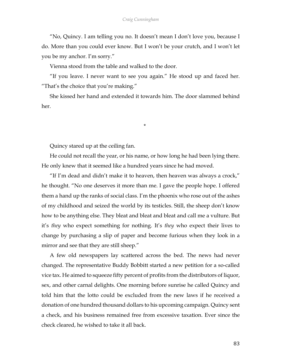"No, Quincy. I am telling you no. It doesn't mean I don't love you, because I do. More than you could ever know. But I won't be your crutch, and I won't let you be my anchor. I'm sorry."

Vienna stood from the table and walked to the door.

"If you leave. I never want to see you again." He stood up and faced her. "That's the choice that you're making."

She kissed her hand and extended it towards him. The door slammed behind her.

\*

Quincy stared up at the ceiling fan.

He could not recall the year, or his name, or how long he had been lying there. He only knew that it seemed like a hundred years since he had moved.

"If I'm dead and didn't make it to heaven, then heaven was always a crock," he thought. "No one deserves it more than me. I gave the people hope. I offered them a hand up the ranks of social class. I'm the phoenix who rose out of the ashes of my childhood and seized the world by its testicles. Still, the sheep don't know how to be anything else. They bleat and bleat and bleat and call me a vulture. But it's *they* who expect something for nothing. It's *they* who expect their lives to change by purchasing a slip of paper and become furious when they look in a mirror and see that they are still sheep."

A few old newspapers lay scattered across the bed. The news had never changed. The representative Buddy Bobbitt started a new petition for a so-called vice tax. He aimed to squeeze fifty percent of profits from the distributors of liquor, sex, and other carnal delights. One morning before sunrise he called Quincy and told him that the lotto could be excluded from the new laws if he received a donation of one hundred thousand dollars to his upcoming campaign. Quincy sent a check, and his business remained free from excessive taxation. Ever since the check cleared, he wished to take it all back.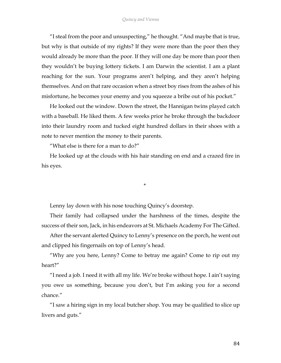"I steal from the poor and unsuspecting," he thought. "And maybe that is true, but why is that outside of my rights? If they were more than the poor then they would already be more than the poor. If they will one day be more than poor then they wouldn't be buying lottery tickets. I am Darwin the scientist. I am a plant reaching for the sun. Your programs aren't helping, and they aren't helping themselves. And on that rare occasion when a street boy rises from the ashes of his misfortune, he becomes your enemy and you squeeze a bribe out of his pocket."

He looked out the window. Down the street, the Hannigan twins played catch with a baseball. He liked them. A few weeks prior he broke through the backdoor into their laundry room and tucked eight hundred dollars in their shoes with a note to never mention the money to their parents.

"What else is there for a man to do?"

He looked up at the clouds with his hair standing on end and a crazed fire in his eyes.

\*

Lenny lay down with his nose touching Quincy's doorstep.

Their family had collapsed under the harshness of the times, despite the success of their son, Jack, in his endeavors at St. Michaels Academy For The Gifted.

After the servant alerted Quincy to Lenny's presence on the porch, he went out and clipped his fingernails on top of Lenny's head.

"Why are you here, Lenny? Come to betray me again? Come to rip out my heart?"

"I need a job. I need it with all my life. We're broke without hope. I ain't saying you owe us something, because you don't, but I'm asking you for a second chance."

"I saw a hiring sign in my local butcher shop. You may be qualified to slice up livers and guts."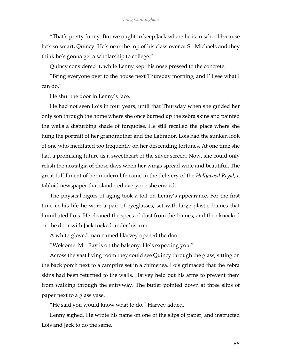"That's pretty funny. But we ought to keep Jack where he is in school because he's so smart, Quincy. He's near the top of his class over at St. Michaels and they think he's gonna get a scholarship to college."

Quincy considered it, while Lenny kept his nose pressed to the concrete.

"Bring everyone over to the house next Thursday morning, and I'll see what I can do."

He shut the door in Lenny's face.

He had not seen Lois in four years, until that Thursday when she guided her only son through the home where she once burned up the zebra skins and painted the walls a disturbing shade of turquoise. He still recalled the place where she hung the portrait of her grandmother and the Labrador. Lois had the sunken look of one who meditated too frequently on her descending fortunes. At one time she had a promising future as a sweetheart of the silver screen. Now, she could only relish the nostalgia of those days when her wings spread wide and beautiful. The great fulfillment of her modern life came in the delivery of the *Hollywood Regal*, a tabloid newspaper that slandered everyone she envied.

The physical rigors of aging took a toll on Lenny's appearance. For the first time in his life he wore a pair of eyeglasses, set with large plastic frames that humiliated Lois. He cleaned the specs of dust from the frames, and then knocked on the door with Jack tucked under his arm.

A white-gloved man named Harvey opened the door.

"Welcome. Mr. Ray is on the balcony. He's expecting you."

Across the vast living room they could see Quincy through the glass, sitting on the back porch next to a campfire set in a chimenea. Lois grimaced that the zebra skins had been returned to the walls. Harvey held out his arms to prevent them from walking through the entryway. The butler pointed down at three slips of paper next to a glass vase.

"He said you would know what to do," Harvey added.

Lenny sighed. He wrote his name on one of the slips of paper, and instructed Lois and Jack to do the same.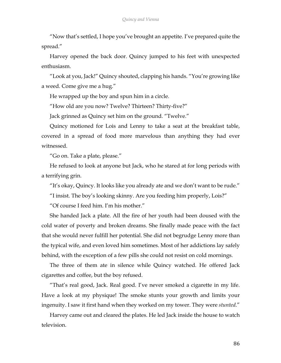"Now that's settled, I hope you've brought an appetite. I've prepared quite the spread."

Harvey opened the back door. Quincy jumped to his feet with unexpected enthusiasm.

"Look at you, Jack!" Quincy shouted, clapping his hands. "You're growing like a weed. Come give me a hug."

He wrapped up the boy and spun him in a circle.

"How old are you now? Twelve? Thirteen? Thirty-five?"

Jack grinned as Quincy set him on the ground. "Twelve."

Quincy motioned for Lois and Lenny to take a seat at the breakfast table, covered in a spread of food more marvelous than anything they had ever witnessed.

"Go on. Take a plate, please."

He refused to look at anyone but Jack, who he stared at for long periods with a terrifying grin.

"It's okay, Quincy. It looks like you already ate and we don't want to be rude."

"I insist. The boy's looking skinny. Are you feeding him properly, Lois?"

"Of course I feed him. I'm his mother."

She handed Jack a plate. All the fire of her youth had been doused with the cold water of poverty and broken dreams. She finally made peace with the fact that she would never fulfill her potential. She did not begrudge Lenny more than the typical wife, and even loved him sometimes. Most of her addictions lay safely behind, with the exception of a few pills she could not resist on cold mornings.

The three of them ate in silence while Quincy watched. He offered Jack cigarettes and coffee, but the boy refused.

"That's real good, Jack. Real good. I've never smoked a cigarette in my life. Have a look at my physique! The smoke stunts your growth and limits your ingenuity. I saw it first hand when they worked on my tower. They were *stunted*."

Harvey came out and cleared the plates. He led Jack inside the house to watch television.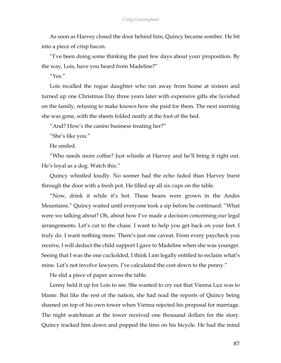As soon as Harvey closed the door behind him, Quincy became somber. He bit into a piece of crisp bacon.

"I've been doing some thinking the past few days about your proposition. By the way, Lois, have you heard from Madeline?"

"Yes."

Lois recalled the rogue daughter who ran away from home at sixteen and turned up one Christmas Day three years later with expensive gifts she lavished on the family, refusing to make known how she paid for them. The next morning she was gone, with the sheets folded neatly at the foot of the bed.

"And? How's the casino business treating her?"

"She's like you."

He smiled.

"Who needs more coffee? Just whistle at Harvey and he'll bring it right out. He's loyal as a dog. Watch this."

Quincy whistled loudly. No sooner had the echo faded than Harvey burst through the door with a fresh pot. He filled up all six cups on the table.

"Now, drink it while it's hot. These beans were grown in the Andes Mountains." Quincy waited until everyone took a sip before he continued. "What were we talking about? Oh, about how I've made a decision concerning our legal arrangements. Let's cut to the chase. I want to help you get back on your feet. I truly do. I want nothing more. There's just one caveat. From every paycheck you receive, I will deduct the child support I gave to Madeline when she was younger. Seeing that I was the one cuckolded, I think I am legally entitled to reclaim what's mine. Let's not involve lawyers. I've calculated the cost down to the penny."

He slid a piece of paper across the table.

Lenny held it up for Lois to see. She wanted to cry out that Vienna Luz was to blame. But like the rest of the nation, she had read the reports of Quincy being shamed on top of his own tower when Vienna rejected his proposal for marriage. The night watchman at the tower received one thousand dollars for the story. Quincy tracked him down and popped the tires on his bicycle. He had the mind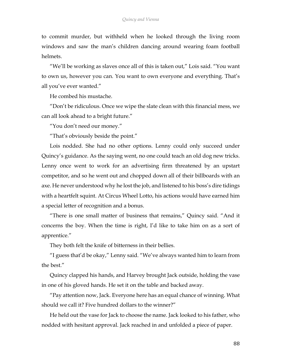to commit murder, but withheld when he looked through the living room windows and saw the man's children dancing around wearing foam football helmets.

"We'll be working as slaves once all of this is taken out," Lois said. "You want to own us, however you can. You want to own everyone and everything. That's all you've ever wanted."

He combed his mustache.

"Don't be ridiculous. Once we wipe the slate clean with this financial mess, we can all look ahead to a bright future."

"You don't need our money."

"That's obviously beside the point."

Lois nodded. She had no other options. Lenny could only succeed under Quincy's guidance. As the saying went, no one could teach an old dog new tricks. Lenny once went to work for an advertising firm threatened by an upstart competitor, and so he went out and chopped down all of their billboards with an axe. He never understood why he lost the job, and listened to his boss's dire tidings with a heartfelt squint. At Circus Wheel Lotto, his actions would have earned him a special letter of recognition and a bonus.

"There is one small matter of business that remains," Quincy said. "And it concerns the boy. When the time is right, I'd like to take him on as a sort of apprentice."

They both felt the knife of bitterness in their bellies.

"I guess that'd be okay," Lenny said. "We've always wanted him to learn from the best."

Quincy clapped his hands, and Harvey brought Jack outside, holding the vase in one of his gloved hands. He set it on the table and backed away.

"Pay attention now, Jack. Everyone here has an equal chance of winning. What should we call it? Five hundred dollars to the winner?"

He held out the vase for Jack to choose the name. Jack looked to his father, who nodded with hesitant approval. Jack reached in and unfolded a piece of paper.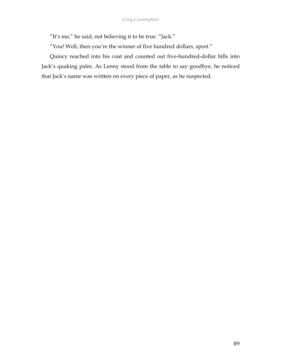"It's me," he said, not believing it to be true. "Jack."

"You! Well, then you're the winner of five hundred dollars, sport."

Quincy reached into his coat and counted out five-hundred-dollar bills into Jack's quaking palm. As Lenny stood from the table to say goodbye, he noticed that Jack's name was written on every piece of paper, as he suspected.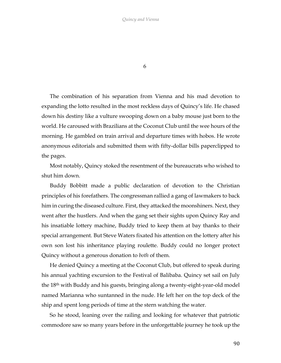6

The combination of his separation from Vienna and his mad devotion to expanding the lotto resulted in the most reckless days of Quincy's life. He chased down his destiny like a vulture swooping down on a baby mouse just born to the world. He caroused with Brazilians at the Coconut Club until the wee hours of the morning. He gambled on train arrival and departure times with hobos. He wrote anonymous editorials and submitted them with fifty-dollar bills paperclipped to the pages.

Most notably, Quincy stoked the resentment of the bureaucrats who wished to shut him down.

Buddy Bobbitt made a public declaration of devotion to the Christian principles of his forefathers. The congressman rallied a gang of lawmakers to back him in curing the diseased culture. First, they attacked the moonshiners. Next, they went after the hustlers. And when the gang set their sights upon Quincy Ray and his insatiable lottery machine, Buddy tried to keep them at bay thanks to their special arrangement. But Steve Waters fixated his attention on the lottery after his own son lost his inheritance playing roulette. Buddy could no longer protect Quincy without a generous donation to *both* of them.

He denied Quincy a meeting at the Coconut Club, but offered to speak during his annual yachting excursion to the Festival of Balibaba. Quincy set sail on July the 18th with Buddy and his guests, bringing along a twenty-eight-year-old model named Marianna who suntanned in the nude. He left her on the top deck of the ship and spent long periods of time at the stern watching the water.

So he stood, leaning over the railing and looking for whatever that patriotic commodore saw so many years before in the unforgettable journey he took up the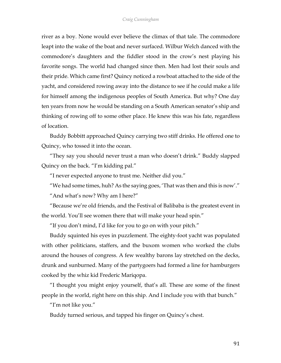river as a boy. None would ever believe the climax of that tale. The commodore leapt into the wake of the boat and never surfaced. Wilbur Welch danced with the commodore's daughters and the fiddler stood in the crow's nest playing his favorite songs. The world had changed since then. Men had lost their souls and their pride. Which came first? Quincy noticed a rowboat attached to the side of the yacht, and considered rowing away into the distance to see if he could make a life for himself among the indigenous peoples of South America. But why? One day ten years from now he would be standing on a South American senator's ship and thinking of rowing off to some other place. He knew this was his fate, regardless of location.

Buddy Bobbitt approached Quincy carrying two stiff drinks. He offered one to Quincy, who tossed it into the ocean.

"They say you should never trust a man who doesn't drink." Buddy slapped Quincy on the back. "I'm kidding pal."

"I never expected anyone to trust me. Neither did you."

"We had some times, huh? As the saying goes, 'That was then and this is now'."

"And what's now? Why am I here?"

"Because we're old friends, and the Festival of Balibaba is the greatest event in the world. You'll see women there that will make your head spin."

"If you don't mind, I'd like for you to go on with your pitch."

Buddy squinted his eyes in puzzlement. The eighty-foot yacht was populated with other politicians, staffers, and the buxom women who worked the clubs around the houses of congress. A few wealthy barons lay stretched on the decks, drunk and sunburned. Many of the partygoers had formed a line for hamburgers cooked by the whiz kid Frederic Mariqopa.

"I thought you might enjoy yourself, that's all. These are some of the finest people in the world, right here on this ship. And I include you with that bunch."

"I'm not like you."

Buddy turned serious, and tapped his finger on Quincy's chest.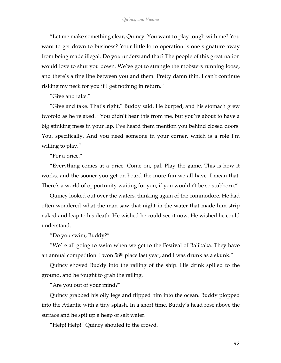"Let me make something clear, Quincy. You want to play tough with me? You want to get down to business? Your little lotto operation is one signature away from being made illegal. Do you understand that? The people of this great nation would love to shut you down. We've got to strangle the mobsters running loose, and there's a fine line between you and them. Pretty damn thin. I can't continue risking my neck for you if I get nothing in return."

"Give and take."

"Give and take. That's right," Buddy said. He burped, and his stomach grew twofold as he relaxed. "You didn't hear this from me, but you're about to have a big stinking mess in your lap. I've heard them mention you behind closed doors. You, specifically. And you need someone in your corner, which is a role I'm willing to play."

"For a price."

"Everything comes at a price. Come on, pal. Play the game. This is how it works, and the sooner you get on board the more fun we all have. I mean that. There's a world of opportunity waiting for you, if you wouldn't be so stubborn."

Quincy looked out over the waters, thinking again of the commodore. He had often wondered what the man saw that night in the water that made him strip naked and leap to his death. He wished he could see it now. He wished he could understand.

"Do you swim, Buddy?"

"We're all going to swim when we get to the Festival of Balibaba. They have an annual competition. I won 58<sup>th</sup> place last year, and I was drunk as a skunk."

Quincy shoved Buddy into the railing of the ship. His drink spilled to the ground, and he fought to grab the railing.

"Are you out of your mind?"

Quincy grabbed his oily legs and flipped him into the ocean. Buddy plopped into the Atlantic with a tiny splash. In a short time, Buddy's head rose above the surface and he spit up a heap of salt water.

"Help! Help!" Quincy shouted to the crowd.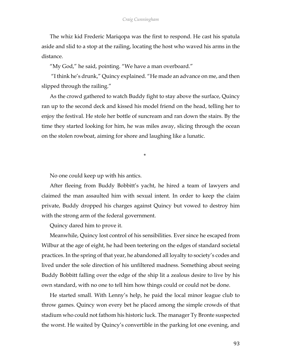The whiz kid Frederic Mariqopa was the first to respond. He cast his spatula aside and slid to a stop at the railing, locating the host who waved his arms in the distance.

"My God," he said, pointing. "We have a man overboard."

"I think he's drunk," Quincy explained. "He made an advance on me, and then slipped through the railing."

As the crowd gathered to watch Buddy fight to stay above the surface, Quincy ran up to the second deck and kissed his model friend on the head, telling her to enjoy the festival. He stole her bottle of suncream and ran down the stairs. By the time they started looking for him, he was miles away, slicing through the ocean on the stolen rowboat, aiming for shore and laughing like a lunatic.

\*

No one could keep up with his antics.

After fleeing from Buddy Bobbitt's yacht, he hired a team of lawyers and claimed the man assaulted him with sexual intent. In order to keep the claim private, Buddy dropped his charges against Quincy but vowed to destroy him with the strong arm of the federal government.

Quincy dared him to prove it.

Meanwhile, Quincy lost control of his sensibilities. Ever since he escaped from Wilbur at the age of eight, he had been teetering on the edges of standard societal practices. In the spring of that year, he abandoned all loyalty to society's codes and lived under the sole direction of his unfiltered madness. Something about seeing Buddy Bobbitt falling over the edge of the ship lit a zealous desire to live by his own standard, with no one to tell him how things could or could not be done.

He started small. With Lenny's help, he paid the local minor league club to throw games. Quincy won every bet he placed among the simple crowds of that stadium who could not fathom his historic luck. The manager Ty Bronte suspected the worst. He waited by Quincy's convertible in the parking lot one evening, and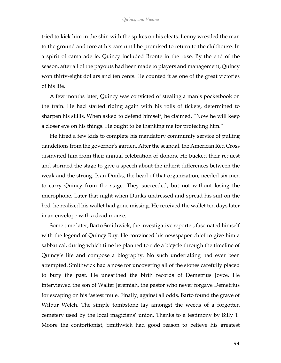tried to kick him in the shin with the spikes on his cleats. Lenny wrestled the man to the ground and tore at his ears until he promised to return to the clubhouse. In a spirit of camaraderie, Quincy included Bronte in the ruse. By the end of the season, after all of the payouts had been made to players and management, Quincy won thirty-eight dollars and ten cents. He counted it as one of the great victories of his life.

A few months later, Quincy was convicted of stealing a man's pocketbook on the train. He had started riding again with his rolls of tickets, determined to sharpen his skills. When asked to defend himself, he claimed, "Now he will keep a closer eye on his things. He ought to be thanking me for protecting him."

He hired a few kids to complete his mandatory community service of pulling dandelions from the governor's garden. After the scandal, the American Red Cross disinvited him from their annual celebration of donors. He bucked their request and stormed the stage to give a speech about the inherit differences between the weak and the strong. Ivan Dunks, the head of that organization, needed six men to carry Quincy from the stage. They succeeded, but not without losing the microphone. Later that night when Dunks undressed and spread his suit on the bed, he realized his wallet had gone missing. He received the wallet ten days later in an envelope with a dead mouse.

Some time later, Barto Smithwick, the investigative reporter, fascinated himself with the legend of Quincy Ray. He convinced his newspaper chief to give him a sabbatical, during which time he planned to ride a bicycle through the timeline of Quincy's life and compose a biography. No such undertaking had ever been attempted. Smithwick had a nose for uncovering all of the stones carefully placed to bury the past. He unearthed the birth records of Demetrius Joyce. He interviewed the son of Walter Jeremiah, the pastor who never forgave Demetrius for escaping on his fastest mule. Finally, against all odds, Barto found the grave of Wilbur Welch. The simple tombstone lay amongst the weeds of a forgotten cemetery used by the local magicians' union. Thanks to a testimony by Billy T. Moore the contortionist, Smithwick had good reason to believe his greatest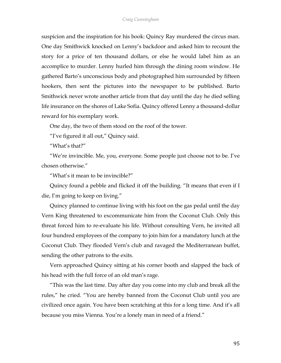suspicion and the inspiration for his book: Quincy Ray murdered the circus man. One day Smithwick knocked on Lenny's backdoor and asked him to recount the story for a price of ten thousand dollars, or else he would label him as an accomplice to murder. Lenny hurled him through the dining room window. He gathered Barto's unconscious body and photographed him surrounded by fifteen hookers, then sent the pictures into the newspaper to be published. Barto Smithwick never wrote another article from that day until the day he died selling life insurance on the shores of Lake Sofia. Quincy offered Lenny a thousand-dollar reward for his exemplary work.

One day, the two of them stood on the roof of the tower.

"I've figured it all out," Quincy said.

"What's that?"

"We're invincible. Me, you, everyone. Some people just choose not to be. I've chosen otherwise."

"What's it mean to be invincible?"

Quincy found a pebble and flicked it off the building. "It means that even if I die, I'm going to keep on living."

Quincy planned to continue living with his foot on the gas pedal until the day Vern King threatened to excommunicate him from the Coconut Club. Only this threat forced him to re-evaluate his life. Without consulting Vern, he invited all four hundred employees of the company to join him for a mandatory lunch at the Coconut Club. They flooded Vern's club and ravaged the Mediterranean buffet, sending the other patrons to the exits.

Vern approached Quincy sitting at his corner booth and slapped the back of his head with the full force of an old man's rage.

"This was the last time. Day after day you come into my club and break all the rules," he cried. "You are hereby banned from the Coconut Club until you are civilized once again. You have been scratching at this for a long time. And it's all because you miss Vienna. You're a lonely man in need of a friend."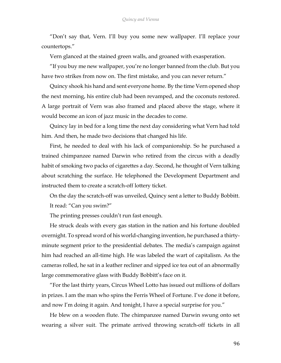"Don't say that, Vern. I'll buy you some new wallpaper. I'll replace your countertops."

Vern glanced at the stained green walls, and groaned with exasperation.

"If you buy me new wallpaper, you're no longer banned from the club. But you have two strikes from now on. The first mistake, and you can never return."

Quincy shook his hand and sent everyone home. By the time Vern opened shop the next morning, his entire club had been revamped, and the coconuts restored. A large portrait of Vern was also framed and placed above the stage, where it would become an icon of jazz music in the decades to come.

Quincy lay in bed for a long time the next day considering what Vern had told him. And then, he made two decisions that changed his life.

First, he needed to deal with his lack of companionship. So he purchased a trained chimpanzee named Darwin who retired from the circus with a deadly habit of smoking two packs of cigarettes a day. Second, he thought of Vern talking about scratching the surface. He telephoned the Development Department and instructed them to create a scratch-off lottery ticket.

On the day the scratch-off was unveiled, Quincy sent a letter to Buddy Bobbitt. It read: "Can you swim?"

The printing presses couldn't run fast enough.

He struck deals with every gas station in the nation and his fortune doubled overnight. To spread word of his world-changing invention, he purchased a thirtyminute segment prior to the presidential debates. The media's campaign against him had reached an all-time high. He was labeled the wart of capitalism. As the cameras rolled, he sat in a leather recliner and sipped ice tea out of an abnormally large commemorative glass with Buddy Bobbitt's face on it.

"For the last thirty years, Circus Wheel Lotto has issued out millions of dollars in prizes. I am the man who spins the Ferris Wheel of Fortune. I've done it before, and now I'm doing it again. And tonight, I have a special surprise for you."

He blew on a wooden flute. The chimpanzee named Darwin swung onto set wearing a silver suit. The primate arrived throwing scratch-off tickets in all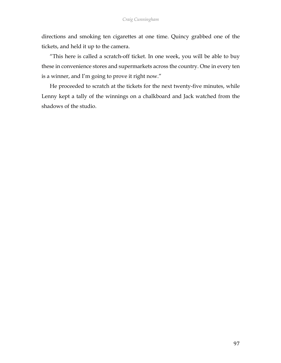directions and smoking ten cigarettes at one time. Quincy grabbed one of the tickets, and held it up to the camera.

"This here is called a scratch-off ticket. In one week, you will be able to buy these in convenience stores and supermarkets across the country. One in every ten is a winner, and I'm going to prove it right now."

He proceeded to scratch at the tickets for the next twenty-five minutes, while Lenny kept a tally of the winnings on a chalkboard and Jack watched from the shadows of the studio.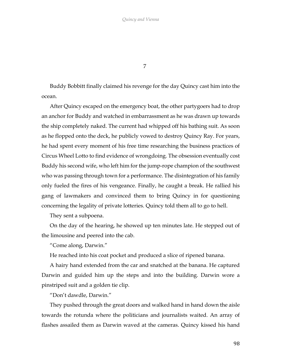7

Buddy Bobbitt finally claimed his revenge for the day Quincy cast him into the ocean.

After Quincy escaped on the emergency boat, the other partygoers had to drop an anchor for Buddy and watched in embarrassment as he was drawn up towards the ship completely naked. The current had whipped off his bathing suit. As soon as he flopped onto the deck, he publicly vowed to destroy Quincy Ray. For years, he had spent every moment of his free time researching the business practices of Circus Wheel Lotto to find evidence of wrongdoing. The obsession eventually cost Buddy his second wife, who left him for the jump-rope champion of the southwest who was passing through town for a performance. The disintegration of his family only fueled the fires of his vengeance. Finally, he caught a break. He rallied his gang of lawmakers and convinced them to bring Quincy in for questioning concerning the legality of private lotteries. Quincy told them all to go to hell.

They sent a subpoena.

On the day of the hearing, he showed up ten minutes late. He stepped out of the limousine and peered into the cab.

"Come along, Darwin."

He reached into his coat pocket and produced a slice of ripened banana.

A hairy hand extended from the car and snatched at the banana. He captured Darwin and guided him up the steps and into the building. Darwin wore a pinstriped suit and a golden tie clip.

"Don't dawdle, Darwin."

They pushed through the great doors and walked hand in hand down the aisle towards the rotunda where the politicians and journalists waited. An array of flashes assailed them as Darwin waved at the cameras. Quincy kissed his hand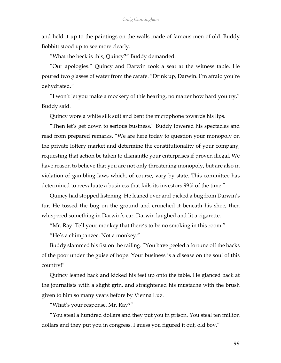and held it up to the paintings on the walls made of famous men of old. Buddy Bobbitt stood up to see more clearly.

"What the heck is this, Quincy?" Buddy demanded.

"Our apologies." Quincy and Darwin took a seat at the witness table. He poured two glasses of water from the carafe. "Drink up, Darwin. I'm afraid you're dehydrated."

"I won't let you make a mockery of this hearing, no matter how hard you try," Buddy said.

Quincy wore a white silk suit and bent the microphone towards his lips.

"Then let's get down to serious business." Buddy lowered his spectacles and read from prepared remarks. "We are here today to question your monopoly on the private lottery market and determine the constitutionality of your company, requesting that action be taken to dismantle your enterprises if proven illegal. We have reason to believe that you are not only threatening monopoly, but are also in violation of gambling laws which, of course, vary by state. This committee has determined to reevaluate a business that fails its investors 99% of the time."

Quincy had stopped listening. He leaned over and picked a bug from Darwin's fur. He tossed the bug on the ground and crunched it beneath his shoe, then whispered something in Darwin's ear. Darwin laughed and lit a cigarette.

"Mr. Ray! Tell your monkey that there's to be no smoking in this room!"

"He's a chimpanzee. Not a monkey."

Buddy slammed his fist on the railing. "You have peeled a fortune off the backs of the poor under the guise of hope. Your business is a disease on the soul of this country!"

Quincy leaned back and kicked his feet up onto the table. He glanced back at the journalists with a slight grin, and straightened his mustache with the brush given to him so many years before by Vienna Luz.

"What's your response, Mr. Ray?"

"You steal a hundred dollars and they put you in prison. You steal ten million dollars and they put you in congress. I guess you figured it out, old boy."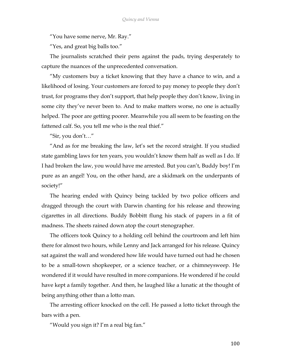"You have some nerve, Mr. Ray."

"Yes, and great big balls too."

The journalists scratched their pens against the pads, trying desperately to capture the nuances of the unprecedented conversation.

"My customers buy a ticket knowing that they have a chance to win, and a likelihood of losing. Your customers are forced to pay money to people they don't trust, for programs they don't support, that help people they don't know, living in some city they've never been to. And to make matters worse, no one is actually helped. The poor are getting poorer. Meanwhile you all seem to be feasting on the fattened calf. So, you tell me who is the real thief."

"Sir, you don't…"

"And as for me breaking the law, let's set the record straight. If you studied state gambling laws for ten years, you wouldn't know them half as well as I do. If I had broken the law, you would have me arrested. But you can't, Buddy boy! I'm pure as an angel! You, on the other hand, are a skidmark on the underpants of society!"

The hearing ended with Quincy being tackled by two police officers and dragged through the court with Darwin chanting for his release and throwing cigarettes in all directions. Buddy Bobbitt flung his stack of papers in a fit of madness. The sheets rained down atop the court stenographer.

The officers took Quincy to a holding cell behind the courtroom and left him there for almost two hours, while Lenny and Jack arranged for his release. Quincy sat against the wall and wondered how life would have turned out had he chosen to be a small-town shopkeeper, or a science teacher, or a chimneysweep. He wondered if it would have resulted in more companions. He wondered if he could have kept a family together. And then, he laughed like a lunatic at the thought of being anything other than a lotto man.

The arresting officer knocked on the cell. He passed a lotto ticket through the bars with a pen.

"Would you sign it? I'm a real big fan."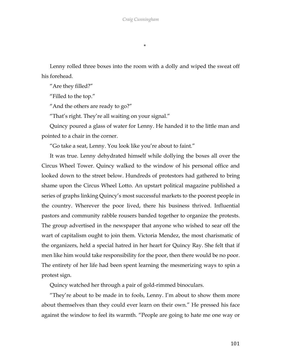\*

Lenny rolled three boxes into the room with a dolly and wiped the sweat off his forehead.

"Are they filled?"

"Filled to the top."

"And the others are ready to go?"

"That's right. They're all waiting on your signal."

Quincy poured a glass of water for Lenny. He handed it to the little man and pointed to a chair in the corner.

"Go take a seat, Lenny. You look like you're about to faint."

It was true. Lenny dehydrated himself while dollying the boxes all over the Circus Wheel Tower. Quincy walked to the window of his personal office and looked down to the street below. Hundreds of protestors had gathered to bring shame upon the Circus Wheel Lotto. An upstart political magazine published a series of graphs linking Quincy's most successful markets to the poorest people in the country. Wherever the poor lived, there his business thrived. Influential pastors and community rabble rousers banded together to organize the protests. The group advertised in the newspaper that anyone who wished to sear off the wart of capitalism ought to join them. Victoria Mendez, the most charismatic of the organizers, held a special hatred in her heart for Quincy Ray. She felt that if men like him would take responsibility for the poor, then there would be no poor. The entirety of her life had been spent learning the mesmerizing ways to spin a protest sign.

Quincy watched her through a pair of gold-rimmed binoculars.

"They're about to be made in to fools, Lenny. I'm about to show them more about themselves than they could ever learn on their own." He pressed his face against the window to feel its warmth. "People are going to hate me one way or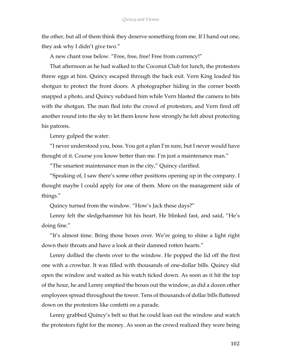the other, but all of them think they deserve something from me. If I hand out one, they ask why I didn't give two."

A new chant rose below. "Free, free, free! Free from currency!"

That afternoon as he had walked to the Coconut Club for lunch, the protestors threw eggs at him. Quincy escaped through the back exit. Vern King loaded his shotgun to protect the front doors. A photographer hiding in the corner booth snapped a photo, and Quincy subdued him while Vern blasted the camera to bits with the shotgun. The man fled into the crowd of protestors, and Vern fired off another round into the sky to let them know how strongly he felt about protecting his patrons.

Lenny gulped the water.

"I never understood you, boss. You got a plan I'm sure, but I never would have thought of it. Course you know better than me. I'm just a maintenance man."

"The smartest maintenance man in the city," Quincy clarified.

"Speaking of, I saw there's some other positions opening up in the company. I thought maybe I could apply for one of them. More on the management side of things."

Quincy turned from the window. "How's Jack these days?"

Lenny felt the sledgehammer hit his heart. He blinked fast, and said, "He's doing fine."

"It's almost time. Bring those boxes over. We're going to shine a light right down their throats and have a look at their damned rotten hearts."

Lenny dollied the chests over to the window. He popped the lid off the first one with a crowbar. It was filled with thousands of one-dollar bills. Quincy slid open the window and waited as his watch ticked down. As soon as it hit the top of the hour, he and Lenny emptied the boxes out the window, as did a dozen other employees spread throughout the tower. Tens of thousands of dollar bills fluttered down on the protestors like confetti on a parade.

Lenny grabbed Quincy's belt so that he could lean out the window and watch the protestors fight for the money. As soon as the crowd realized they were being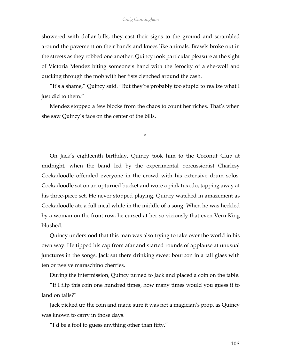showered with dollar bills, they cast their signs to the ground and scrambled around the pavement on their hands and knees like animals. Brawls broke out in the streets as they robbed one another. Quincy took particular pleasure at the sight of Victoria Mendez biting someone's hand with the ferocity of a she-wolf and ducking through the mob with her fists clenched around the cash.

"It's a shame," Quincy said. "But they're probably too stupid to realize what I just did to them."

Mendez stopped a few blocks from the chaos to count her riches. That's when she saw Quincy's face on the center of the bills.

\*

On Jack's eighteenth birthday, Quincy took him to the Coconut Club at midnight, when the band led by the experimental percussionist Charlesy Cockadoodle offended everyone in the crowd with his extensive drum solos. Cockadoodle sat on an upturned bucket and wore a pink tuxedo, tapping away at his three-piece set. He never stopped playing. Quincy watched in amazement as Cockadoodle ate a full meal while in the middle of a song. When he was heckled by a woman on the front row, he cursed at her so viciously that even Vern King blushed.

Quincy understood that this man was also trying to take over the world in his own way. He tipped his cap from afar and started rounds of applause at unusual junctures in the songs. Jack sat there drinking sweet bourbon in a tall glass with ten or twelve maraschino cherries.

During the intermission, Quincy turned to Jack and placed a coin on the table.

"If I flip this coin one hundred times, how many times would you guess it to land on tails?"

Jack picked up the coin and made sure it was not a magician's prop, as Quincy was known to carry in those days.

"I'd be a fool to guess anything other than fifty."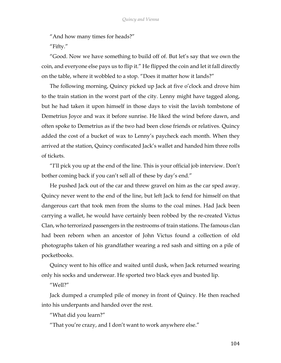"And how many times for heads?"

"Fifty."

"Good. Now we have something to build off of. But let's say that we own the coin, and everyone else pays us to flip it." He flipped the coin and let it fall directly on the table, where it wobbled to a stop. "Does it matter how it lands?"

The following morning, Quincy picked up Jack at five o'clock and drove him to the train station in the worst part of the city. Lenny might have tagged along, but he had taken it upon himself in those days to visit the lavish tombstone of Demetrius Joyce and wax it before sunrise. He liked the wind before dawn, and often spoke to Demetrius as if the two had been close friends or relatives. Quincy added the cost of a bucket of wax to Lenny's paycheck each month. When they arrived at the station, Quincy confiscated Jack's wallet and handed him three rolls of tickets.

"I'll pick you up at the end of the line. This is your official job interview. Don't bother coming back if you can't sell all of these by day's end."

He pushed Jack out of the car and threw gravel on him as the car sped away. Quincy never went to the end of the line, but left Jack to fend for himself on that dangerous cart that took men from the slums to the coal mines. Had Jack been carrying a wallet, he would have certainly been robbed by the re-created Victus Clan, who terrorized passengers in the restrooms of train stations. The famous clan had been reborn when an ancestor of John Victus found a collection of old photographs taken of his grandfather wearing a red sash and sitting on a pile of pocketbooks.

Quincy went to his office and waited until dusk, when Jack returned wearing only his socks and underwear. He sported two black eyes and busted lip.

"Well?"

Jack dumped a crumpled pile of money in front of Quincy. He then reached into his underpants and handed over the rest.

"What did you learn?"

"That you're crazy, and I don't want to work anywhere else."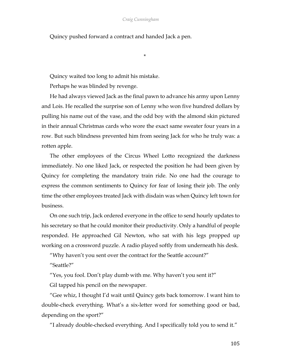Quincy pushed forward a contract and handed Jack a pen.

\*

Quincy waited too long to admit his mistake.

Perhaps he was blinded by revenge.

He had always viewed Jack as the final pawn to advance his army upon Lenny and Lois. He recalled the surprise son of Lenny who won five hundred dollars by pulling his name out of the vase, and the odd boy with the almond skin pictured in their annual Christmas cards who wore the exact same sweater four years in a row. But such blindness prevented him from seeing Jack for who he truly was: a rotten apple.

The other employees of the Circus Wheel Lotto recognized the darkness immediately. No one liked Jack, or respected the position he had been given by Quincy for completing the mandatory train ride. No one had the courage to express the common sentiments to Quincy for fear of losing their job. The only time the other employees treated Jack with disdain was when Quincy left town for business.

On one such trip, Jack ordered everyone in the office to send hourly updates to his secretary so that he could monitor their productivity. Only a handful of people responded. He approached Gil Newton, who sat with his legs propped up working on a crossword puzzle. A radio played softly from underneath his desk.

"Why haven't you sent over the contract for the Seattle account?"

"Seattle?"

"Yes, you fool. Don't play dumb with me. Why haven't you sent it?"

Gil tapped his pencil on the newspaper.

"Gee whiz, I thought I'd wait until Quincy gets back tomorrow. I want him to double-check everything. What's a six-letter word for something good or bad, depending on the sport?"

"I already double-checked everything. And I specifically told you to send it."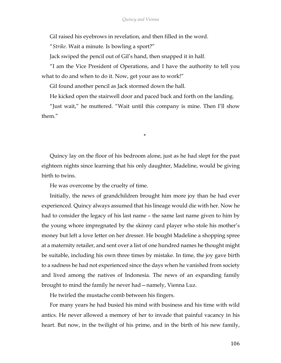Gil raised his eyebrows in revelation, and then filled in the word.

"*Strike*. Wait a minute. Is bowling a sport?"

Jack swiped the pencil out of Gil's hand, then snapped it in half.

"I am the Vice President of Operations, and I have the authority to tell you what to do and when to do it. Now, get your ass to work!"

Gil found another pencil as Jack stormed down the hall.

He kicked open the stairwell door and paced back and forth on the landing.

"Just wait," he muttered. "Wait until this company is mine. Then I'll show them."

\*

Quincy lay on the floor of his bedroom alone, just as he had slept for the past eighteen nights since learning that his only daughter, Madeline, would be giving birth to twins.

He was overcome by the cruelty of time.

Initially, the news of grandchildren brought him more joy than he had ever experienced. Quincy always assumed that his lineage would die with her. Now he had to consider the legacy of his last name – the same last name given to him by the young whore impregnated by the skinny card player who stole his mother's money but left a love letter on her dresser. He bought Madeline a shopping spree at a maternity retailer, and sent over a list of one hundred names he thought might be suitable, including his own three times by mistake. In time, the joy gave birth to a sadness he had not experienced since the days when he vanished from society and lived among the natives of Indonesia. The news of an expanding family brought to mind the family he never had—namely, Vienna Luz.

He twirled the mustache comb between his fingers.

For many years he had busied his mind with business and his time with wild antics. He never allowed a memory of her to invade that painful vacancy in his heart. But now, in the twilight of his prime, and in the birth of his new family,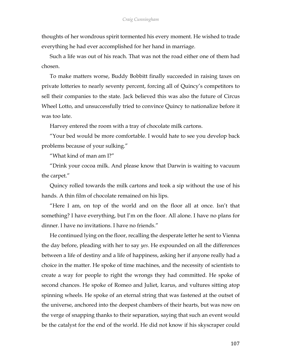thoughts of her wondrous spirit tormented his every moment. He wished to trade everything he had ever accomplished for her hand in marriage.

Such a life was out of his reach. That was not the road either one of them had chosen.

To make matters worse, Buddy Bobbitt finally succeeded in raising taxes on private lotteries to nearly seventy percent, forcing all of Quincy's competitors to sell their companies to the state. Jack believed this was also the future of Circus Wheel Lotto, and unsuccessfully tried to convince Quincy to nationalize before it was too late.

Harvey entered the room with a tray of chocolate milk cartons.

"Your bed would be more comfortable. I would hate to see you develop back problems because of your sulking."

"What kind of man am I?"

"Drink your cocoa milk. And please know that Darwin is waiting to vacuum the carpet."

Quincy rolled towards the milk cartons and took a sip without the use of his hands. A thin film of chocolate remained on his lips.

"Here I am, on top of the world and on the floor all at once. Isn't that something? I have everything, but I'm on the floor. All alone. I have no plans for dinner. I have no invitations. I have no friends."

He continued lying on the floor, recalling the desperate letter he sent to Vienna the day before, pleading with her to say *yes*. He expounded on all the differences between a life of destiny and a life of happiness, asking her if anyone really had a choice in the matter. He spoke of time machines, and the necessity of scientists to create a way for people to right the wrongs they had committed. He spoke of second chances. He spoke of Romeo and Juliet, Icarus, and vultures sitting atop spinning wheels. He spoke of an eternal string that was fastened at the outset of the universe, anchored into the deepest chambers of their hearts, but was now on the verge of snapping thanks to their separation, saying that such an event would be the catalyst for the end of the world. He did not know if his skyscraper could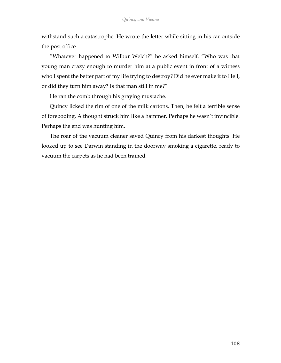withstand such a catastrophe. He wrote the letter while sitting in his car outside the post office

"Whatever happened to Wilbur Welch?" he asked himself. "Who was that young man crazy enough to murder him at a public event in front of a witness who I spent the better part of my life trying to destroy? Did he ever make it to Hell, or did they turn him away? Is that man still in me?"

He ran the comb through his graying mustache.

Quincy licked the rim of one of the milk cartons. Then, he felt a terrible sense of foreboding. A thought struck him like a hammer. Perhaps he wasn't invincible. Perhaps the end was hunting him.

The roar of the vacuum cleaner saved Quincy from his darkest thoughts. He looked up to see Darwin standing in the doorway smoking a cigarette, ready to vacuum the carpets as he had been trained.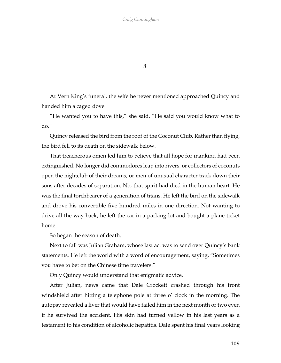8

At Vern King's funeral, the wife he never mentioned approached Quincy and handed him a caged dove.

"He wanted you to have this," she said. "He said you would know what to do."

Quincy released the bird from the roof of the Coconut Club. Rather than flying, the bird fell to its death on the sidewalk below.

That treacherous omen led him to believe that all hope for mankind had been extinguished. No longer did commodores leap into rivers, or collectors of coconuts open the nightclub of their dreams, or men of unusual character track down their sons after decades of separation. No, that spirit had died in the human heart. He was the final torchbearer of a generation of titans. He left the bird on the sidewalk and drove his convertible five hundred miles in one direction. Not wanting to drive all the way back, he left the car in a parking lot and bought a plane ticket home.

So began the season of death.

Next to fall was Julian Graham, whose last act was to send over Quincy's bank statements. He left the world with a word of encouragement, saying, "Sometimes you have to bet on the Chinese time travelers."

Only Quincy would understand that enigmatic advice.

After Julian, news came that Dale Crockett crashed through his front windshield after hitting a telephone pole at three o' clock in the morning. The autopsy revealed a liver that would have failed him in the next month or two even if he survived the accident. His skin had turned yellow in his last years as a testament to his condition of alcoholic hepatitis. Dale spent his final years looking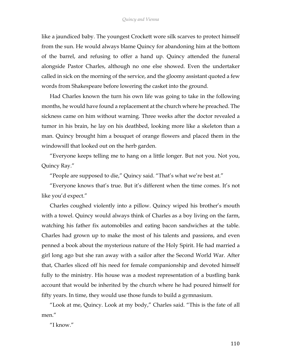like a jaundiced baby. The youngest Crockett wore silk scarves to protect himself from the sun. He would always blame Quincy for abandoning him at the bottom of the barrel, and refusing to offer a hand up. Quincy attended the funeral alongside Pastor Charles, although no one else showed. Even the undertaker called in sick on the morning of the service, and the gloomy assistant quoted a few words from Shakespeare before lowering the casket into the ground.

Had Charles known the turn his own life was going to take in the following months, he would have found a replacement at the church where he preached. The sickness came on him without warning. Three weeks after the doctor revealed a tumor in his brain, he lay on his deathbed, looking more like a skeleton than a man. Quincy brought him a bouquet of orange flowers and placed them in the windowsill that looked out on the herb garden.

"Everyone keeps telling me to hang on a little longer. But not you. Not you, Quincy Ray."

"People are supposed to die," Quincy said. "That's what we're best at."

"Everyone knows that's true. But it's different when the time comes. It's not like you'd expect."

Charles coughed violently into a pillow. Quincy wiped his brother's mouth with a towel. Quincy would always think of Charles as a boy living on the farm, watching his father fix automobiles and eating bacon sandwiches at the table. Charles had grown up to make the most of his talents and passions, and even penned a book about the mysterious nature of the Holy Spirit. He had married a girl long ago but she ran away with a sailor after the Second World War. After that, Charles sliced off his need for female companionship and devoted himself fully to the ministry. His house was a modest representation of a bustling bank account that would be inherited by the church where he had poured himself for fifty years. In time, they would use those funds to build a gymnasium.

"Look at me, Quincy. Look at my body," Charles said. "This is the fate of all men."

"I know."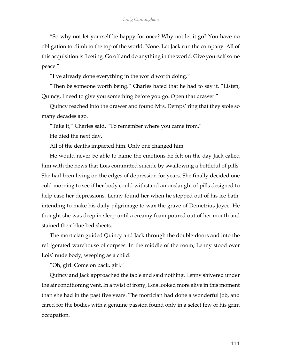"So why not let yourself be happy for once? Why not let it go? You have no obligation to climb to the top of the world. None. Let Jack run the company. All of this acquisition is fleeting. Go off and do anything in the world. Give yourself some peace."

"I've already done everything in the world worth doing."

"Then be someone worth being." Charles hated that he had to say it. "Listen, Quincy, I need to give you something before you go. Open that drawer."

Quincy reached into the drawer and found Mrs. Demps' ring that they stole so many decades ago.

"Take it," Charles said. "To remember where you came from."

He died the next day.

All of the deaths impacted him. Only one changed him.

He would never be able to name the emotions he felt on the day Jack called him with the news that Lois committed suicide by swallowing a bottleful of pills. She had been living on the edges of depression for years. She finally decided one cold morning to see if her body could withstand an onslaught of pills designed to help ease her depressions. Lenny found her when he stepped out of his ice bath, intending to make his daily pilgrimage to wax the grave of Demetrius Joyce. He thought she was deep in sleep until a creamy foam poured out of her mouth and stained their blue bed sheets.

The mortician guided Quincy and Jack through the double-doors and into the refrigerated warehouse of corpses. In the middle of the room, Lenny stood over Lois' nude body, weeping as a child.

"Oh, girl. Come on back, girl."

Quincy and Jack approached the table and said nothing. Lenny shivered under the air conditioning vent. In a twist of irony, Lois looked more alive in this moment than she had in the past five years. The mortician had done a wonderful job, and cared for the bodies with a genuine passion found only in a select few of his grim occupation.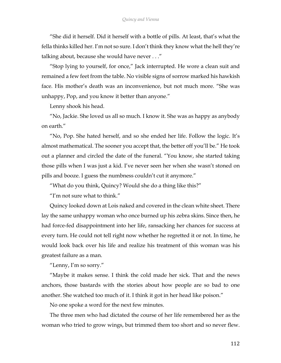"She did it herself. Did it herself with a bottle of pills. At least, that's what the fella thinks killed her. I'm not so sure. I don't think they know what the hell they're talking about, because she would have never . . ."

"Stop lying to yourself, for once," Jack interrupted. He wore a clean suit and remained a few feet from the table. No visible signs of sorrow marked his hawkish face. His mother's death was an inconvenience, but not much more. "She was unhappy, Pop, and you know it better than anyone."

Lenny shook his head.

"No, Jackie. She loved us all so much. I know it. She was as happy as anybody on earth."

"No, Pop. She hated herself, and so she ended her life. Follow the logic. It's almost mathematical. The sooner you accept that, the better off you'll be." He took out a planner and circled the date of the funeral. "You know, she started taking those pills when I was just a kid. I've never seen her when she wasn't stoned on pills and booze. I guess the numbness couldn't cut it anymore."

"What do you think, Quincy? Would she do a thing like this?"

"I'm not sure what to think."

Quincy looked down at Lois naked and covered in the clean white sheet. There lay the same unhappy woman who once burned up his zebra skins. Since then, he had force-fed disappointment into her life, ransacking her chances for success at every turn. He could not tell right now whether he regretted it or not. In time, he would look back over his life and realize his treatment of this woman was his greatest failure as a man.

"Lenny, I'm so sorry."

"Maybe it makes sense. I think the cold made her sick. That and the news anchors, those bastards with the stories about how people are so bad to one another. She watched too much of it. I think it got in her head like poison."

No one spoke a word for the next few minutes.

The three men who had dictated the course of her life remembered her as the woman who tried to grow wings, but trimmed them too short and so never flew.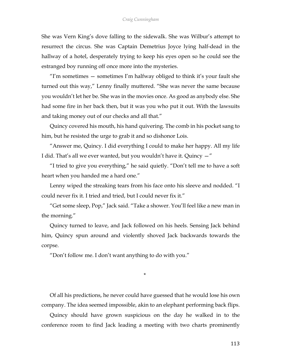She was Vern King's dove falling to the sidewalk. She was Wilbur's attempt to resurrect the circus. She was Captain Demetrius Joyce lying half-dead in the hallway of a hotel, desperately trying to keep his eyes open so he could see the estranged boy running off once more into the mysteries.

"I'm sometimes  $-$  sometimes I'm halfway obliged to think it's your fault she turned out this way," Lenny finally muttered. "She was never the same because you wouldn't let her be. She was in the movies once. As good as anybody else. She had some fire in her back then, but it was you who put it out. With the lawsuits and taking money out of our checks and all that."

Quincy covered his mouth, his hand quivering. The comb in his pocket sang to him, but he resisted the urge to grab it and so dishonor Lois.

"Answer me, Quincy. I did everything I could to make her happy. All my life I did. That's all we ever wanted, but you wouldn't have it. Quincy  $-$ "

"I tried to give you everything," he said quietly. "Don't tell me to have a soft heart when you handed me a hard one."

Lenny wiped the streaking tears from his face onto his sleeve and nodded. "I could never fix it. I tried and tried, but I could never fix it."

"Get some sleep, Pop," Jack said. "Take a shower. You'll feel like a new man in the morning."

Quincy turned to leave, and Jack followed on his heels. Sensing Jack behind him, Quincy spun around and violently shoved Jack backwards towards the corpse.

"Don't follow me. I don't want anything to do with you."

\*

Of all his predictions, he never could have guessed that he would lose his own company. The idea seemed impossible, akin to an elephant performing back flips.

Quincy should have grown suspicious on the day he walked in to the conference room to find Jack leading a meeting with two charts prominently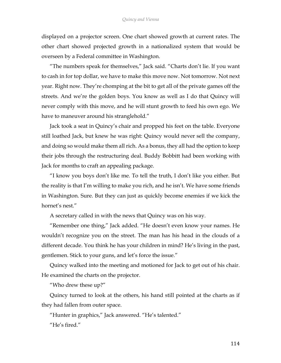displayed on a projector screen. One chart showed growth at current rates. The other chart showed projected growth in a nationalized system that would be overseen by a Federal committee in Washington.

"The numbers speak for themselves," Jack said. "Charts don't lie. If you want to cash in for top dollar, we have to make this move now. Not tomorrow. Not next year. Right now. They're chomping at the bit to get all of the private games off the streets. And we're the golden boys. You know as well as I do that Quincy will never comply with this move, and he will stunt growth to feed his own ego. We have to maneuver around his stranglehold."

Jack took a seat in Quincy's chair and propped his feet on the table. Everyone still loathed Jack, but knew he was right: Quincy would never sell the company, and doing so would make them all rich. As a bonus, they all had the option to keep their jobs through the restructuring deal. Buddy Bobbitt had been working with Jack for months to craft an appealing package.

"I know you boys don't like me. To tell the truth, I don't like you either. But the reality is that I'm willing to make you rich, and he isn't. We have some friends in Washington. Sure. But they can just as quickly become enemies if we kick the hornet's nest."

A secretary called in with the news that Quincy was on his way.

"Remember one thing," Jack added. "He doesn't even know your names. He wouldn't recognize you on the street. The man has his head in the clouds of a different decade. You think he has your children in mind? He's living in the past, gentlemen. Stick to your guns, and let's force the issue."

Quincy walked into the meeting and motioned for Jack to get out of his chair. He examined the charts on the projector.

"Who drew these up?"

Quincy turned to look at the others, his hand still pointed at the charts as if they had fallen from outer space.

"Hunter in graphics," Jack answered. "He's talented."

"He's fired."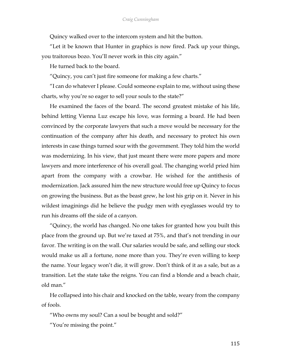Quincy walked over to the intercom system and hit the button.

"Let it be known that Hunter in graphics is now fired. Pack up your things, you traitorous bozo. You'll never work in this city again."

He turned back to the board.

"Quincy, you can't just fire someone for making a few charts."

"I can do whatever I please. Could someone explain to me, without using these charts, why you're so eager to sell your souls to the state?"

He examined the faces of the board. The second greatest mistake of his life, behind letting Vienna Luz escape his love, was forming a board. He had been convinced by the corporate lawyers that such a move would be necessary for the continuation of the company after his death, and necessary to protect his own interests in case things turned sour with the government. They told him the world was modernizing. In his view, that just meant there were more papers and more lawyers and more interference of his overall goal. The changing world pried him apart from the company with a crowbar. He wished for the antithesis of modernization. Jack assured him the new structure would free up Quincy to focus on growing the business. But as the beast grew, he lost his grip on it. Never in his wildest imaginings did he believe the pudgy men with eyeglasses would try to run his dreams off the side of a canyon.

"Quincy, the world has changed. No one takes for granted how you built this place from the ground up. But we're taxed at 75%, and that's not trending in our favor. The writing is on the wall. Our salaries would be safe, and selling our stock would make us all a fortune, none more than you. They're even willing to keep the name. Your legacy won't die, it will grow. Don't think of it as a sale, but as a transition. Let the state take the reigns. You can find a blonde and a beach chair, old man."

He collapsed into his chair and knocked on the table, weary from the company of fools.

"Who owns my soul? Can a soul be bought and sold?"

"You're missing the point."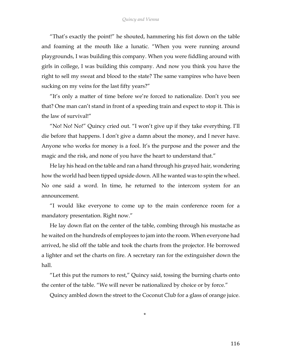"That's exactly the point!" he shouted, hammering his fist down on the table and foaming at the mouth like a lunatic. "When you were running around playgrounds, I was building this company. When you were fiddling around with girls in college, I was building this company. And now you think you have the right to sell my sweat and blood to the state? The same vampires who have been sucking on my veins for the last fifty years?"

"It's only a matter of time before we're forced to nationalize. Don't you see that? One man can't stand in front of a speeding train and expect to stop it. This is the law of survival!"

"No! No! No!" Quincy cried out. "I won't give up if they take everything. I'll die before that happens. I don't give a damn about the money, and I never have. Anyone who works for money is a fool. It's the purpose and the power and the magic and the risk, and none of you have the heart to understand that."

He lay his head on the table and ran a hand through his grayed hair, wondering how the world had been tipped upside down. All he wanted was to spin the wheel. No one said a word. In time, he returned to the intercom system for an announcement.

"I would like everyone to come up to the main conference room for a mandatory presentation. Right now."

He lay down flat on the center of the table, combing through his mustache as he waited on the hundreds of employees to jam into the room. When everyone had arrived, he slid off the table and took the charts from the projector. He borrowed a lighter and set the charts on fire. A secretary ran for the extinguisher down the hall.

"Let this put the rumors to rest," Quincy said, tossing the burning charts onto the center of the table. "We will never be nationalized by choice or by force."

Quincy ambled down the street to the Coconut Club for a glass of orange juice.

\*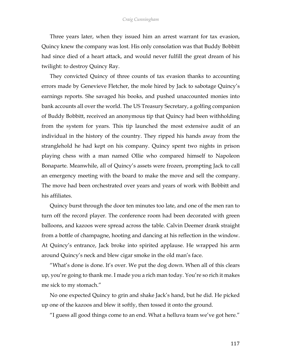## *Craig Cunningham*

Three years later, when they issued him an arrest warrant for tax evasion, Quincy knew the company was lost. His only consolation was that Buddy Bobbitt had since died of a heart attack, and would never fulfill the great dream of his twilight: to destroy Quincy Ray.

They convicted Quincy of three counts of tax evasion thanks to accounting errors made by Genevieve Fletcher, the mole hired by Jack to sabotage Quincy's earnings reports. She savaged his books, and pushed unaccounted monies into bank accounts all over the world. The US Treasury Secretary, a golfing companion of Buddy Bobbitt, received an anonymous tip that Quincy had been withholding from the system for years. This tip launched the most extensive audit of an individual in the history of the country. They ripped his hands away from the stranglehold he had kept on his company. Quincy spent two nights in prison playing chess with a man named Ollie who compared himself to Napoleon Bonaparte. Meanwhile, all of Quincy's assets were frozen, prompting Jack to call an emergency meeting with the board to make the move and sell the company. The move had been orchestrated over years and years of work with Bobbitt and his affiliates.

Quincy burst through the door ten minutes too late, and one of the men ran to turn off the record player. The conference room had been decorated with green balloons, and kazoos were spread across the table. Calvin Deemer drank straight from a bottle of champagne, hooting and dancing at his reflection in the window. At Quincy's entrance, Jack broke into spirited applause. He wrapped his arm around Quincy's neck and blew cigar smoke in the old man's face.

"What's done is done. It's over. We put the dog down. When all of this clears up, you're going to thank me. I made you a rich man today. You're so rich it makes me sick to my stomach."

No one expected Quincy to grin and shake Jack's hand, but he did. He picked up one of the kazoos and blew it softly, then tossed it onto the ground.

"I guess all good things come to an end. What a helluva team we've got here."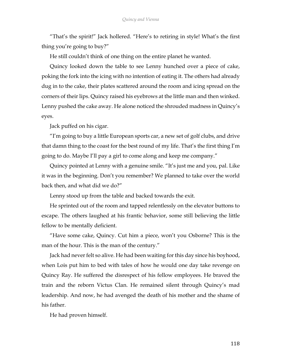"That's the spirit!" Jack hollered. "Here's to retiring in style! What's the first thing you're going to buy?"

He still couldn't think of one thing on the entire planet he wanted.

Quincy looked down the table to see Lenny hunched over a piece of cake, poking the fork into the icing with no intention of eating it. The others had already dug in to the cake, their plates scattered around the room and icing spread on the corners of their lips. Quincy raised his eyebrows at the little man and then winked. Lenny pushed the cake away. He alone noticed the shrouded madness in Quincy's eyes.

Jack puffed on his cigar.

"I'm going to buy a little European sports car, a new set of golf clubs, and drive that damn thing to the coast for the best round of my life. That's the first thing I'm going to do. Maybe I'll pay a girl to come along and keep me company."

Quincy pointed at Lenny with a genuine smile. "It's just me and you, pal. Like it was in the beginning. Don't you remember? We planned to take over the world back then, and what did we do?"

Lenny stood up from the table and backed towards the exit.

He sprinted out of the room and tapped relentlessly on the elevator buttons to escape. The others laughed at his frantic behavior, some still believing the little fellow to be mentally deficient.

"Have some cake, Quincy. Cut him a piece, won't you Osborne? This is the man of the hour. This is the man of the century."

Jack had never felt so alive. He had been waiting for this day since his boyhood, when Lois put him to bed with tales of how he would one day take revenge on Quincy Ray. He suffered the disrespect of his fellow employees. He braved the train and the reborn Victus Clan. He remained silent through Quincy's mad leadership. And now, he had avenged the death of his mother and the shame of his father.

He had proven himself.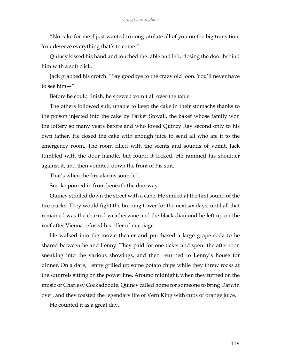"No cake for me. I just wanted to congratulate all of you on the big transition. You deserve everything that's to come."

Quincy kissed his hand and touched the table and left, closing the door behind him with a soft click.

Jack grabbed his crotch. "Say goodbye to the crazy old loon. You'll never have to see him—"

Before he could finish, he spewed vomit all over the table.

The others followed suit, unable to keep the cake in their stomachs thanks to the poison injected into the cake by Parker Stovall, the baker whose family won the lottery so many years before and who loved Quincy Ray second only to his own father. He dosed the cake with enough juice to send all who ate it to the emergency room. The room filled with the scents and sounds of vomit. Jack fumbled with the door handle, but found it locked. He rammed his shoulder against it, and then vomited down the front of his suit.

That's when the fire alarms sounded.

Smoke poured in from beneath the doorway.

Quincy strolled down the street with a cane. He smiled at the first sound of the fire trucks. They would fight the burning tower for the next six days, until all that remained was the charred weathervane and the black diamond he left up on the roof after Vienna refused his offer of marriage.

He walked into the movie theater and purchased a large grape soda to be shared between he and Lenny. They paid for one ticket and spent the afternoon sneaking into the various showings, and then returned to Lenny's house for dinner. On a dare, Lenny grilled up some potato chips while they threw rocks at the squirrels sitting on the power line. Around midnight, when they turned on the music of Charlesy Cockadoodle, Quincy called home for someone to bring Darwin over, and they toasted the legendary life of Vern King with cups of orange juice.

He counted it as a great day.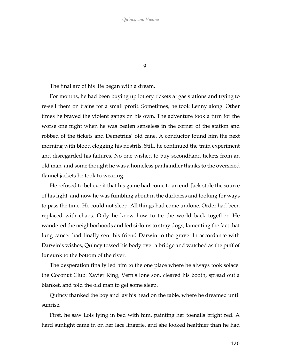9

The final arc of his life began with a dream.

For months, he had been buying up lottery tickets at gas stations and trying to re-sell them on trains for a small profit. Sometimes, he took Lenny along. Other times he braved the violent gangs on his own. The adventure took a turn for the worse one night when he was beaten senseless in the corner of the station and robbed of the tickets and Demetrius' old cane. A conductor found him the next morning with blood clogging his nostrils. Still, he continued the train experiment and disregarded his failures. No one wished to buy secondhand tickets from an old man, and some thought he was a homeless panhandler thanks to the oversized flannel jackets he took to wearing.

He refused to believe it that his game had come to an end. Jack stole the source of his light, and now he was fumbling about in the darkness and looking for ways to pass the time. He could not sleep. All things had come undone. Order had been replaced with chaos. Only he knew how to tie the world back together. He wandered the neighborhoods and fed sirloins to stray dogs, lamenting the fact that lung cancer had finally sent his friend Darwin to the grave. In accordance with Darwin's wishes, Quincy tossed his body over a bridge and watched as the puff of fur sunk to the bottom of the river.

The desperation finally led him to the one place where he always took solace: the Coconut Club. Xavier King, Vern's lone son, cleared his booth, spread out a blanket, and told the old man to get some sleep.

Quincy thanked the boy and lay his head on the table, where he dreamed until sunrise.

First, he saw Lois lying in bed with him, painting her toenails bright red. A hard sunlight came in on her lace lingerie, and she looked healthier than he had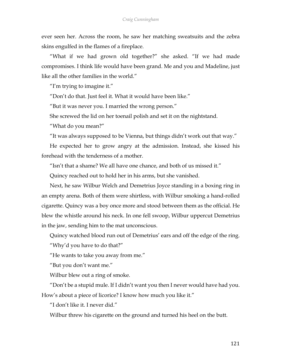ever seen her. Across the room, he saw her matching sweatsuits and the zebra skins engulfed in the flames of a fireplace.

"What if we had grown old together?" she asked. "If we had made compromises. I think life would have been grand. Me and you and Madeline, just like all the other families in the world."

"I'm trying to imagine it."

"Don't do that. Just feel it. What it would have been like."

"But it was never you. I married the wrong person."

She screwed the lid on her toenail polish and set it on the nightstand.

"What do you mean?"

"It was always supposed to be Vienna, but things didn't work out that way."

He expected her to grow angry at the admission. Instead, she kissed his forehead with the tenderness of a mother.

"Isn't that a shame? We all have one chance, and both of us missed it."

Quincy reached out to hold her in his arms, but she vanished.

Next, he saw Wilbur Welch and Demetrius Joyce standing in a boxing ring in an empty arena. Both of them were shirtless, with Wilbur smoking a hand-rolled cigarette. Quincy was a boy once more and stood between them as the official. He blew the whistle around his neck. In one fell swoop, Wilbur uppercut Demetrius in the jaw, sending him to the mat unconscious.

Quincy watched blood run out of Demetrius' ears and off the edge of the ring.

"Why'd you have to do that?"

"He wants to take you away from me."

"But you don't want me."

Wilbur blew out a ring of smoke.

"Don't be a stupid mule. If I didn't want you then I never would have had you. How's about a piece of licorice? I know how much you like it."

"I don't like it. I never did."

Wilbur threw his cigarette on the ground and turned his heel on the butt.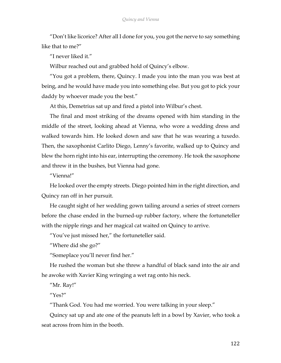"Don't like licorice? After all I done for you, you got the nerve to say something like that to me?"

"I never liked it."

Wilbur reached out and grabbed hold of Quincy's elbow.

"You got a problem, there, Quincy. I made you into the man you was best at being, and he would have made you into something else. But you got to pick your daddy by whoever made you the best."

At this, Demetrius sat up and fired a pistol into Wilbur's chest.

The final and most striking of the dreams opened with him standing in the middle of the street, looking ahead at Vienna, who wore a wedding dress and walked towards him. He looked down and saw that he was wearing a tuxedo. Then, the saxophonist Carlito Diego, Lenny's favorite, walked up to Quincy and blew the horn right into his ear, interrupting the ceremony. He took the saxophone and threw it in the bushes, but Vienna had gone.

"Vienna!"

He looked over the empty streets. Diego pointed him in the right direction, and Quincy ran off in her pursuit.

He caught sight of her wedding gown tailing around a series of street corners before the chase ended in the burned-up rubber factory, where the fortuneteller with the nipple rings and her magical cat waited on Quincy to arrive.

"You've just missed her," the fortuneteller said.

"Where did she go?"

"Someplace you'll never find her."

He rushed the woman but she threw a handful of black sand into the air and he awoke with Xavier King wringing a wet rag onto his neck.

"Mr. Ray!"

"Yes?"

"Thank God. You had me worried. You were talking in your sleep."

Quincy sat up and ate one of the peanuts left in a bowl by Xavier, who took a seat across from him in the booth.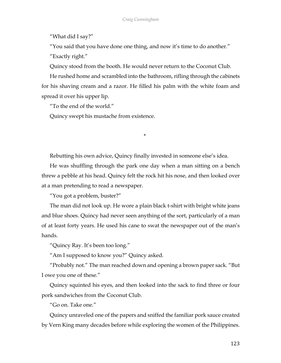"What did I say?"

"You said that you have done one thing, and now it's time to do another."

"Exactly right."

Quincy stood from the booth. He would never return to the Coconut Club.

He rushed home and scrambled into the bathroom, rifling through the cabinets for his shaving cream and a razor. He filled his palm with the white foam and spread it over his upper lip.

"To the end of the world."

Quincy swept his mustache from existence.

Rebutting his own advice, Quincy finally invested in someone else's idea.

\*

He was shuffling through the park one day when a man sitting on a bench threw a pebble at his head. Quincy felt the rock hit his nose, and then looked over at a man pretending to read a newspaper.

"You got a problem, buster?"

The man did not look up. He wore a plain black t-shirt with bright white jeans and blue shoes. Quincy had never seen anything of the sort, particularly of a man of at least forty years. He used his cane to swat the newspaper out of the man's hands.

"Quincy Ray. It's been too long."

"Am I supposed to know you?" Quincy asked.

"Probably not." The man reached down and opening a brown paper sack. "But I owe you one of these."

Quincy squinted his eyes, and then looked into the sack to find three or four pork sandwiches from the Coconut Club.

"Go on. Take one."

Quincy unraveled one of the papers and sniffed the familiar pork sauce created by Vern King many decades before while exploring the women of the Philippines.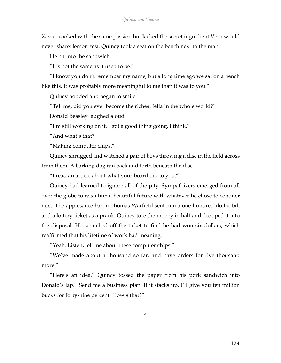Xavier cooked with the same passion but lacked the secret ingredient Vern would never share: lemon zest. Quincy took a seat on the bench next to the man.

He bit into the sandwich.

"It's not the same as it used to be."

"I know you don't remember my name, but a long time ago we sat on a bench like this. It was probably more meaningful to me than it was to you."

Quincy nodded and began to smile.

"Tell me, did you ever become the richest fella in the whole world?"

Donald Beasley laughed aloud.

"I'm still working on it. I got a good thing going, I think."

"And what's that?"

"Making computer chips."

Quincy shrugged and watched a pair of boys throwing a disc in the field across from them. A barking dog ran back and forth beneath the disc.

"I read an article about what your board did to you."

Quincy had learned to ignore all of the pity. Sympathizers emerged from all over the globe to wish him a beautiful future with whatever he chose to conquer next. The applesauce baron Thomas Warfield sent him a one-hundred-dollar bill and a lottery ticket as a prank. Quincy tore the money in half and dropped it into the disposal. He scratched off the ticket to find he had won six dollars, which reaffirmed that his lifetime of work had meaning.

"Yeah. Listen, tell me about these computer chips."

"We've made about a thousand so far, and have orders for five thousand more."

"Here's an idea." Quincy tossed the paper from his pork sandwich into Donald's lap. "Send me a business plan. If it stacks up, I'll give you ten million bucks for forty-nine percent. How's that?"

\*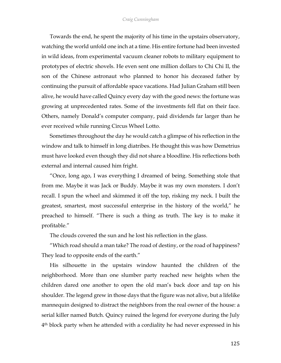Towards the end, he spent the majority of his time in the upstairs observatory, watching the world unfold one inch at a time. His entire fortune had been invested in wild ideas, from experimental vacuum cleaner robots to military equipment to prototypes of electric shovels. He even sent one million dollars to Chi Chi II, the son of the Chinese astronaut who planned to honor his deceased father by continuing the pursuit of affordable space vacations. Had Julian Graham still been alive, he would have called Quincy every day with the good news: the fortune was growing at unprecedented rates. Some of the investments fell flat on their face. Others, namely Donald's computer company, paid dividends far larger than he ever received while running Circus Wheel Lotto.

Sometimes throughout the day he would catch a glimpse of his reflection in the window and talk to himself in long diatribes. He thought this was how Demetrius must have looked even though they did not share a bloodline. His reflections both external and internal caused him fright.

"Once, long ago, I was everything I dreamed of being. Something stole that from me. Maybe it was Jack or Buddy. Maybe it was my own monsters. I don't recall. I spun the wheel and skimmed it off the top, risking my neck. I built the greatest, smartest, most successful enterprise in the history of the world," he preached to himself. "There is such a thing as truth. The key is to make it profitable."

The clouds covered the sun and he lost his reflection in the glass.

"Which road should a man take? The road of destiny, or the road of happiness? They lead to opposite ends of the earth."

His silhouette in the upstairs window haunted the children of the neighborhood. More than one slumber party reached new heights when the children dared one another to open the old man's back door and tap on his shoulder. The legend grew in those days that the figure was not alive, but a lifelike mannequin designed to distract the neighbors from the real owner of the house: a serial killer named Butch. Quincy ruined the legend for everyone during the July 4th block party when he attended with a cordiality he had never expressed in his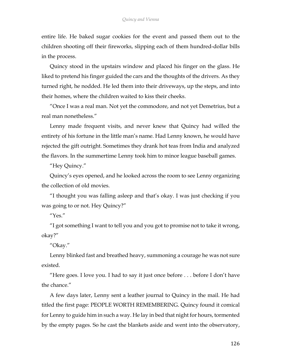entire life. He baked sugar cookies for the event and passed them out to the children shooting off their fireworks, slipping each of them hundred-dollar bills in the process.

Quincy stood in the upstairs window and placed his finger on the glass. He liked to pretend his finger guided the cars and the thoughts of the drivers. As they turned right, he nodded. He led them into their driveways, up the steps, and into their homes, where the children waited to kiss their cheeks.

"Once I was a real man. Not yet the commodore, and not yet Demetrius, but a real man nonetheless."

Lenny made frequent visits, and never knew that Quincy had willed the entirety of his fortune in the little man's name. Had Lenny known, he would have rejected the gift outright. Sometimes they drank hot teas from India and analyzed the flavors. In the summertime Lenny took him to minor league baseball games.

"Hey Quincy."

Quincy's eyes opened, and he looked across the room to see Lenny organizing the collection of old movies.

"I thought you was falling asleep and that's okay. I was just checking if you was going to or not. Hey Quincy?"

" $Yes$ "

"I got something I want to tell you and you got to promise not to take it wrong, okay?"

"Okay."

Lenny blinked fast and breathed heavy, summoning a courage he was not sure existed.

"Here goes. I love you. I had to say it just once before . . . before I don't have the chance."

A few days later, Lenny sent a leather journal to Quincy in the mail. He had titled the first page: PEOPLE WORTH REMEMBERING. Quincy found it comical for Lenny to guide him in such a way. He lay in bed that night for hours, tormented by the empty pages. So he cast the blankets aside and went into the observatory,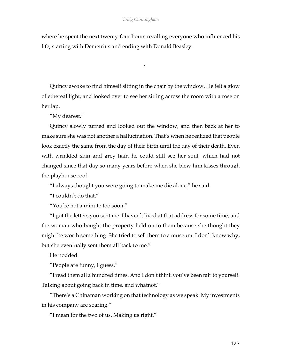## *Craig Cunningham*

where he spent the next twenty-four hours recalling everyone who influenced his life, starting with Demetrius and ending with Donald Beasley.

\*

Quincy awoke to find himself sitting in the chair by the window. He felt a glow of ethereal light, and looked over to see her sitting across the room with a rose on her lap.

"My dearest."

Quincy slowly turned and looked out the window, and then back at her to make sure she was not another a hallucination. That's when he realized that people look exactly the same from the day of their birth until the day of their death. Even with wrinkled skin and grey hair, he could still see her soul, which had not changed since that day so many years before when she blew him kisses through the playhouse roof.

"I always thought you were going to make me die alone," he said.

"I couldn't do that."

"You're not a minute too soon."

"I got the letters you sent me. I haven't lived at that address for some time, and the woman who bought the property held on to them because she thought they might be worth something. She tried to sell them to a museum. I don't know why, but she eventually sent them all back to me."

He nodded.

"People are funny, I guess."

"I read them all a hundred times. And I don't think you've been fair to yourself. Talking about going back in time, and whatnot."

"There's a Chinaman working on that technology as we speak. My investments in his company are soaring."

"I mean for the two of us. Making us right."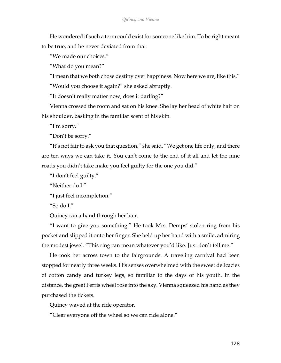He wondered if such a term could exist for someone like him. To be right meant to be true, and he never deviated from that.

"We made our choices."

"What do you mean?"

"I mean that we both chose destiny over happiness. Now here we are, like this."

"Would you choose it again?" she asked abruptly.

"It doesn't really matter now, does it darling?"

Vienna crossed the room and sat on his knee. She lay her head of white hair on his shoulder, basking in the familiar scent of his skin.

"I'm sorry."

"Don't be sorry."

"It's not fair to ask you that question," she said. "We get one life only, and there are ten ways we can take it. You can't come to the end of it all and let the nine roads you didn't take make you feel guilty for the one you did."

"I don't feel guilty."

"Neither do I."

"I just feel incompletion."

"So do I"

Quincy ran a hand through her hair.

"I want to give you something." He took Mrs. Demps' stolen ring from his pocket and slipped it onto her finger. She held up her hand with a smile, admiring the modest jewel. "This ring can mean whatever you'd like. Just don't tell me."

He took her across town to the fairgrounds. A traveling carnival had been stopped for nearly three weeks. His senses overwhelmed with the sweet delicacies of cotton candy and turkey legs, so familiar to the days of his youth. In the distance, the great Ferris wheel rose into the sky. Vienna squeezed his hand as they purchased the tickets.

Quincy waved at the ride operator.

"Clear everyone off the wheel so we can ride alone."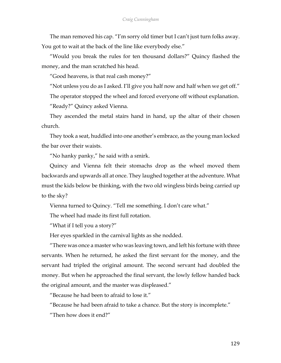The man removed his cap. "I'm sorry old timer but I can't just turn folks away. You got to wait at the back of the line like everybody else."

"Would you break the rules for ten thousand dollars?" Quincy flashed the money, and the man scratched his head.

"Good heavens, is that real cash money?"

"Not unless you do as I asked. I'll give you half now and half when we get off."

The operator stopped the wheel and forced everyone off without explanation.

"Ready?" Quincy asked Vienna.

They ascended the metal stairs hand in hand, up the altar of their chosen church.

They took a seat, huddled into one another's embrace, as the young man locked the bar over their waists.

"No hanky panky," he said with a smirk.

Quincy and Vienna felt their stomachs drop as the wheel moved them backwards and upwards all at once. They laughed together at the adventure. What must the kids below be thinking, with the two old wingless birds being carried up to the sky?

Vienna turned to Quincy. "Tell me something. I don't care what."

The wheel had made its first full rotation.

"What if I tell you a story?"

Her eyes sparkled in the carnival lights as she nodded.

"There was once a master who was leaving town, and left his fortune with three servants. When he returned, he asked the first servant for the money, and the servant had tripled the original amount. The second servant had doubled the money. But when he approached the final servant, the lowly fellow handed back the original amount, and the master was displeased."

"Because he had been to afraid to lose it."

"Because he had been afraid to take a chance. But the story is incomplete."

"Then how does it end?"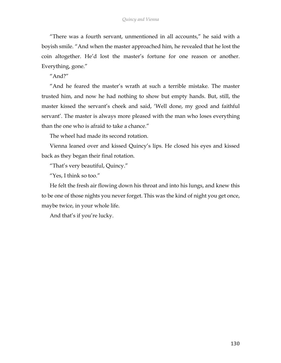"There was a fourth servant, unmentioned in all accounts," he said with a boyish smile. "And when the master approached him, he revealed that he lost the coin altogether. He'd lost the master's fortune for one reason or another. Everything, gone."

"And?"

"And he feared the master's wrath at such a terrible mistake. The master trusted him, and now he had nothing to show but empty hands. But, still, the master kissed the servant's cheek and said, 'Well done, my good and faithful servant'. The master is always more pleased with the man who loses everything than the one who is afraid to take a chance."

The wheel had made its second rotation.

Vienna leaned over and kissed Quincy's lips. He closed his eyes and kissed back as they began their final rotation.

"That's very beautiful, Quincy."

"Yes, I think so too."

He felt the fresh air flowing down his throat and into his lungs, and knew this to be one of those nights you never forget. This was the kind of night you get once, maybe twice, in your whole life.

And that's if you're lucky.